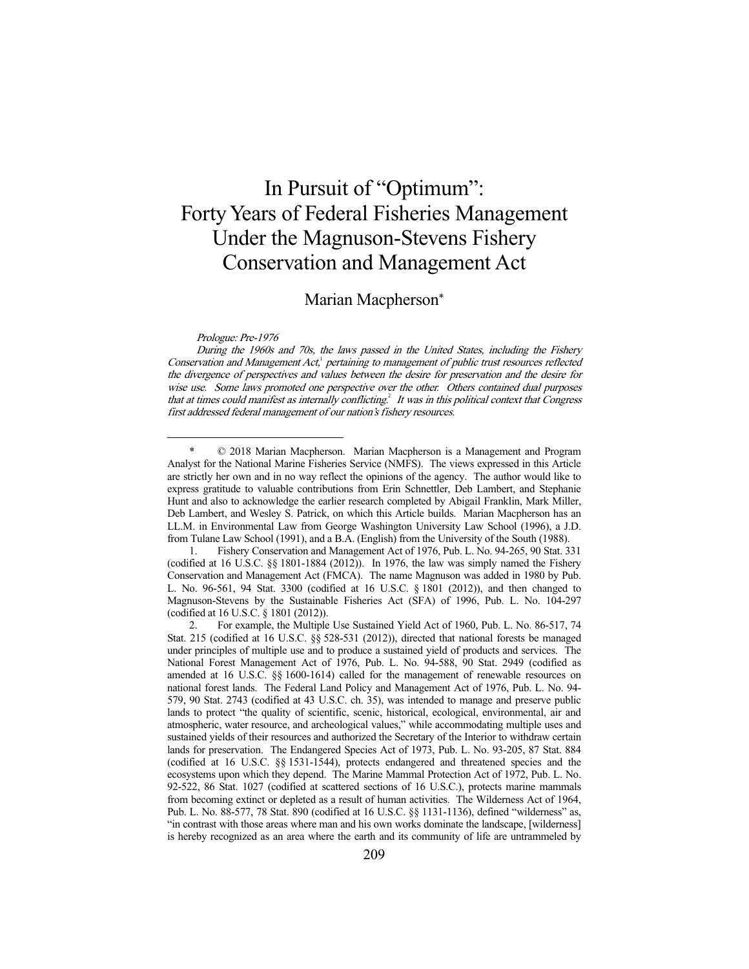# In Pursuit of "Optimum": Forty Years of Federal Fisheries Management Under the Magnuson-Stevens Fishery Conservation and Management Act

Marian Macpherson\*

Prologue: Pre-1976

-

During the 1960s and 70s, the laws passed in the United States, including the Fishery Conservation and Management  $Act<sup>1</sup>$  pertaining to management of public trust resources reflected the divergence of perspectives and values between the desire for preservation and the desire for wise use. Some laws promoted one perspective over the other. Others contained dual purposes that at times could manifest as internally conflicting.<sup>2</sup> It was in this political context that Congress first addressed federal management of our nation's fishery resources.

 1. Fishery Conservation and Management Act of 1976, Pub. L. No. 94-265, 90 Stat. 331 (codified at 16 U.S.C. §§ 1801-1884 (2012)). In 1976, the law was simply named the Fishery Conservation and Management Act (FMCA). The name Magnuson was added in 1980 by Pub. L. No. 96-561, 94 Stat. 3300 (codified at 16 U.S.C. § 1801 (2012)), and then changed to Magnuson-Stevens by the Sustainable Fisheries Act (SFA) of 1996, Pub. L. No. 104-297 (codified at 16 U.S.C. § 1801 (2012)).

 2. For example, the Multiple Use Sustained Yield Act of 1960, Pub. L. No. 86-517, 74 Stat. 215 (codified at 16 U.S.C. §§ 528-531 (2012)), directed that national forests be managed under principles of multiple use and to produce a sustained yield of products and services. The National Forest Management Act of 1976, Pub. L. No. 94-588, 90 Stat. 2949 (codified as amended at 16 U.S.C. §§ 1600-1614) called for the management of renewable resources on national forest lands. The Federal Land Policy and Management Act of 1976, Pub. L. No. 94- 579, 90 Stat. 2743 (codified at 43 U.S.C. ch. 35), was intended to manage and preserve public lands to protect "the quality of scientific, scenic, historical, ecological, environmental, air and atmospheric, water resource, and archeological values," while accommodating multiple uses and sustained yields of their resources and authorized the Secretary of the Interior to withdraw certain lands for preservation. The Endangered Species Act of 1973, Pub. L. No. 93-205, 87 Stat. 884 (codified at 16 U.S.C. §§ 1531-1544), protects endangered and threatened species and the ecosystems upon which they depend. The Marine Mammal Protection Act of 1972, Pub. L. No. 92-522, 86 Stat. 1027 (codified at scattered sections of 16 U.S.C.), protects marine mammals from becoming extinct or depleted as a result of human activities. The Wilderness Act of 1964, Pub. L. No. 88-577, 78 Stat. 890 (codified at 16 U.S.C. §§ 1131-1136), defined "wilderness" as, "in contrast with those areas where man and his own works dominate the landscape, [wilderness] is hereby recognized as an area where the earth and its community of life are untrammeled by

 <sup>\* © 2018</sup> Marian Macpherson. Marian Macpherson is a Management and Program Analyst for the National Marine Fisheries Service (NMFS). The views expressed in this Article are strictly her own and in no way reflect the opinions of the agency. The author would like to express gratitude to valuable contributions from Erin Schnettler, Deb Lambert, and Stephanie Hunt and also to acknowledge the earlier research completed by Abigail Franklin, Mark Miller, Deb Lambert, and Wesley S. Patrick, on which this Article builds. Marian Macpherson has an LL.M. in Environmental Law from George Washington University Law School (1996), a J.D. from Tulane Law School (1991), and a B.A. (English) from the University of the South (1988).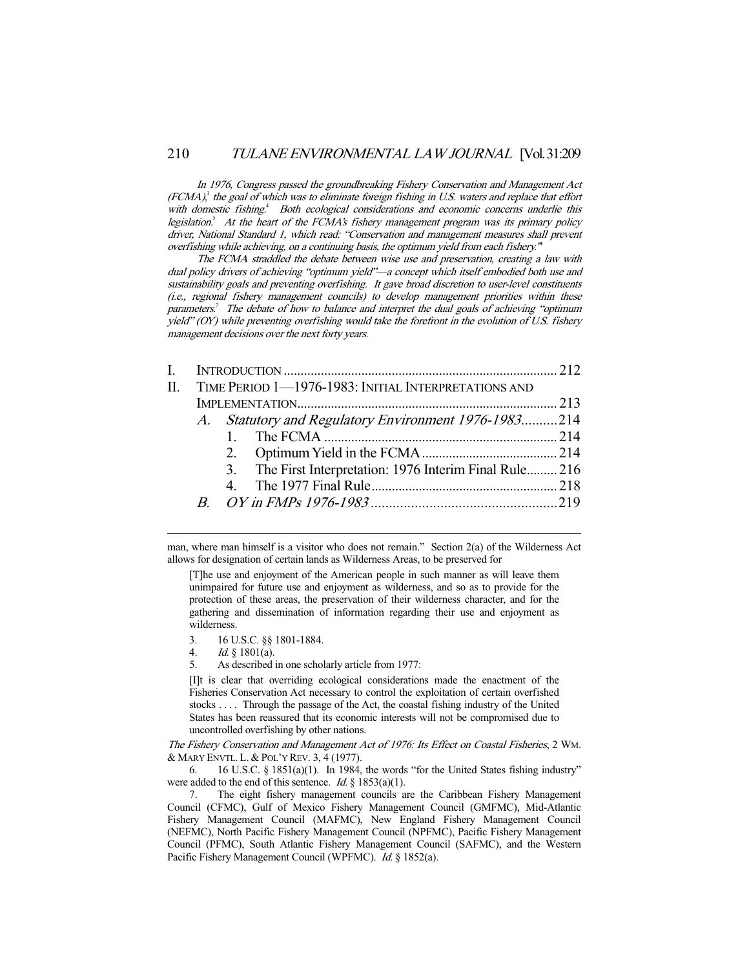In 1976, Congress passed the groundbreaking Fishery Conservation and Management Act  $(FCMA)<sup>3</sup>$  the goal of which was to eliminate foreign fishing in U.S. waters and replace that effort with domestic fishing.<sup>4</sup> Both ecological considerations and economic concerns underlie this legislation.<sup>5</sup> At the heart of the FCMA's fishery management program was its primary policy driver, National Standard 1, which read: "Conservation and management measures shall prevent overfishing while achieving, on a continuing basis, the optimum yield from each fishery.<sup>\*</sup>

 The FCMA straddled the debate between wise use and preservation, creating a law with dual policy drivers of achieving "optimum yield"—a concept which itself embodied both use and sustainability goals and preventing overfishing. It gave broad discretion to user-level constituents (i.e., regional fishery management councils) to develop management priorities within these parameters.<sup>7</sup> The debate of how to balance and interpret the dual goals of achieving "optimum yield" (OY) while preventing overfishing would take the forefront in the evolution of U.S. fishery management decisions over the next forty years.

| L  |                                                      |                                                          |  |  |  |
|----|------------------------------------------------------|----------------------------------------------------------|--|--|--|
| H. | TIME PERIOD 1-1976-1983: INITIAL INTERPRETATIONS AND |                                                          |  |  |  |
|    |                                                      |                                                          |  |  |  |
|    |                                                      | A. Statutory and Regulatory Environment 1976-1983214     |  |  |  |
|    |                                                      |                                                          |  |  |  |
|    |                                                      |                                                          |  |  |  |
|    |                                                      | 3. The First Interpretation: 1976 Interim Final Rule 216 |  |  |  |
|    |                                                      |                                                          |  |  |  |
|    |                                                      |                                                          |  |  |  |
|    |                                                      |                                                          |  |  |  |

man, where man himself is a visitor who does not remain." Section 2(a) of the Wilderness Act allows for designation of certain lands as Wilderness Areas, to be preserved for

[T]he use and enjoyment of the American people in such manner as will leave them unimpaired for future use and enjoyment as wilderness, and so as to provide for the protection of these areas, the preservation of their wilderness character, and for the gathering and dissemination of information regarding their use and enjoyment as wilderness.

- 3. 16 U.S.C. §§ 1801-1884.
- 4. Id. § 1801(a).

-

5. As described in one scholarly article from 1977:

[I]t is clear that overriding ecological considerations made the enactment of the Fisheries Conservation Act necessary to control the exploitation of certain overfished stocks . . . . Through the passage of the Act, the coastal fishing industry of the United States has been reassured that its economic interests will not be compromised due to uncontrolled overfishing by other nations.

The Fishery Conservation and Management Act of 1976: Its Effect on Coastal Fisheries, 2 WM. & MARY ENVTL. L. & POL'Y REV. 3, 4 (1977).

 6. 16 U.S.C. § 1851(a)(1). In 1984, the words "for the United States fishing industry" were added to the end of this sentence. *Id.*  $\S$  1853(a)(1).

 7. The eight fishery management councils are the Caribbean Fishery Management Council (CFMC), Gulf of Mexico Fishery Management Council (GMFMC), Mid-Atlantic Fishery Management Council (MAFMC), New England Fishery Management Council (NEFMC), North Pacific Fishery Management Council (NPFMC), Pacific Fishery Management Council (PFMC), South Atlantic Fishery Management Council (SAFMC), and the Western Pacific Fishery Management Council (WPFMC). Id. § 1852(a).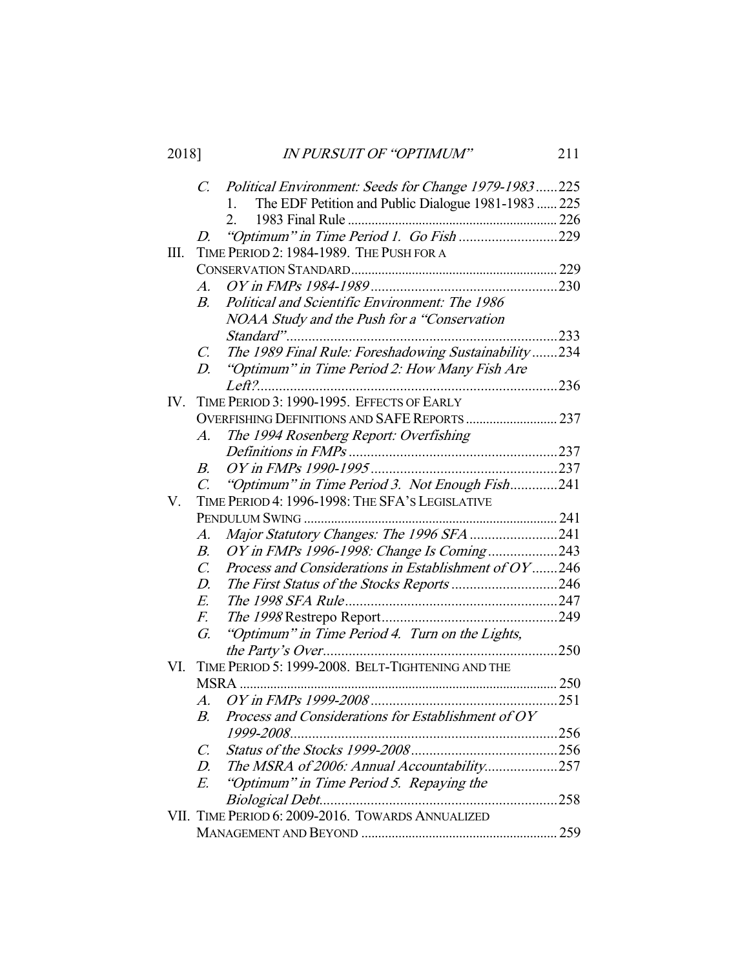| 2018] | <b>IN PURSUIT OF "OPTIMUM"</b>                          |  |  |
|-------|---------------------------------------------------------|--|--|
|       | C. Political Environment: Seeds for Change 1979-1983225 |  |  |
|       | 1. The EDF Petition and Public Dialogue 1981-1983  225  |  |  |
|       |                                                         |  |  |
|       |                                                         |  |  |

|     | 1703 FIIIdI KUIT                                                        |     |
|-----|-------------------------------------------------------------------------|-----|
|     | "Optimum" in Time Period 1. Go Fish 229<br>D                            |     |
| Ш.  | TIME PERIOD 2: 1984-1989. THE PUSH FOR A                                |     |
|     |                                                                         |     |
|     | $A_{\cdot}$                                                             |     |
|     | Political and Scientific Environment: The 1986<br>$B_{\cdot}$           |     |
|     | NOAA Study and the Push for a "Conservation                             |     |
|     |                                                                         | 233 |
|     | The 1989 Final Rule: Foreshadowing Sustainability234<br>$\mathcal{C}$ . |     |
|     | "Optimum" in Time Period 2: How Many Fish Are<br>$D_{\cdot}$            |     |
|     |                                                                         |     |
| IV. | TIME PERIOD 3: 1990-1995. EFFECTS OF EARLY                              |     |
|     | OVERFISHING DEFINITIONS AND SAFE REPORTS  237                           |     |
|     | The 1994 Rosenberg Report: Overfishing<br>$A$ .                         |     |
|     |                                                                         |     |
|     | В.                                                                      |     |
|     | "Optimum" in Time Period 3. Not Enough Fish241<br>$\overline{C}$        |     |
| V.  | TIME PERIOD 4: 1996-1998: THE SFA'S LEGISLATIVE                         |     |
|     |                                                                         |     |
|     | Major Statutory Changes: The 1996 SFA 241<br>$A$ .                      |     |
|     | OY in FMPs 1996-1998: Change Is Coming243<br>$B$ .                      |     |
|     | Process and Considerations in Establishment of OY246<br>$\mathcal{C}$   |     |
|     | D.                                                                      |     |
|     | E.                                                                      |     |
|     | F.                                                                      |     |
|     | "Optimum" in Time Period 4. Turn on the Lights,<br>G.                   |     |
|     |                                                                         |     |
| VI. | TIME PERIOD 5: 1999-2008. BELT-TIGHTENING AND THE                       |     |
|     |                                                                         |     |
|     | $\overline{A}$ .                                                        |     |
|     | Process and Considerations for Establishment of OY<br>$B$ .             |     |
|     |                                                                         |     |
|     | $\mathcal{C}$ .                                                         |     |
|     | The MSRA of 2006: Annual Accountability257<br>$D_{\cdot}$               |     |
|     | "Optimum" in Time Period 5. Repaying the<br>E.                          |     |
|     |                                                                         |     |
|     | VII. TIME PERIOD 6: 2009-2016. TOWARDS ANNUALIZED                       |     |
|     |                                                                         |     |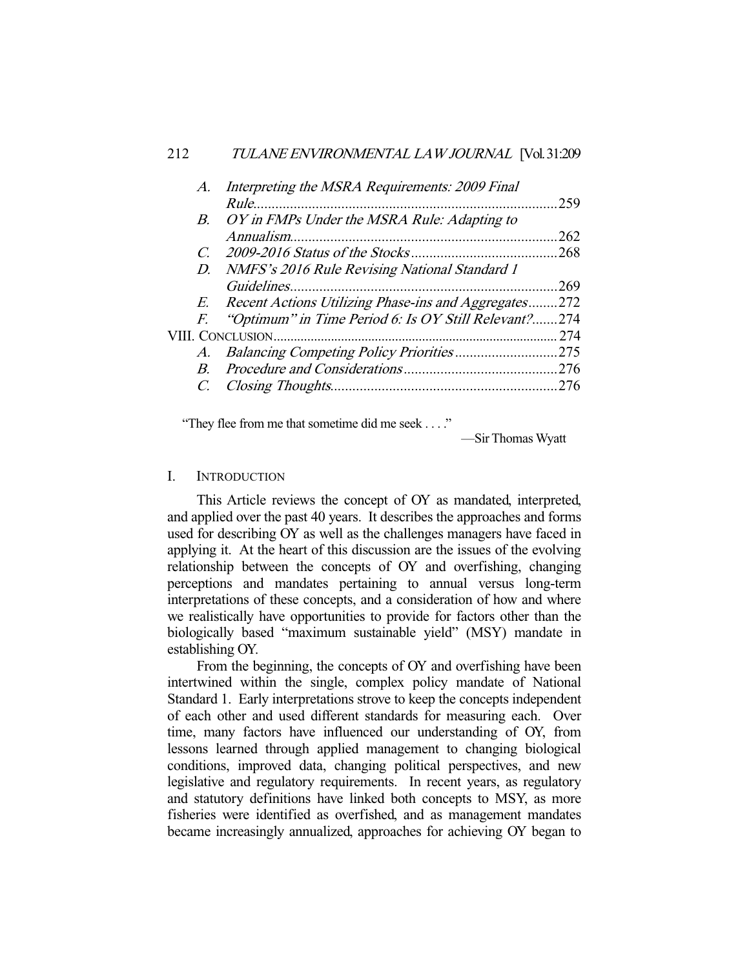| $A_{\cdot}$    | Interpreting the MSRA Requirements: 2009 Final          |      |
|----------------|---------------------------------------------------------|------|
|                |                                                         | 259  |
| $B_{-}$        | OY in FMPs Under the MSRA Rule: Adapting to             |      |
|                |                                                         | .262 |
| $\overline{C}$ |                                                         | .268 |
|                | D. NMFS's 2016 Rule Revising National Standard 1        |      |
|                |                                                         | .269 |
|                | E. Recent Actions Utilizing Phase-ins and Aggregates272 |      |
|                | F. "Optimum" in Time Period 6: Is OY Still Relevant?    | .274 |
|                |                                                         | 274  |
|                |                                                         |      |
| $B_{-}$        |                                                         |      |
|                |                                                         | .276 |
|                |                                                         |      |

"They flee from me that sometime did me seek . . . ."

—Sir Thomas Wyatt

# I. INTRODUCTION

 This Article reviews the concept of OY as mandated, interpreted, and applied over the past 40 years. It describes the approaches and forms used for describing OY as well as the challenges managers have faced in applying it. At the heart of this discussion are the issues of the evolving relationship between the concepts of OY and overfishing, changing perceptions and mandates pertaining to annual versus long-term interpretations of these concepts, and a consideration of how and where we realistically have opportunities to provide for factors other than the biologically based "maximum sustainable yield" (MSY) mandate in establishing OY.

 From the beginning, the concepts of OY and overfishing have been intertwined within the single, complex policy mandate of National Standard 1. Early interpretations strove to keep the concepts independent of each other and used different standards for measuring each. Over time, many factors have influenced our understanding of OY, from lessons learned through applied management to changing biological conditions, improved data, changing political perspectives, and new legislative and regulatory requirements. In recent years, as regulatory and statutory definitions have linked both concepts to MSY, as more fisheries were identified as overfished, and as management mandates became increasingly annualized, approaches for achieving OY began to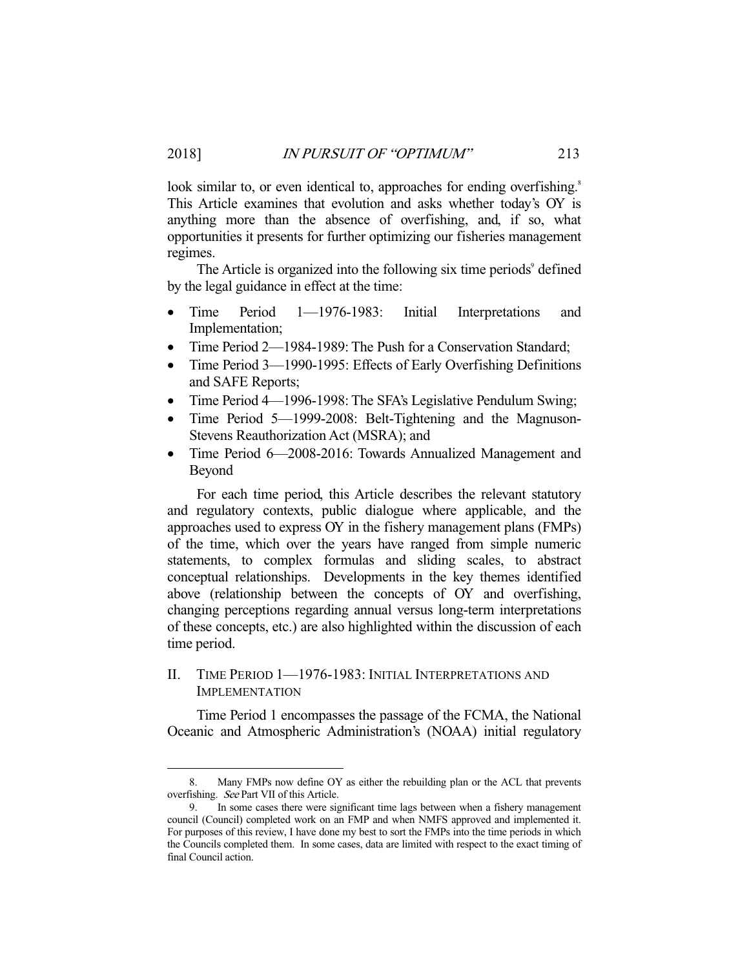look similar to, or even identical to, approaches for ending overfishing.<sup>8</sup> This Article examines that evolution and asks whether today's OY is anything more than the absence of overfishing, and, if so, what opportunities it presents for further optimizing our fisheries management regimes.

The Article is organized into the following six time periods<sup>9</sup> defined by the legal guidance in effect at the time:

- Time Period 1—1976-1983: Initial Interpretations and Implementation;
- Time Period 2—1984-1989: The Push for a Conservation Standard;
- Time Period 3—1990-1995: Effects of Early Overfishing Definitions and SAFE Reports;
- Time Period 4—1996-1998: The SFA's Legislative Pendulum Swing;
- Time Period 5—1999-2008: Belt-Tightening and the Magnuson-Stevens Reauthorization Act (MSRA); and
- Time Period 6—2008-2016: Towards Annualized Management and Beyond

 For each time period, this Article describes the relevant statutory and regulatory contexts, public dialogue where applicable, and the approaches used to express OY in the fishery management plans (FMPs) of the time, which over the years have ranged from simple numeric statements, to complex formulas and sliding scales, to abstract conceptual relationships. Developments in the key themes identified above (relationship between the concepts of OY and overfishing, changing perceptions regarding annual versus long-term interpretations of these concepts, etc.) are also highlighted within the discussion of each time period.

# II. TIME PERIOD 1—1976-1983: INITIAL INTERPRETATIONS AND IMPLEMENTATION

-

 Time Period 1 encompasses the passage of the FCMA, the National Oceanic and Atmospheric Administration's (NOAA) initial regulatory

 <sup>8.</sup> Many FMPs now define OY as either the rebuilding plan or the ACL that prevents overfishing. See Part VII of this Article.

In some cases there were significant time lags between when a fishery management council (Council) completed work on an FMP and when NMFS approved and implemented it. For purposes of this review, I have done my best to sort the FMPs into the time periods in which the Councils completed them. In some cases, data are limited with respect to the exact timing of final Council action.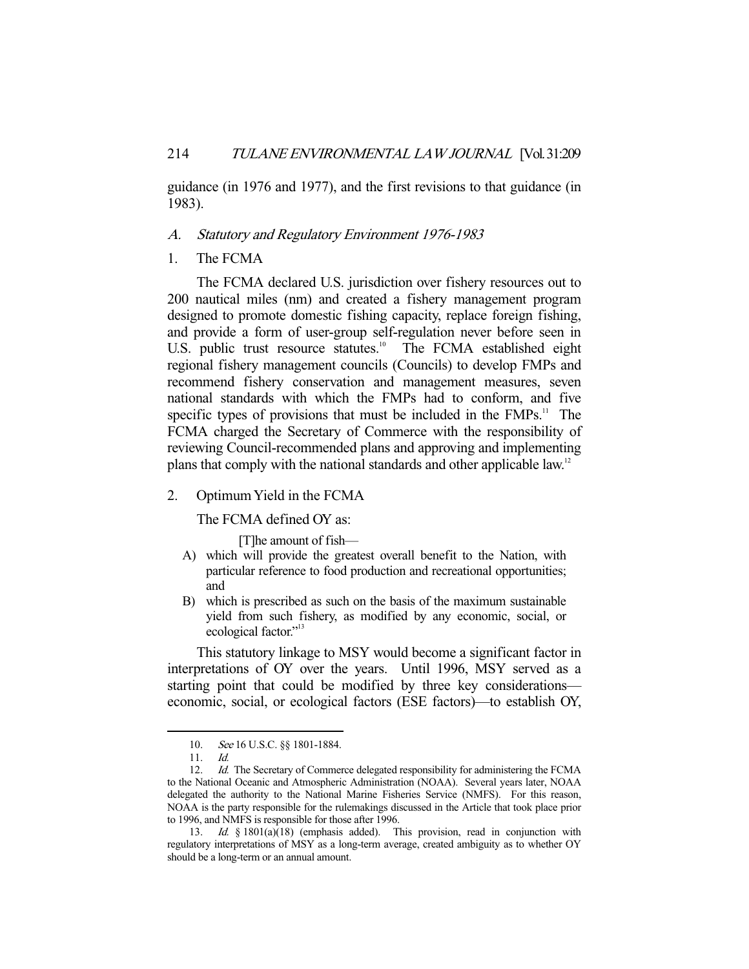guidance (in 1976 and 1977), and the first revisions to that guidance (in 1983).

## A. Statutory and Regulatory Environment 1976-1983

1. The FCMA

 The FCMA declared U.S. jurisdiction over fishery resources out to 200 nautical miles (nm) and created a fishery management program designed to promote domestic fishing capacity, replace foreign fishing, and provide a form of user-group self-regulation never before seen in U.S. public trust resource statutes.<sup>10</sup> The FCMA established eight regional fishery management councils (Councils) to develop FMPs and recommend fishery conservation and management measures, seven national standards with which the FMPs had to conform, and five specific types of provisions that must be included in the  $FMPs$ <sup>11</sup>. The FCMA charged the Secretary of Commerce with the responsibility of reviewing Council-recommended plans and approving and implementing plans that comply with the national standards and other applicable law.12

#### 2. Optimum Yield in the FCMA

The FCMA defined OY as:

[T]he amount of fish—

- A) which will provide the greatest overall benefit to the Nation, with particular reference to food production and recreational opportunities; and
- B) which is prescribed as such on the basis of the maximum sustainable yield from such fishery, as modified by any economic, social, or ecological factor."<sup>13</sup>

 This statutory linkage to MSY would become a significant factor in interpretations of OY over the years. Until 1996, MSY served as a starting point that could be modified by three key considerations economic, social, or ecological factors (ESE factors)—to establish OY,

<sup>10.</sup> See 16 U.S.C. §§ 1801-1884.<br>11. Id.

 $11.$ 

<sup>12.</sup> *Id.* The Secretary of Commerce delegated responsibility for administering the FCMA to the National Oceanic and Atmospheric Administration (NOAA). Several years later, NOAA delegated the authority to the National Marine Fisheries Service (NMFS). For this reason, NOAA is the party responsible for the rulemakings discussed in the Article that took place prior to 1996, and NMFS is responsible for those after 1996.

 <sup>13.</sup> Id. § 1801(a)(18) (emphasis added). This provision, read in conjunction with regulatory interpretations of MSY as a long-term average, created ambiguity as to whether OY should be a long-term or an annual amount.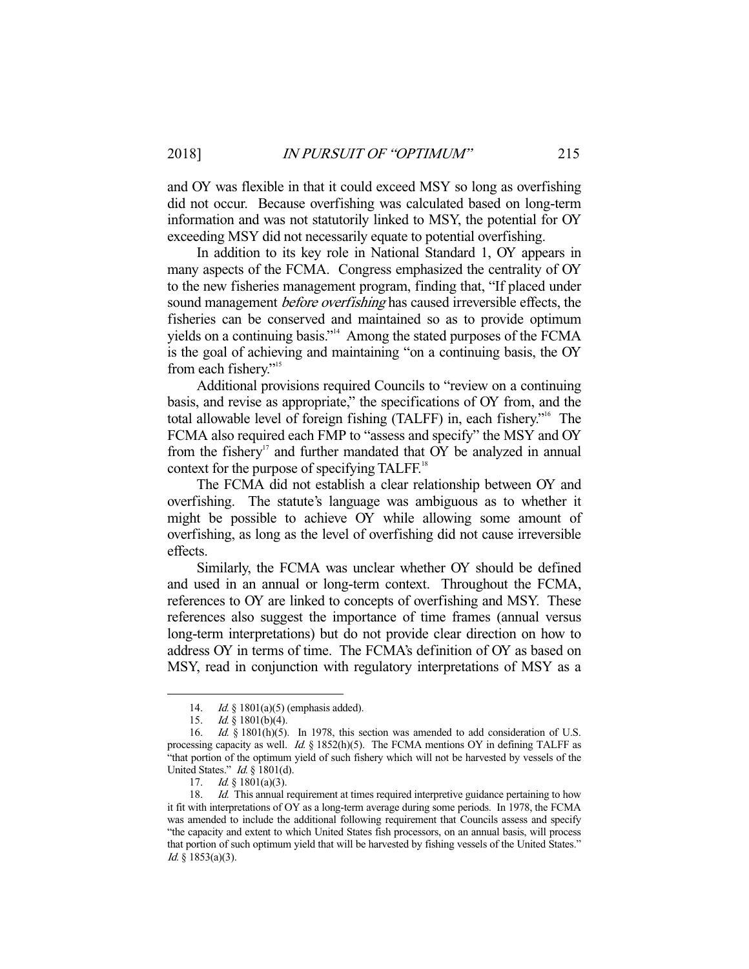and OY was flexible in that it could exceed MSY so long as overfishing did not occur. Because overfishing was calculated based on long-term information and was not statutorily linked to MSY, the potential for OY exceeding MSY did not necessarily equate to potential overfishing.

 In addition to its key role in National Standard 1, OY appears in many aspects of the FCMA. Congress emphasized the centrality of OY to the new fisheries management program, finding that, "If placed under sound management *before overfishing* has caused irreversible effects, the fisheries can be conserved and maintained so as to provide optimum yields on a continuing basis."14 Among the stated purposes of the FCMA is the goal of achieving and maintaining "on a continuing basis, the OY from each fishery."<sup>15</sup>

 Additional provisions required Councils to "review on a continuing basis, and revise as appropriate," the specifications of OY from, and the total allowable level of foreign fishing (TALFF) in, each fishery."16 The FCMA also required each FMP to "assess and specify" the MSY and OY from the fishery<sup>17</sup> and further mandated that OY be analyzed in annual context for the purpose of specifying TALFF.<sup>18</sup>

 The FCMA did not establish a clear relationship between OY and overfishing. The statute's language was ambiguous as to whether it might be possible to achieve OY while allowing some amount of overfishing, as long as the level of overfishing did not cause irreversible effects.

 Similarly, the FCMA was unclear whether OY should be defined and used in an annual or long-term context. Throughout the FCMA, references to OY are linked to concepts of overfishing and MSY. These references also suggest the importance of time frames (annual versus long-term interpretations) but do not provide clear direction on how to address OY in terms of time. The FCMA's definition of OY as based on MSY, read in conjunction with regulatory interpretations of MSY as a

<sup>14.</sup> Id.  $\frac{\delta}{2}$  1801(a)(5) (emphasis added).

<sup>15.</sup> *Id.* § 1801(b)(4).

<sup>16.</sup> *Id.* § 1801(h)(5). In 1978, this section was amended to add consideration of U.S. processing capacity as well. Id. § 1852(h)(5). The FCMA mentions OY in defining TALFF as "that portion of the optimum yield of such fishery which will not be harvested by vessels of the United States." *Id.* § 1801(d).

<sup>17.</sup> *Id.* § 1801(a)(3).

<sup>18.</sup> *Id.* This annual requirement at times required interpretive guidance pertaining to how it fit with interpretations of OY as a long-term average during some periods. In 1978, the FCMA was amended to include the additional following requirement that Councils assess and specify "the capacity and extent to which United States fish processors, on an annual basis, will process that portion of such optimum yield that will be harvested by fishing vessels of the United States."  $Id. \S$  1853(a)(3).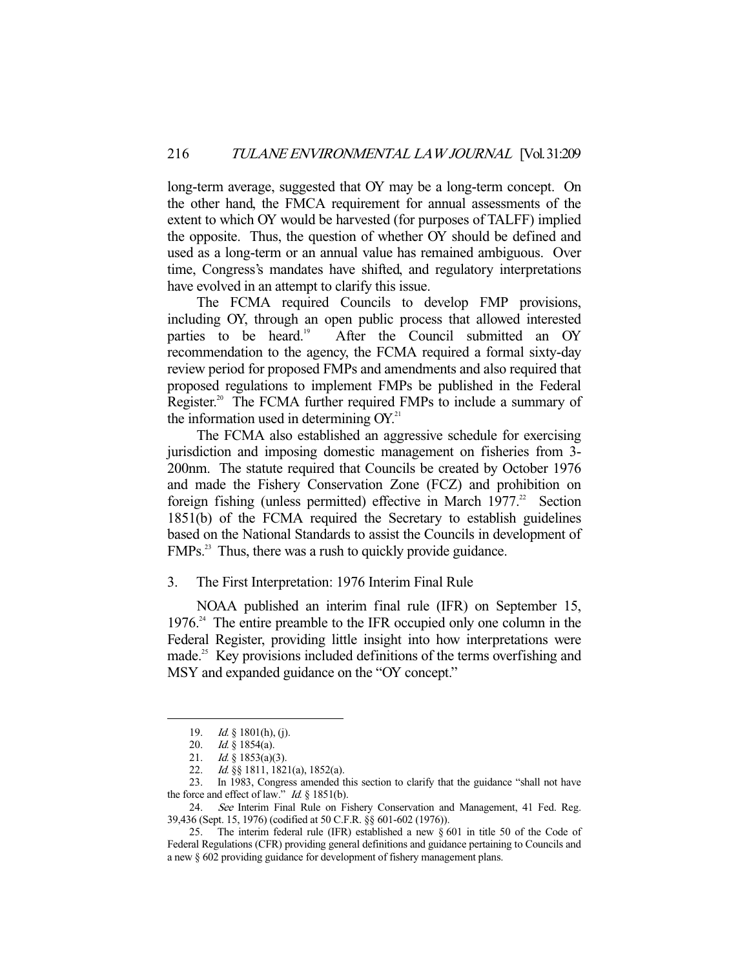long-term average, suggested that OY may be a long-term concept. On the other hand, the FMCA requirement for annual assessments of the extent to which OY would be harvested (for purposes of TALFF) implied the opposite. Thus, the question of whether OY should be defined and used as a long-term or an annual value has remained ambiguous. Over time, Congress's mandates have shifted, and regulatory interpretations have evolved in an attempt to clarify this issue.

 The FCMA required Councils to develop FMP provisions, including OY, through an open public process that allowed interested parties to be heard.<sup>19</sup> After the Council submitted an OY recommendation to the agency, the FCMA required a formal sixty-day review period for proposed FMPs and amendments and also required that proposed regulations to implement FMPs be published in the Federal Register.<sup>20</sup> The FCMA further required FMPs to include a summary of the information used in determining  $OY<sub>1</sub><sup>21</sup>$ 

 The FCMA also established an aggressive schedule for exercising jurisdiction and imposing domestic management on fisheries from 3- 200nm. The statute required that Councils be created by October 1976 and made the Fishery Conservation Zone (FCZ) and prohibition on foreign fishing (unless permitted) effective in March  $1977$ <sup>22</sup> Section 1851(b) of the FCMA required the Secretary to establish guidelines based on the National Standards to assist the Councils in development of FMPs.<sup>23</sup> Thus, there was a rush to quickly provide guidance.

#### 3. The First Interpretation: 1976 Interim Final Rule

 NOAA published an interim final rule (IFR) on September 15,  $1976<sup>24</sup>$  The entire preamble to the IFR occupied only one column in the Federal Register, providing little insight into how interpretations were made.<sup>25</sup> Key provisions included definitions of the terms over fishing and MSY and expanded guidance on the "OY concept."

<sup>19.</sup> *Id.* § 1801(h), (j).

 <sup>20.</sup> Id. § 1854(a).

<sup>21.</sup> *Id.* § 1853(a)(3).

 <sup>22.</sup> Id. §§ 1811, 1821(a), 1852(a).

 <sup>23.</sup> In 1983, Congress amended this section to clarify that the guidance "shall not have the force and effect of law." Id.  $\S$  1851(b).

<sup>24.</sup> See Interim Final Rule on Fishery Conservation and Management, 41 Fed. Reg. 39,436 (Sept. 15, 1976) (codified at 50 C.F.R. §§ 601-602 (1976)).

 <sup>25.</sup> The interim federal rule (IFR) established a new § 601 in title 50 of the Code of Federal Regulations (CFR) providing general definitions and guidance pertaining to Councils and a new § 602 providing guidance for development of fishery management plans.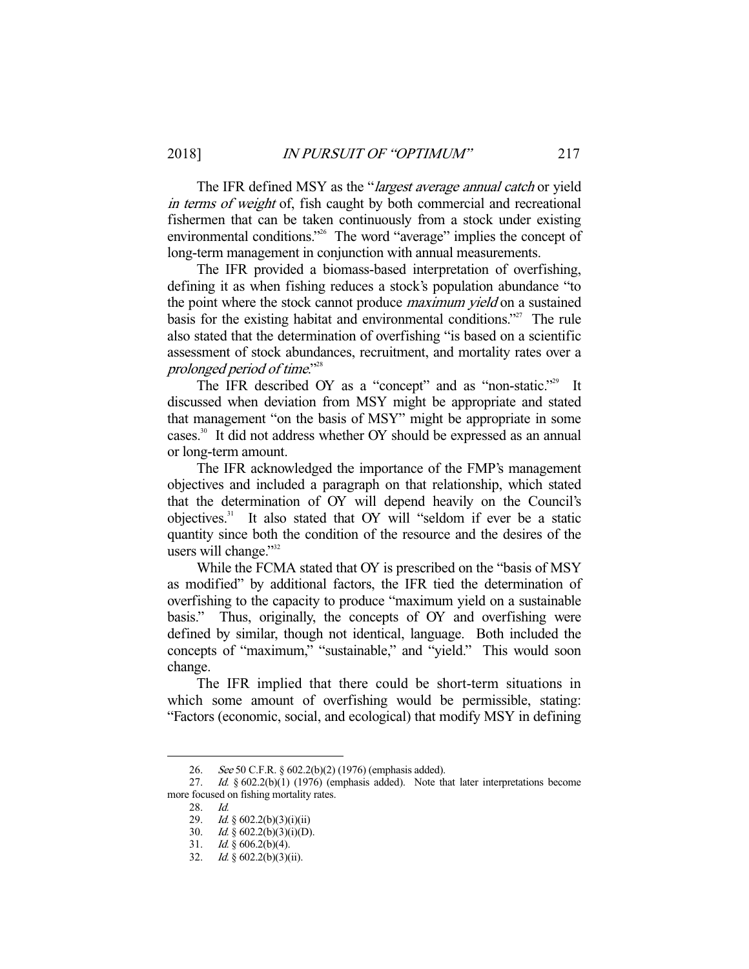The IFR defined MSY as the "*largest average annual catch* or yield in terms of weight of, fish caught by both commercial and recreational fishermen that can be taken continuously from a stock under existing environmental conditions."<sup>26</sup> The word "average" implies the concept of long-term management in conjunction with annual measurements.

 The IFR provided a biomass-based interpretation of overfishing, defining it as when fishing reduces a stock's population abundance "to the point where the stock cannot produce *maximum yield* on a sustained basis for the existing habitat and environmental conditions.<sup>"27</sup> The rule also stated that the determination of overfishing "is based on a scientific assessment of stock abundances, recruitment, and mortality rates over a prolonged period of time."28

The IFR described OY as a "concept" and as "non-static."<sup>29</sup> It discussed when deviation from MSY might be appropriate and stated that management "on the basis of MSY" might be appropriate in some cases.30 It did not address whether OY should be expressed as an annual or long-term amount.

 The IFR acknowledged the importance of the FMP's management objectives and included a paragraph on that relationship, which stated that the determination of OY will depend heavily on the Council's objectives.31 It also stated that OY will "seldom if ever be a static quantity since both the condition of the resource and the desires of the users will change."<sup>32</sup>

 While the FCMA stated that OY is prescribed on the "basis of MSY as modified" by additional factors, the IFR tied the determination of overfishing to the capacity to produce "maximum yield on a sustainable basis." Thus, originally, the concepts of OY and overfishing were defined by similar, though not identical, language. Both included the concepts of "maximum," "sustainable," and "yield." This would soon change.

 The IFR implied that there could be short-term situations in which some amount of overfishing would be permissible, stating: "Factors (economic, social, and ecological) that modify MSY in defining

 <sup>26.</sup> See 50 C.F.R. § 602.2(b)(2) (1976) (emphasis added).

<sup>27.</sup> Id.  $\S$  602.2(b)(1) (1976) (emphasis added). Note that later interpretations become more focused on fishing mortality rates.

 <sup>28.</sup> Id.

 <sup>29.</sup> Id. § 602.2(b)(3)(i)(ii)

<sup>30.</sup> Id.  $\S$  602.2(b)(3)(i)(D).

<sup>31.</sup> *Id.*  $\oint_0^2 606.2(b)(4)$ .

 <sup>32.</sup> Id. § 602.2(b)(3)(ii).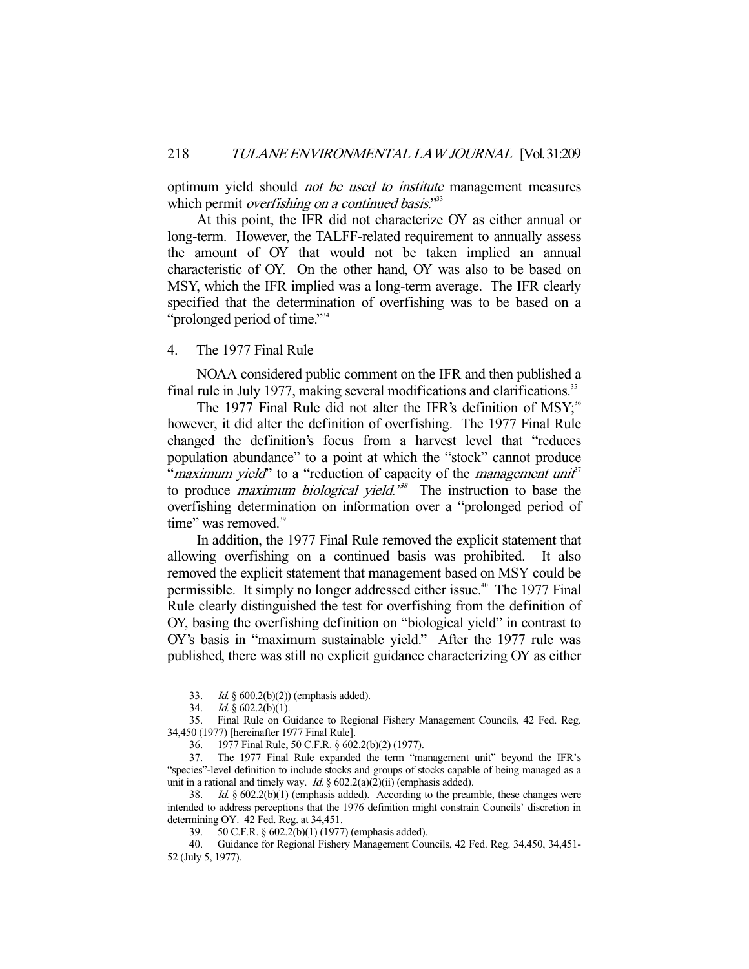optimum yield should not be used to institute management measures which permit *overfishing on a continued basis*."<sup>33</sup>

 At this point, the IFR did not characterize OY as either annual or long-term. However, the TALFF-related requirement to annually assess the amount of OY that would not be taken implied an annual characteristic of OY. On the other hand, OY was also to be based on MSY, which the IFR implied was a long-term average. The IFR clearly specified that the determination of overfishing was to be based on a "prolonged period of time."<sup>34</sup>

# 4. The 1977 Final Rule

 NOAA considered public comment on the IFR and then published a final rule in July 1977, making several modifications and clarifications.<sup>35</sup>

The 1977 Final Rule did not alter the IFR's definition of  $MSY<sup>36</sup>$ however, it did alter the definition of overfishing. The 1977 Final Rule changed the definition's focus from a harvest level that "reduces population abundance" to a point at which the "stock" cannot produce "*maximum yield*" to a "reduction of capacity of the *management unit*" to produce *maximum biological yield.*<sup>38</sup> The instruction to base the overfishing determination on information over a "prolonged period of time" was removed.<sup>39</sup>

 In addition, the 1977 Final Rule removed the explicit statement that allowing overfishing on a continued basis was prohibited. It also removed the explicit statement that management based on MSY could be permissible. It simply no longer addressed either issue.<sup>40</sup> The 1977 Final Rule clearly distinguished the test for overfishing from the definition of OY, basing the overfishing definition on "biological yield" in contrast to OY's basis in "maximum sustainable yield." After the 1977 rule was published, there was still no explicit guidance characterizing OY as either

 <sup>33.</sup> Id. § 600.2(b)(2)) (emphasis added).

<sup>34.</sup> *Id.*  $\frac{8}{9}$  602.2(b)(1).

 <sup>35.</sup> Final Rule on Guidance to Regional Fishery Management Councils, 42 Fed. Reg. 34,450 (1977) [hereinafter 1977 Final Rule].

 <sup>36. 1977</sup> Final Rule, 50 C.F.R. § 602.2(b)(2) (1977).

 <sup>37.</sup> The 1977 Final Rule expanded the term "management unit" beyond the IFR's "species"-level definition to include stocks and groups of stocks capable of being managed as a unit in a rational and timely way. Id.  $\S$  602.2(a)(2)(ii) (emphasis added).

 <sup>38.</sup> Id. § 602.2(b)(1) (emphasis added). According to the preamble, these changes were intended to address perceptions that the 1976 definition might constrain Councils' discretion in determining OY. 42 Fed. Reg. at 34,451.

 <sup>39. 50</sup> C.F.R. § 602.2(b)(1) (1977) (emphasis added).

 <sup>40.</sup> Guidance for Regional Fishery Management Councils, 42 Fed. Reg. 34,450, 34,451- 52 (July 5, 1977).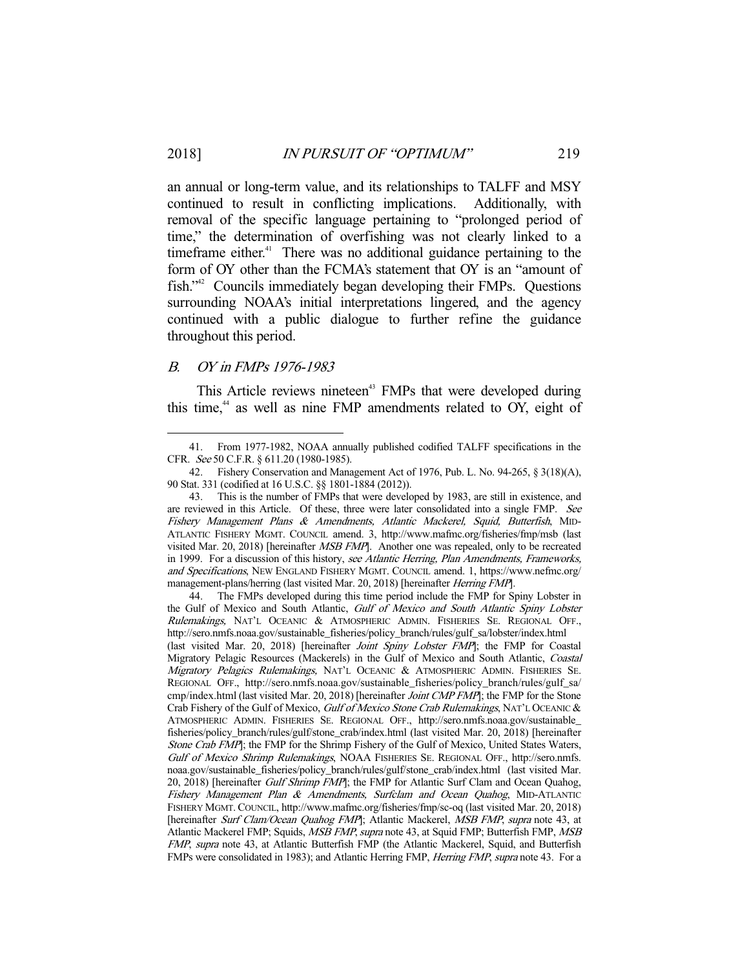an annual or long-term value, and its relationships to TALFF and MSY continued to result in conflicting implications. Additionally, with removal of the specific language pertaining to "prolonged period of time," the determination of overfishing was not clearly linked to a timeframe either. $41$  There was no additional guidance pertaining to the form of OY other than the FCMA's statement that OY is an "amount of fish."42 Councils immediately began developing their FMPs. Questions surrounding NOAA's initial interpretations lingered, and the agency continued with a public dialogue to further refine the guidance throughout this period.

## B. OY in FMPs 1976-1983

-

This Article reviews nineteen<sup>43</sup> FMPs that were developed during this time,<sup>44</sup> as well as nine FMP amendments related to OY, eight of

 <sup>41.</sup> From 1977-1982, NOAA annually published codified TALFF specifications in the CFR. See 50 C.F.R. § 611.20 (1980-1985).

 <sup>42.</sup> Fishery Conservation and Management Act of 1976, Pub. L. No. 94-265, § 3(18)(A), 90 Stat. 331 (codified at 16 U.S.C. §§ 1801-1884 (2012)).

 <sup>43.</sup> This is the number of FMPs that were developed by 1983, are still in existence, and are reviewed in this Article. Of these, three were later consolidated into a single FMP. See Fishery Management Plans & Amendments, Atlantic Mackerel, Squid, Butterfish, MID-ATLANTIC FISHERY MGMT. COUNCIL amend. 3, http://www.mafmc.org/fisheries/fmp/msb (last visited Mar. 20, 2018) [hereinafter MSB FMP]. Another one was repealed, only to be recreated in 1999. For a discussion of this history, see Atlantic Herring, Plan Amendments, Frameworks, and Specifications, NEW ENGLAND FISHERY MGMT. COUNCIL amend. 1, https://www.nefmc.org/ management-plans/herring (last visited Mar. 20, 2018) [hereinafter Herring FMP].

 <sup>44.</sup> The FMPs developed during this time period include the FMP for Spiny Lobster in the Gulf of Mexico and South Atlantic, Gulf of Mexico and South Atlantic Spiny Lobster Rulemakings, NAT'L OCEANIC & ATMOSPHERIC ADMIN. FISHERIES SE. REGIONAL OFF., http://sero.nmfs.noaa.gov/sustainable\_fisheries/policy\_branch/rules/gulf\_sa/lobster/index.html (last visited Mar. 20, 2018) [hereinafter *Joint Spiny Lobster FMP*]; the FMP for Coastal Migratory Pelagic Resources (Mackerels) in the Gulf of Mexico and South Atlantic, Coastal Migratory Pelagics Rulemakings, NAT'L OCEANIC & ATMOSPHERIC ADMIN. FISHERIES SE. REGIONAL OFF., http://sero.nmfs.noaa.gov/sustainable\_fisheries/policy\_branch/rules/gulf\_sa/ cmp/index.html (last visited Mar. 20, 2018) [hereinafter *Joint CMP FMP*]; the FMP for the Stone Crab Fishery of the Gulf of Mexico, Gulf of Mexico Stone Crab Rulemakings, NAT'L OCEANIC & ATMOSPHERIC ADMIN. FISHERIES SE. REGIONAL OFF., http://sero.nmfs.noaa.gov/sustainable\_ fisheries/policy\_branch/rules/gulf/stone\_crab/index.html (last visited Mar. 20, 2018) [hereinafter Stone Crab FMP]; the FMP for the Shrimp Fishery of the Gulf of Mexico, United States Waters, Gulf of Mexico Shrimp Rulemakings, NOAA FISHERIES SE. REGIONAL OFF., http://sero.nmfs. noaa.gov/sustainable\_fisheries/policy\_branch/rules/gulf/stone\_crab/index.html (last visited Mar. 20, 2018) [hereinafter Gulf Shrimp FMP]; the FMP for Atlantic Surf Clam and Ocean Quahog, Fishery Management Plan & Amendments, Surfclam and Ocean Quahog, MID-ATLANTIC FISHERY MGMT. COUNCIL, http://www.mafmc.org/fisheries/fmp/sc-oq (last visited Mar. 20, 2018) [hereinafter Surf Clam/Ocean Quahog FMP]; Atlantic Mackerel, MSB FMP, supra note 43, at Atlantic Mackerel FMP; Squids, MSB FMP, supra note 43, at Squid FMP; Butterfish FMP, MSB FMP, supra note 43, at Atlantic Butterfish FMP (the Atlantic Mackerel, Squid, and Butterfish FMPs were consolidated in 1983); and Atlantic Herring FMP, Herring FMP, supra note 43. For a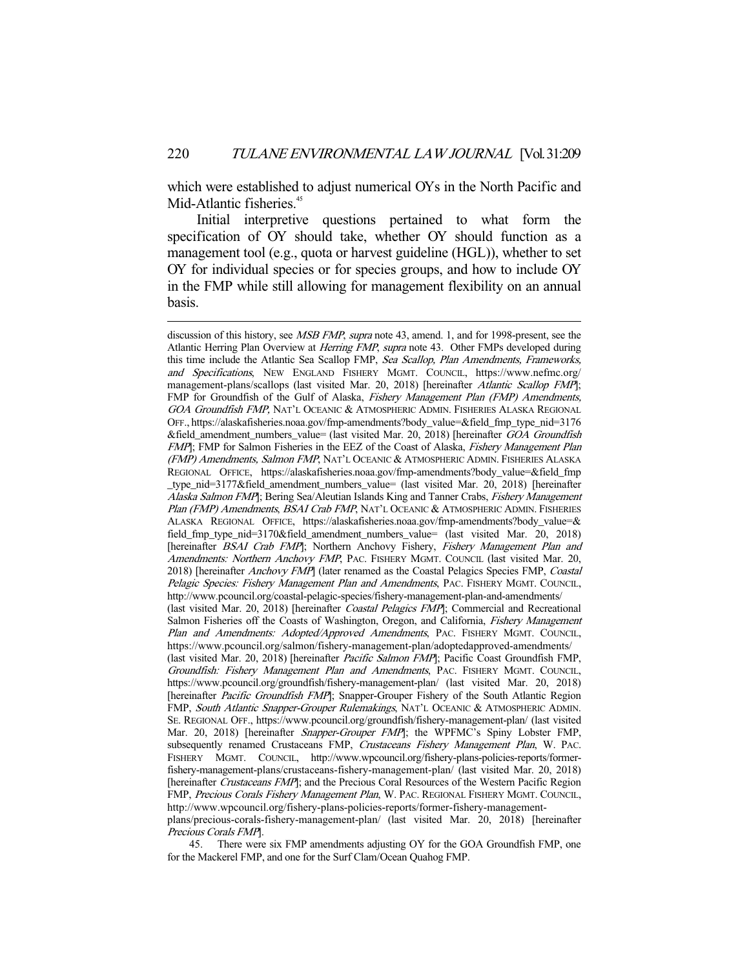which were established to adjust numerical OYs in the North Pacific and Mid-Atlantic fisheries.<sup>45</sup>

 Initial interpretive questions pertained to what form the specification of OY should take, whether OY should function as a management tool (e.g., quota or harvest guideline (HGL)), whether to set OY for individual species or for species groups, and how to include OY in the FMP while still allowing for management flexibility on an annual basis.

-

 45. There were six FMP amendments adjusting OY for the GOA Groundfish FMP, one for the Mackerel FMP, and one for the Surf Clam/Ocean Quahog FMP.

discussion of this history, see MSB FMP, supra note 43, amend. 1, and for 1998-present, see the Atlantic Herring Plan Overview at *Herring FMP*, supra note 43. Other FMPs developed during this time include the Atlantic Sea Scallop FMP, Sea Scallop, Plan Amendments, Frameworks, and Specifications, NEW ENGLAND FISHERY MGMT. COUNCIL, https://www.nefmc.org/ management-plans/scallops (last visited Mar. 20, 2018) [hereinafter Atlantic Scallop FMP]; FMP for Groundfish of the Gulf of Alaska, *Fishery Management Plan (FMP) Amendments*, GOA Groundfish FMP, NAT'L OCEANIC & ATMOSPHERIC ADMIN. FISHERIES ALASKA REGIONAL OFF., https://alaskafisheries.noaa.gov/fmp-amendments?body\_value=&field\_fmp\_type\_nid=3176 &field\_amendment\_numbers\_value= (last visited Mar. 20, 2018) [hereinafter GOA Groundfish FMP]; FMP for Salmon Fisheries in the EEZ of the Coast of Alaska, Fishery Management Plan (FMP) Amendments, Salmon FMP, NAT'L OCEANIC & ATMOSPHERIC ADMIN. FISHERIES ALASKA REGIONAL OFFICE, https://alaskafisheries.noaa.gov/fmp-amendments?body\_value=&field\_fmp \_type\_nid=3177&field\_amendment\_numbers\_value= (last visited Mar. 20, 2018) [hereinafter Alaska Salmon FMP]; Bering Sea/Aleutian Islands King and Tanner Crabs, Fishery Management Plan (FMP) Amendments, BSAI Crab FMP, NAT'L OCEANIC & ATMOSPHERIC ADMIN. FISHERIES ALASKA REGIONAL OFFICE, https://alaskafisheries.noaa.gov/fmp-amendments?body\_value=& field\_fmp\_type\_nid=3170&field\_amendment\_numbers\_value= (last visited Mar. 20, 2018) [hereinafter BSAI Crab FMP]; Northern Anchovy Fishery, Fishery Management Plan and Amendments: Northern Anchovy FMP, PAC. FISHERY MGMT. COUNCIL (last visited Mar. 20, 2018) [hereinafter Anchovy FMP] (later renamed as the Coastal Pelagics Species FMP, Coastal Pelagic Species: Fishery Management Plan and Amendments, PAC. FISHERY MGMT. COUNCIL, http://www.pcouncil.org/coastal-pelagic-species/fishery-management-plan-and-amendments/ (last visited Mar. 20, 2018) [hereinafter Coastal Pelagics FMP]; Commercial and Recreational Salmon Fisheries off the Coasts of Washington, Oregon, and California, Fishery Management Plan and Amendments: Adopted/Approved Amendments, PAC. FISHERY MGMT. COUNCIL, https://www.pcouncil.org/salmon/fishery-management-plan/adoptedapproved-amendments/ (last visited Mar. 20, 2018) [hereinafter Pacific Salmon FMP]; Pacific Coast Groundfish FMP, Groundfish: Fishery Management Plan and Amendments, PAC. FISHERY MGMT. COUNCIL, https://www.pcouncil.org/groundfish/fishery-management-plan/ (last visited Mar. 20, 2018) [hereinafter *Pacific Groundfish FMP*]; Snapper-Grouper Fishery of the South Atlantic Region FMP, South Atlantic Snapper-Grouper Rulemakings, NAT'L OCEANIC & ATMOSPHERIC ADMIN. SE. REGIONAL OFF., https://www.pcouncil.org/groundfish/fishery-management-plan/ (last visited Mar. 20, 2018) [hereinafter *Snapper-Grouper FMP*]; the WPFMC's Spiny Lobster FMP, subsequently renamed Crustaceans FMP, Crustaceans Fishery Management Plan, W. PAC. FISHERY MGMT. COUNCIL, http://www.wpcouncil.org/fishery-plans-policies-reports/formerfishery-management-plans/crustaceans-fishery-management-plan/ (last visited Mar. 20, 2018) [hereinafter Crustaceans FMP]; and the Precious Coral Resources of the Western Pacific Region FMP, Precious Corals Fishery Management Plan, W. PAC. REGIONAL FISHERY MGMT. COUNCIL, http://www.wpcouncil.org/fishery-plans-policies-reports/former-fishery-managementplans/precious-corals-fishery-management-plan/ (last visited Mar. 20, 2018) [hereinafter Precious Corals FMP].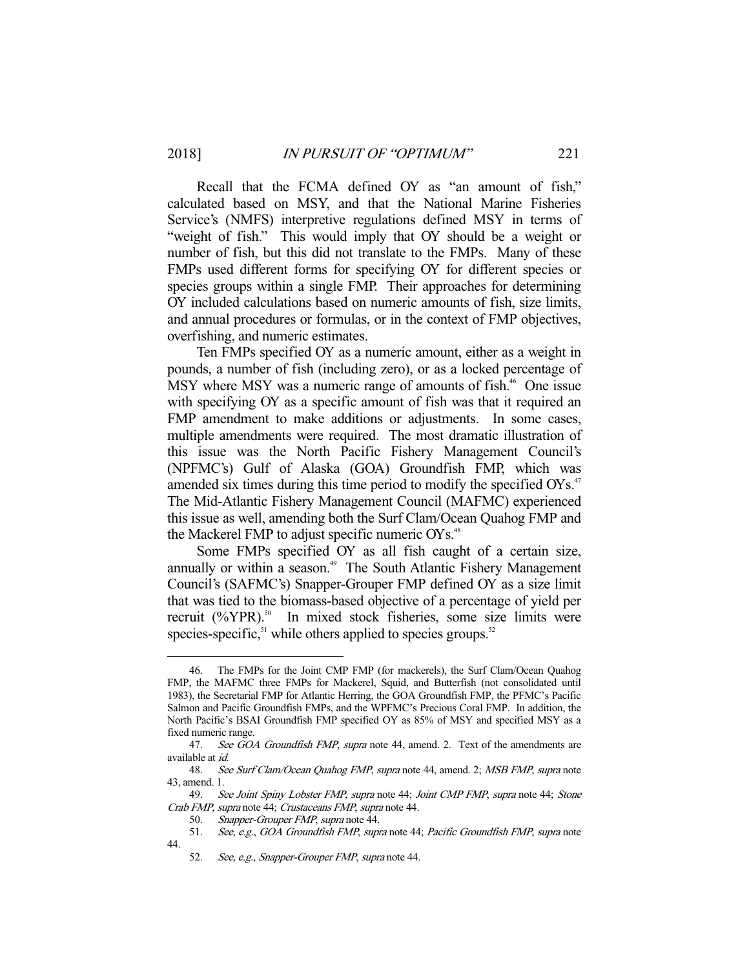Recall that the FCMA defined OY as "an amount of fish," calculated based on MSY, and that the National Marine Fisheries Service's (NMFS) interpretive regulations defined MSY in terms of "weight of fish." This would imply that OY should be a weight or number of fish, but this did not translate to the FMPs. Many of these FMPs used different forms for specifying OY for different species or species groups within a single FMP. Their approaches for determining OY included calculations based on numeric amounts of fish, size limits, and annual procedures or formulas, or in the context of FMP objectives, overfishing, and numeric estimates.

 Ten FMPs specified OY as a numeric amount, either as a weight in pounds, a number of fish (including zero), or as a locked percentage of MSY where MSY was a numeric range of amounts of fish.<sup>46</sup> One issue with specifying OY as a specific amount of fish was that it required an FMP amendment to make additions or adjustments. In some cases, multiple amendments were required. The most dramatic illustration of this issue was the North Pacific Fishery Management Council's (NPFMC's) Gulf of Alaska (GOA) Groundfish FMP, which was amended six times during this time period to modify the specified  $OYs$ <sup>47</sup> The Mid-Atlantic Fishery Management Council (MAFMC) experienced this issue as well, amending both the Surf Clam/Ocean Quahog FMP and the Mackerel FMP to adjust specific numeric  $OYs$ <sup>48</sup>

 Some FMPs specified OY as all fish caught of a certain size, annually or within a season.<sup>49</sup> The South Atlantic Fishery Management Council's (SAFMC's) Snapper-Grouper FMP defined OY as a size limit that was tied to the biomass-based objective of a percentage of yield per recruit  $(^{0}\%$ YPR).<sup>50</sup> In mixed stock fisheries, some size limits were species-specific, $51$  while others applied to species groups. $52$ 

 <sup>46.</sup> The FMPs for the Joint CMP FMP (for mackerels), the Surf Clam/Ocean Quahog FMP, the MAFMC three FMPs for Mackerel, Squid, and Butterfish (not consolidated until 1983), the Secretarial FMP for Atlantic Herring, the GOA Groundfish FMP, the PFMC's Pacific Salmon and Pacific Groundfish FMPs, and the WPFMC's Precious Coral FMP. In addition, the North Pacific's BSAI Groundfish FMP specified OY as 85% of MSY and specified MSY as a fixed numeric range.

<sup>47.</sup> See GOA Groundfish FMP, supra note 44, amend. 2. Text of the amendments are available at id.

<sup>48.</sup> See Surf Clam/Ocean Quahog FMP, supra note 44, amend. 2; MSB FMP, supra note 43, amend. 1.

<sup>49.</sup> See Joint Spiny Lobster FMP, supra note 44; Joint CMP FMP, supra note 44; Stone Crab FMP, supra note 44; Crustaceans FMP, supra note 44.

 <sup>50.</sup> Snapper-Grouper FMP, supra note 44.

<sup>51.</sup> See, e.g., GOA Groundfish FMP, supra note 44; Pacific Groundfish FMP, supra note 44.

 <sup>52.</sup> See, e.g., Snapper-Grouper FMP, supra note 44.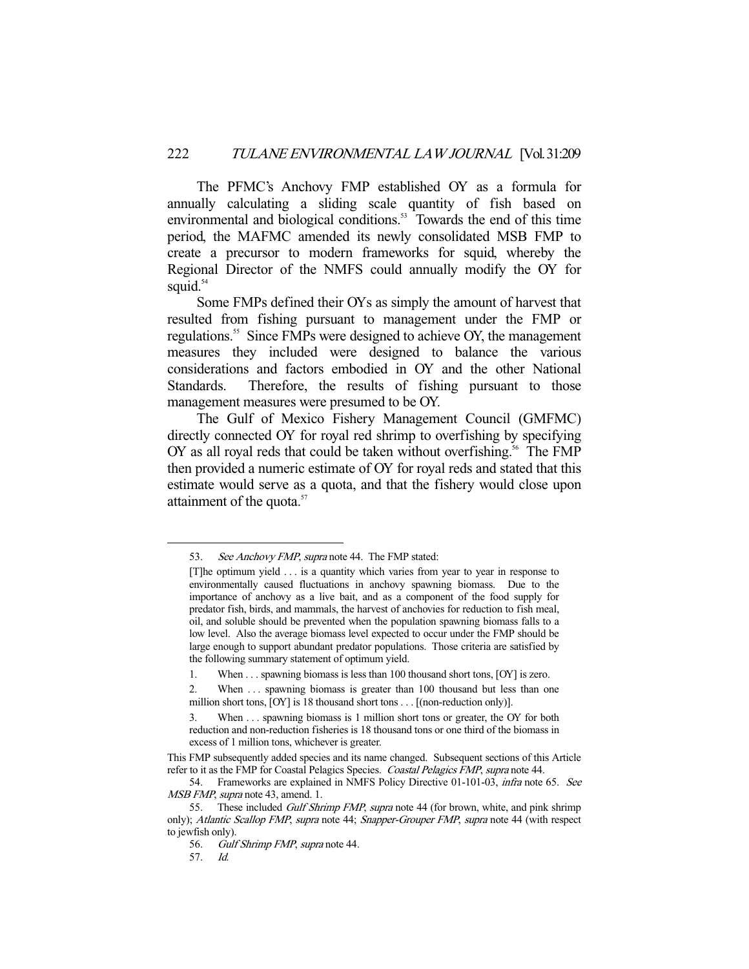The PFMC's Anchovy FMP established OY as a formula for annually calculating a sliding scale quantity of fish based on environmental and biological conditions.<sup>53</sup> Towards the end of this time period, the MAFMC amended its newly consolidated MSB FMP to create a precursor to modern frameworks for squid, whereby the Regional Director of the NMFS could annually modify the OY for squid. $54$ 

 Some FMPs defined their OYs as simply the amount of harvest that resulted from fishing pursuant to management under the FMP or regulations.55 Since FMPs were designed to achieve OY, the management measures they included were designed to balance the various considerations and factors embodied in OY and the other National Standards. Therefore, the results of fishing pursuant to those management measures were presumed to be OY.

 The Gulf of Mexico Fishery Management Council (GMFMC) directly connected OY for royal red shrimp to overfishing by specifying OY as all royal reds that could be taken without overfishing.<sup>56</sup> The FMP then provided a numeric estimate of OY for royal reds and stated that this estimate would serve as a quota, and that the fishery would close upon attainment of the quota.<sup>57</sup>

<sup>53.</sup> See Anchovy FMP, supra note 44. The FMP stated:

<sup>[</sup>T]he optimum yield . . . is a quantity which varies from year to year in response to environmentally caused fluctuations in anchovy spawning biomass. Due to the importance of anchovy as a live bait, and as a component of the food supply for predator fish, birds, and mammals, the harvest of anchovies for reduction to fish meal, oil, and soluble should be prevented when the population spawning biomass falls to a low level. Also the average biomass level expected to occur under the FMP should be large enough to support abundant predator populations. Those criteria are satisfied by the following summary statement of optimum yield.

<sup>1.</sup> When . . . spawning biomass is less than 100 thousand short tons, [OY] is zero.

<sup>2.</sup> When ... spawning biomass is greater than 100 thousand but less than one million short tons, [OY] is 18 thousand short tons . . . [(non-reduction only)].

<sup>3.</sup> When . . . spawning biomass is 1 million short tons or greater, the OY for both reduction and non-reduction fisheries is 18 thousand tons or one third of the biomass in excess of 1 million tons, whichever is greater.

This FMP subsequently added species and its name changed. Subsequent sections of this Article refer to it as the FMP for Coastal Pelagics Species. Coastal Pelagics FMP, supra note 44.

 <sup>54.</sup> Frameworks are explained in NMFS Policy Directive 01-101-03, infra note 65. See MSB FMP, supra note 43, amend. 1.

<sup>55.</sup> These included *Gulf Shrimp FMP*, *supra* note 44 (for brown, white, and pink shrimp only); Atlantic Scallop FMP, supra note 44; Snapper-Grouper FMP, supra note 44 (with respect to jewfish only).

 <sup>56.</sup> Gulf Shrimp FMP, supra note 44.

 <sup>57.</sup> Id.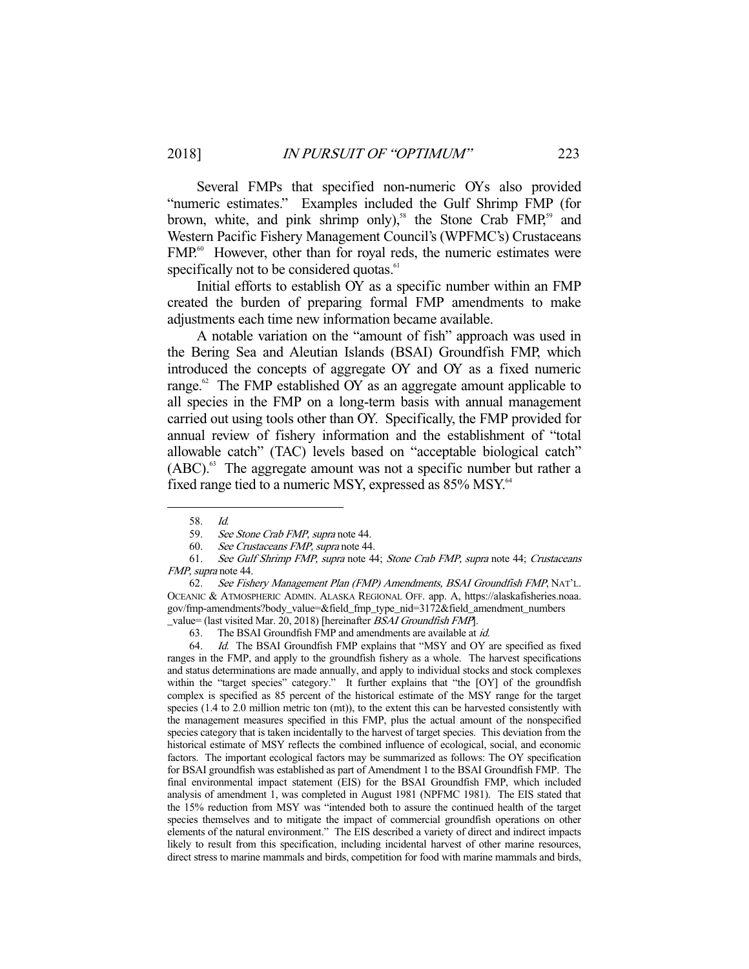Several FMPs that specified non-numeric OYs also provided "numeric estimates." Examples included the Gulf Shrimp FMP (for brown, white, and pink shrimp only),<sup>58</sup> the Stone Crab  $FMP<sub>59</sub>$  and Western Pacific Fishery Management Council's (WPFMC's) Crustaceans FMP.<sup>60</sup> However, other than for royal reds, the numeric estimates were specifically not to be considered quotas.<sup>61</sup>

 Initial efforts to establish OY as a specific number within an FMP created the burden of preparing formal FMP amendments to make adjustments each time new information became available.

 A notable variation on the "amount of fish" approach was used in the Bering Sea and Aleutian Islands (BSAI) Groundfish FMP, which introduced the concepts of aggregate OY and OY as a fixed numeric range. $62$  The FMP established OY as an aggregate amount applicable to all species in the FMP on a long-term basis with annual management carried out using tools other than OY. Specifically, the FMP provided for annual review of fishery information and the establishment of "total allowable catch" (TAC) levels based on "acceptable biological catch"  $(ABC)$ <sup>63</sup>. The aggregate amount was not a specific number but rather a fixed range tied to a numeric MSY, expressed as  $85\%$  MSY.<sup>64</sup>

-

63. The BSAI Groundfish FMP and amendments are available at *id.*<br>64. Let The BSAI Groundfish FMP ovploins that "MSY and CY.

 64. Id. The BSAI Groundfish FMP explains that "MSY and OY are specified as fixed ranges in the FMP, and apply to the groundfish fishery as a whole. The harvest specifications and status determinations are made annually, and apply to individual stocks and stock complexes within the "target species" category." It further explains that "the [OY] of the groundfish complex is specified as 85 percent of the historical estimate of the MSY range for the target species (1.4 to 2.0 million metric ton (mt)), to the extent this can be harvested consistently with the management measures specified in this FMP, plus the actual amount of the nonspecified species category that is taken incidentally to the harvest of target species. This deviation from the historical estimate of MSY reflects the combined influence of ecological, social, and economic factors. The important ecological factors may be summarized as follows: The OY specification for BSAI groundfish was established as part of Amendment 1 to the BSAI Groundfish FMP. The final environmental impact statement (EIS) for the BSAI Groundfish FMP, which included analysis of amendment 1, was completed in August 1981 (NPFMC 1981). The EIS stated that the 15% reduction from MSY was "intended both to assure the continued health of the target species themselves and to mitigate the impact of commercial groundfish operations on other elements of the natural environment." The EIS described a variety of direct and indirect impacts likely to result from this specification, including incidental harvest of other marine resources, direct stress to marine mammals and birds, competition for food with marine mammals and birds,

 <sup>58.</sup> Id.

 <sup>59.</sup> See Stone Crab FMP, supra note 44.

 <sup>60.</sup> See Crustaceans FMP, supra note 44.

 <sup>61.</sup> See Gulf Shrimp FMP, supra note 44; Stone Crab FMP, supra note 44; Crustaceans FMP, supra note 44.

 <sup>62.</sup> See Fishery Management Plan (FMP) Amendments, BSAI Groundfish FMP, NAT'L. OCEANIC & ATMOSPHERIC ADMIN. ALASKA REGIONAL OFF. app. A, https://alaskafisheries.noaa. gov/fmp-amendments?body\_value=&field\_fmp\_type\_nid=3172&field\_amendment\_numbers \_value= (last visited Mar. 20, 2018) [hereinafter BSAI Groundfish FMP].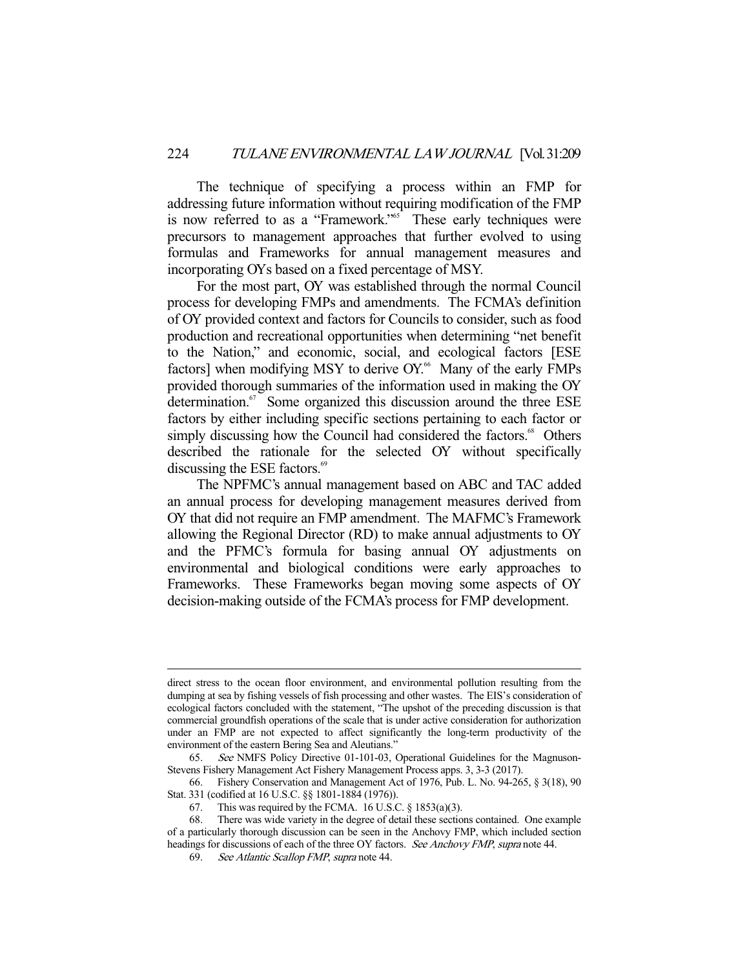The technique of specifying a process within an FMP for addressing future information without requiring modification of the FMP is now referred to as a "Framework."<sup>65</sup> These early techniques were precursors to management approaches that further evolved to using formulas and Frameworks for annual management measures and incorporating OYs based on a fixed percentage of MSY.

 For the most part, OY was established through the normal Council process for developing FMPs and amendments. The FCMA's definition of OY provided context and factors for Councils to consider, such as food production and recreational opportunities when determining "net benefit to the Nation," and economic, social, and ecological factors [ESE factors] when modifying MSY to derive OY.<sup>66</sup> Many of the early FMPs provided thorough summaries of the information used in making the OY determination.<sup>67</sup> Some organized this discussion around the three ESE factors by either including specific sections pertaining to each factor or simply discussing how the Council had considered the factors.<sup>68</sup> Others described the rationale for the selected OY without specifically discussing the ESE factors.<sup>69</sup>

 The NPFMC's annual management based on ABC and TAC added an annual process for developing management measures derived from OY that did not require an FMP amendment. The MAFMC's Framework allowing the Regional Director (RD) to make annual adjustments to OY and the PFMC's formula for basing annual OY adjustments on environmental and biological conditions were early approaches to Frameworks. These Frameworks began moving some aspects of OY decision-making outside of the FCMA's process for FMP development.

direct stress to the ocean floor environment, and environmental pollution resulting from the dumping at sea by fishing vessels of fish processing and other wastes. The EIS's consideration of ecological factors concluded with the statement, "The upshot of the preceding discussion is that commercial groundfish operations of the scale that is under active consideration for authorization under an FMP are not expected to affect significantly the long-term productivity of the environment of the eastern Bering Sea and Aleutians."

 <sup>65.</sup> See NMFS Policy Directive 01-101-03, Operational Guidelines for the Magnuson-Stevens Fishery Management Act Fishery Management Process apps. 3, 3-3 (2017).

 <sup>66.</sup> Fishery Conservation and Management Act of 1976, Pub. L. No. 94-265, § 3(18), 90 Stat. 331 (codified at 16 U.S.C. §§ 1801-1884 (1976)).

<sup>67.</sup> This was required by the FCMA. 16 U.S.C.  $\S$  1853(a)(3).

 <sup>68.</sup> There was wide variety in the degree of detail these sections contained. One example of a particularly thorough discussion can be seen in the Anchovy FMP, which included section headings for discussions of each of the three OY factors. See Anchovy FMP, supra note 44.

<sup>69.</sup> See Atlantic Scallop FMP, supra note 44.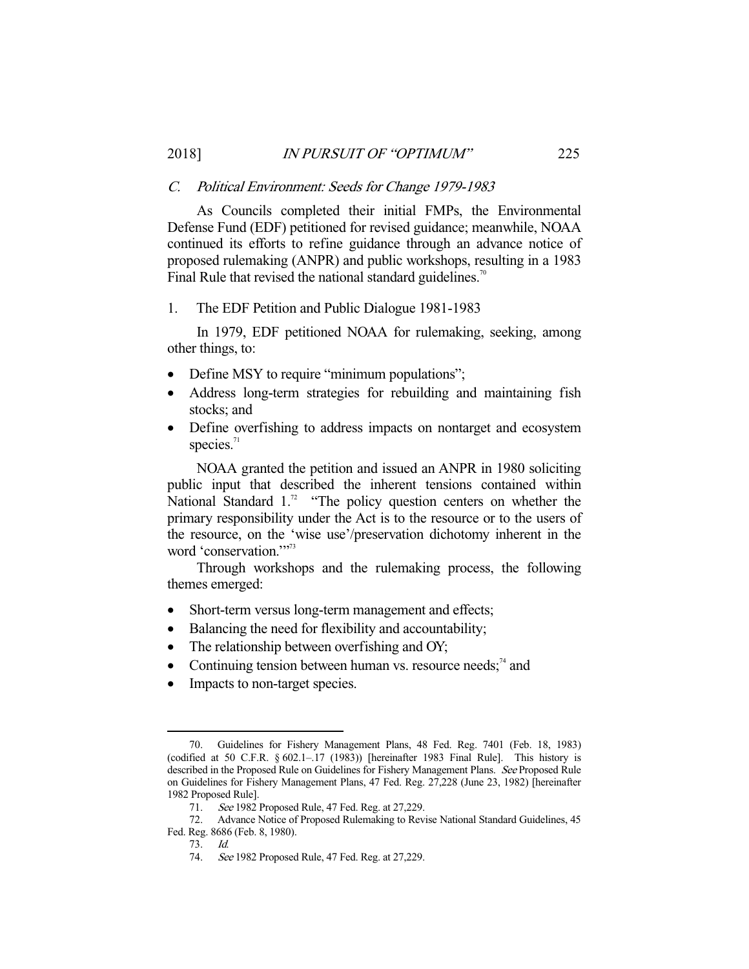# C. Political Environment: Seeds for Change 1979-1983

 As Councils completed their initial FMPs, the Environmental Defense Fund (EDF) petitioned for revised guidance; meanwhile, NOAA continued its efforts to refine guidance through an advance notice of proposed rulemaking (ANPR) and public workshops, resulting in a 1983 Final Rule that revised the national standard guidelines.<sup>70</sup>

# 1. The EDF Petition and Public Dialogue 1981-1983

 In 1979, EDF petitioned NOAA for rulemaking, seeking, among other things, to:

- Define MSY to require "minimum populations";
- Address long-term strategies for rebuilding and maintaining fish stocks; and
- Define overfishing to address impacts on nontarget and ecosystem species. $71$

 NOAA granted the petition and issued an ANPR in 1980 soliciting public input that described the inherent tensions contained within National Standard  $1.^{72}$  "The policy question centers on whether the primary responsibility under the Act is to the resource or to the users of the resource, on the 'wise use'/preservation dichotomy inherent in the word 'conservation."<sup>773</sup>

 Through workshops and the rulemaking process, the following themes emerged:

- Short-term versus long-term management and effects;
- Balancing the need for flexibility and accountability;
- The relationship between overfishing and OY;
- Continuing tension between human vs. resource needs; $74$  and
- Impacts to non-target species.

<sup>-</sup> 70. Guidelines for Fishery Management Plans, 48 Fed. Reg. 7401 (Feb. 18, 1983) (codified at 50 C.F.R.  $\S 602.1-17$  (1983)) [hereinafter 1983 Final Rule]. This history is described in the Proposed Rule on Guidelines for Fishery Management Plans. See Proposed Rule on Guidelines for Fishery Management Plans, 47 Fed. Reg. 27,228 (June 23, 1982) [hereinafter 1982 Proposed Rule].

<sup>71.</sup> See 1982 Proposed Rule, 47 Fed. Reg. at 27,229.

 <sup>72.</sup> Advance Notice of Proposed Rulemaking to Revise National Standard Guidelines, 45 Fed. Reg. 8686 (Feb. 8, 1980).

 <sup>73.</sup> Id.

 <sup>74.</sup> See 1982 Proposed Rule, 47 Fed. Reg. at 27,229.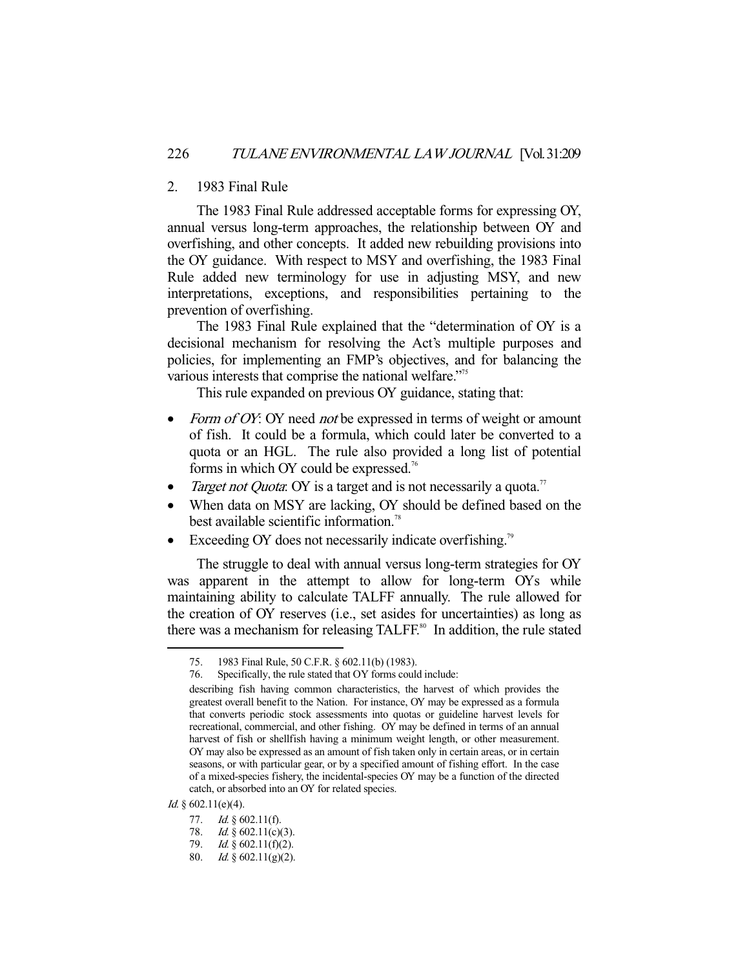## 2. 1983 Final Rule

 The 1983 Final Rule addressed acceptable forms for expressing OY, annual versus long-term approaches, the relationship between OY and overfishing, and other concepts. It added new rebuilding provisions into the OY guidance. With respect to MSY and overfishing, the 1983 Final Rule added new terminology for use in adjusting MSY, and new interpretations, exceptions, and responsibilities pertaining to the prevention of overfishing.

 The 1983 Final Rule explained that the "determination of OY is a decisional mechanism for resolving the Act's multiple purposes and policies, for implementing an FMP's objectives, and for balancing the various interests that comprise the national welfare."<sup>75</sup>

This rule expanded on previous OY guidance, stating that:

- Form of OY: OY need not be expressed in terms of weight or amount of fish. It could be a formula, which could later be converted to a quota or an HGL. The rule also provided a long list of potential forms in which OY could be expressed.<sup>76</sup>
- Target not Quota: OY is a target and is not necessarily a quota.<sup>77</sup>
- When data on MSY are lacking, OY should be defined based on the best available scientific information.<sup>78</sup>
- Exceeding OY does not necessarily indicate overfishing.<sup>79</sup>

 The struggle to deal with annual versus long-term strategies for OY was apparent in the attempt to allow for long-term OYs while maintaining ability to calculate TALFF annually. The rule allowed for the creation of OY reserves (i.e., set asides for uncertainties) as long as there was a mechanism for releasing TALFF.<sup>80</sup> In addition, the rule stated

 <sup>75. 1983</sup> Final Rule, 50 C.F.R. § 602.11(b) (1983).

 <sup>76.</sup> Specifically, the rule stated that OY forms could include:

describing fish having common characteristics, the harvest of which provides the greatest overall benefit to the Nation. For instance, OY may be expressed as a formula that converts periodic stock assessments into quotas or guideline harvest levels for recreational, commercial, and other fishing. OY may be defined in terms of an annual harvest of fish or shellfish having a minimum weight length, or other measurement. OY may also be expressed as an amount of fish taken only in certain areas, or in certain seasons, or with particular gear, or by a specified amount of fishing effort. In the case of a mixed-species fishery, the incidental-species OY may be a function of the directed catch, or absorbed into an OY for related species.

 $Id.$  § 602.11(e)(4).

<sup>77.</sup> *Id.* § 602.11(f).

<sup>78.</sup> Id.  $\S$  602.11(c)(3).

<sup>79.</sup> Id.  $\S 602.11(f)(2)$ .

 <sup>80.</sup> Id. § 602.11(g)(2).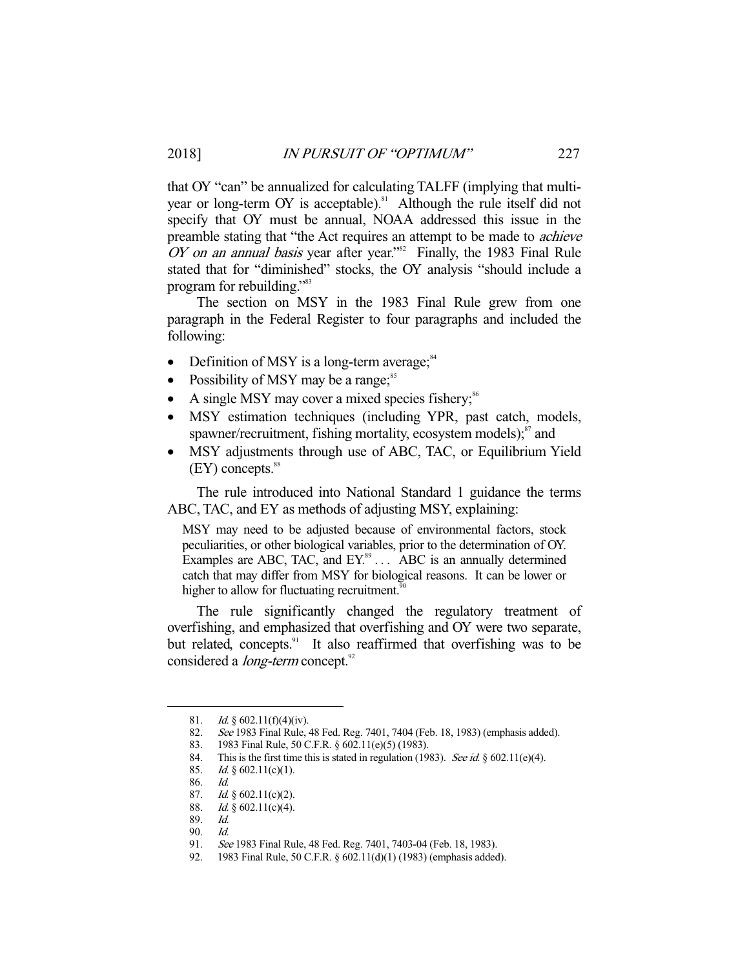that OY "can" be annualized for calculating TALFF (implying that multiyear or long-term OY is acceptable).<sup>81</sup> Although the rule itself did not specify that OY must be annual, NOAA addressed this issue in the preamble stating that "the Act requires an attempt to be made to achieve OY on an annual basis year after year."<sup>82</sup> Finally, the 1983 Final Rule stated that for "diminished" stocks, the OY analysis "should include a program for rebuilding."<sup>83</sup>

 The section on MSY in the 1983 Final Rule grew from one paragraph in the Federal Register to four paragraphs and included the following:

- Definition of MSY is a long-term average; $^{84}$
- Possibility of MSY may be a range; $^{85}$
- A single MSY may cover a mixed species fishery;<sup>86</sup>
- MSY estimation techniques (including YPR, past catch, models, spawner/recruitment, fishing mortality, ecosystem models);<sup>87</sup> and
- MSY adjustments through use of ABC, TAC, or Equilibrium Yield  $(EY)$  concepts. $88$

 The rule introduced into National Standard 1 guidance the terms ABC, TAC, and EY as methods of adjusting MSY, explaining:

MSY may need to be adjusted because of environmental factors, stock peculiarities, or other biological variables, prior to the determination of OY. Examples are ABC, TAC, and  $EY$ <sup>89</sup>  $\ldots$  ABC is an annually determined catch that may differ from MSY for biological reasons. It can be lower or higher to allow for fluctuating recruitment.<sup>9</sup>

 The rule significantly changed the regulatory treatment of overfishing, and emphasized that overfishing and OY were two separate, but related, concepts.<sup>91</sup> It also reaffirmed that overfishing was to be considered a *long-term* concept.<sup>92</sup>

<sup>81.</sup> *Id.* § 602.11(f)(4)(iv).

 <sup>82.</sup> See 1983 Final Rule, 48 Fed. Reg. 7401, 7404 (Feb. 18, 1983) (emphasis added).

 <sup>83. 1983</sup> Final Rule, 50 C.F.R. § 602.11(e)(5) (1983).

<sup>84.</sup> This is the first time this is stated in regulation (1983). See id. § 602.11(e)(4).

<sup>85.</sup> *Id.* § 602.11(c)(1).

 <sup>86.</sup> Id.

<sup>87.</sup> Id.  $\S$  602.11(c)(2).

<sup>88.</sup> Id.  $\S$  602.11(c)(4).

 <sup>89.</sup> Id.

 <sup>90.</sup> Id.

 <sup>91.</sup> See 1983 Final Rule, 48 Fed. Reg. 7401, 7403-04 (Feb. 18, 1983).

 <sup>92. 1983</sup> Final Rule, 50 C.F.R. § 602.11(d)(1) (1983) (emphasis added).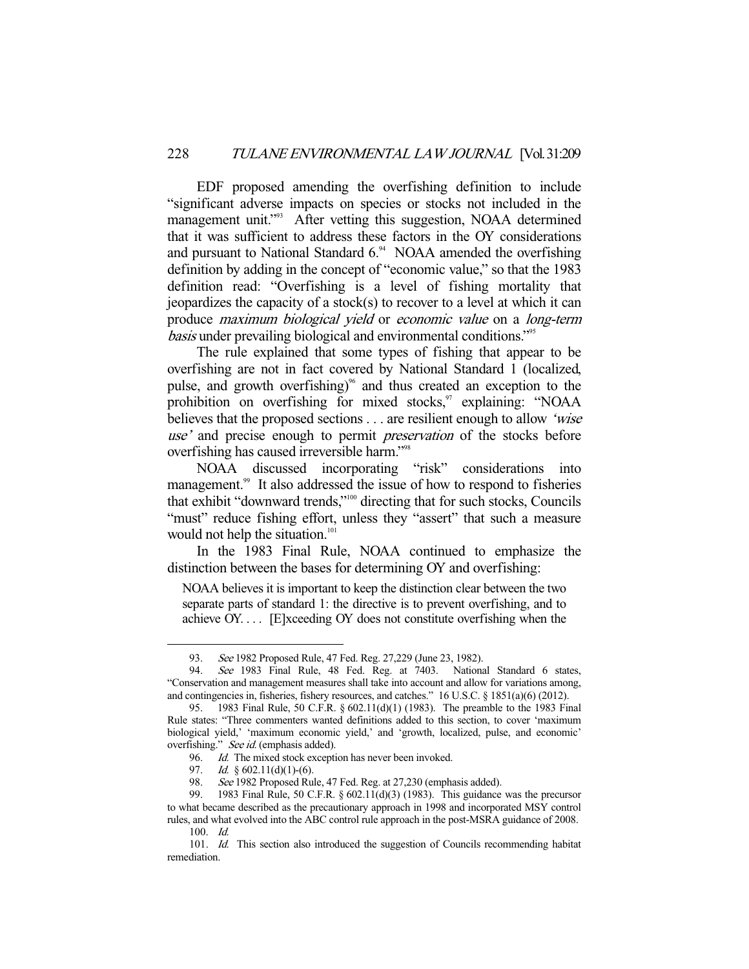EDF proposed amending the overfishing definition to include "significant adverse impacts on species or stocks not included in the management unit."<sup>93</sup> After vetting this suggestion, NOAA determined that it was sufficient to address these factors in the OY considerations and pursuant to National Standard  $6<sup>94</sup>$  NOAA amended the overfishing definition by adding in the concept of "economic value," so that the 1983 definition read: "Overfishing is a level of fishing mortality that jeopardizes the capacity of a stock(s) to recover to a level at which it can produce maximum biological yield or economic value on a long-term basis under prevailing biological and environmental conditions."95

 The rule explained that some types of fishing that appear to be overfishing are not in fact covered by National Standard 1 (localized, pulse, and growth overfishing)<sup> $\%$ </sup> and thus created an exception to the prohibition on overfishing for mixed stocks, $\frac{97}{12}$  explaining: "NOAA believes that the proposed sections . . . are resilient enough to allow 'wise use' and precise enough to permit *preservation* of the stocks before overfishing has caused irreversible harm."98

 NOAA discussed incorporating "risk" considerations into management.<sup>99</sup> It also addressed the issue of how to respond to fisheries that exhibit "downward trends,"100 directing that for such stocks, Councils "must" reduce fishing effort, unless they "assert" that such a measure would not help the situation.<sup>101</sup>

 In the 1983 Final Rule, NOAA continued to emphasize the distinction between the bases for determining OY and overfishing:

NOAA believes it is important to keep the distinction clear between the two separate parts of standard 1: the directive is to prevent overfishing, and to achieve OY. . . . [E]xceeding OY does not constitute overfishing when the

<sup>93.</sup> See 1982 Proposed Rule, 47 Fed. Reg. 27,229 (June 23, 1982).

 <sup>94.</sup> See 1983 Final Rule, 48 Fed. Reg. at 7403. National Standard 6 states, "Conservation and management measures shall take into account and allow for variations among, and contingencies in, fisheries, fishery resources, and catches." 16 U.S.C. § 1851(a)(6) (2012).

 <sup>95. 1983</sup> Final Rule, 50 C.F.R. § 602.11(d)(1) (1983). The preamble to the 1983 Final Rule states: "Three commenters wanted definitions added to this section, to cover 'maximum biological yield,' 'maximum economic yield,' and 'growth, localized, pulse, and economic' overfishing." See id. (emphasis added).

 <sup>96.</sup> Id. The mixed stock exception has never been invoked.

<sup>97.</sup> *Id.* § 602.11(d)(1)-(6).

<sup>98.</sup> See 1982 Proposed Rule, 47 Fed. Reg. at 27,230 (emphasis added).

 <sup>99. 1983</sup> Final Rule, 50 C.F.R. § 602.11(d)(3) (1983). This guidance was the precursor to what became described as the precautionary approach in 1998 and incorporated MSY control rules, and what evolved into the ABC control rule approach in the post-MSRA guidance of 2008. 100. Id.

<sup>101.</sup> Id. This section also introduced the suggestion of Councils recommending habitat remediation.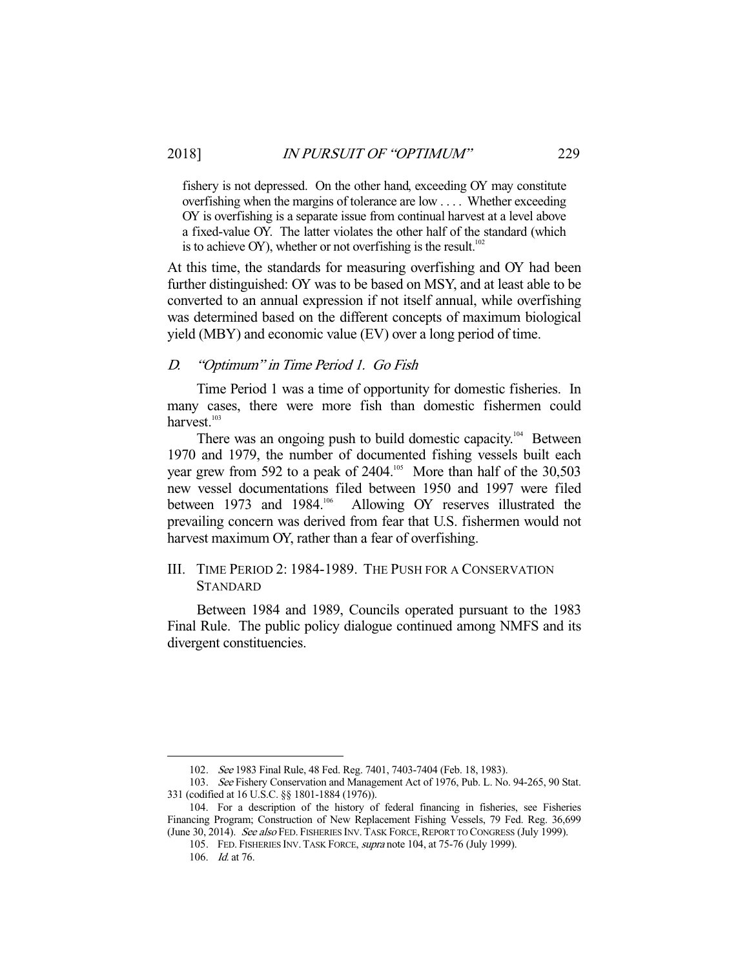fishery is not depressed. On the other hand, exceeding OY may constitute overfishing when the margins of tolerance are low . . . . Whether exceeding OY is overfishing is a separate issue from continual harvest at a level above a fixed-value OY. The latter violates the other half of the standard (which is to achieve OY), whether or not overfishing is the result.<sup>102</sup>

At this time, the standards for measuring overfishing and OY had been further distinguished: OY was to be based on MSY, and at least able to be converted to an annual expression if not itself annual, while overfishing was determined based on the different concepts of maximum biological yield (MBY) and economic value (EV) over a long period of time.

#### D. "Optimum" in Time Period 1. Go Fish

 Time Period 1 was a time of opportunity for domestic fisheries. In many cases, there were more fish than domestic fishermen could harvest.<sup>103</sup>

There was an ongoing push to build domestic capacity.<sup>104</sup> Between 1970 and 1979, the number of documented fishing vessels built each year grew from 592 to a peak of  $2404$ .<sup>105</sup> More than half of the 30,503 new vessel documentations filed between 1950 and 1997 were filed<br>between 1973 and 1984.<sup>106</sup> Allowing OY reserves illustrated the Allowing OY reserves illustrated the prevailing concern was derived from fear that U.S. fishermen would not harvest maximum OY, rather than a fear of overfishing.

# III. TIME PERIOD 2: 1984-1989. THE PUSH FOR A CONSERVATION STANDARD

 Between 1984 and 1989, Councils operated pursuant to the 1983 Final Rule. The public policy dialogue continued among NMFS and its divergent constituencies.

 <sup>102.</sup> See 1983 Final Rule, 48 Fed. Reg. 7401, 7403-7404 (Feb. 18, 1983).

 <sup>103.</sup> See Fishery Conservation and Management Act of 1976, Pub. L. No. 94-265, 90 Stat. 331 (codified at 16 U.S.C. §§ 1801-1884 (1976)).

 <sup>104.</sup> For a description of the history of federal financing in fisheries, see Fisheries Financing Program; Construction of New Replacement Fishing Vessels, 79 Fed. Reg. 36,699 (June 30, 2014). See also FED. FISHERIES INV. TASK FORCE, REPORT TO CONGRESS (July 1999).

<sup>105.</sup> FED. FISHERIES INV. TASK FORCE, supra note 104, at 75-76 (July 1999).

 <sup>106.</sup> Id. at 76.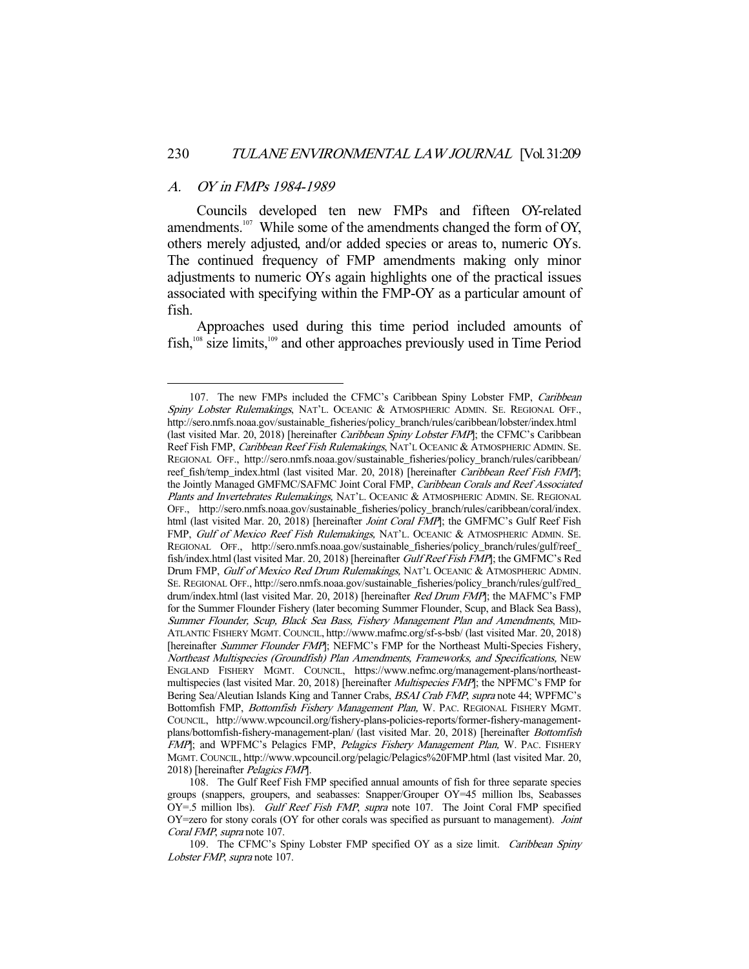#### A. OY in FMPs 1984-1989

-

 Councils developed ten new FMPs and fifteen OY-related amendments.<sup>107</sup> While some of the amendments changed the form of OY, others merely adjusted, and/or added species or areas to, numeric OYs. The continued frequency of FMP amendments making only minor adjustments to numeric OYs again highlights one of the practical issues associated with specifying within the FMP-OY as a particular amount of fish.

 Approaches used during this time period included amounts of fish,108 size limits,109 and other approaches previously used in Time Period

<sup>107.</sup> The new FMPs included the CFMC's Caribbean Spiny Lobster FMP, Caribbean Spiny Lobster Rulemakings, NAT'L. OCEANIC & ATMOSPHERIC ADMIN. SE. REGIONAL OFF., http://sero.nmfs.noaa.gov/sustainable\_fisheries/policy\_branch/rules/caribbean/lobster/index.html (last visited Mar. 20, 2018) [hereinafter *Caribbean Spiny Lobster FMP*]; the CFMC's Caribbean Reef Fish FMP, Caribbean Reef Fish Rulemakings, NAT'L OCEANIC & ATMOSPHERIC ADMIN. SE. REGIONAL OFF., http://sero.nmfs.noaa.gov/sustainable\_fisheries/policy\_branch/rules/caribbean/ reef\_fish/temp\_index.html (last visited Mar. 20, 2018) [hereinafter Caribbean Reef Fish FMP]; the Jointly Managed GMFMC/SAFMC Joint Coral FMP, Caribbean Corals and Reef Associated Plants and Invertebrates Rulemakings, NAT'L. OCEANIC & ATMOSPHERIC ADMIN. SE. REGIONAL OFF., http://sero.nmfs.noaa.gov/sustainable\_fisheries/policy\_branch/rules/caribbean/coral/index. html (last visited Mar. 20, 2018) [hereinafter *Joint Coral FMP*]; the GMFMC's Gulf Reef Fish FMP, Gulf of Mexico Reef Fish Rulemakings, NAT'L. OCEANIC & ATMOSPHERIC ADMIN. SE. REGIONAL OFF., http://sero.nmfs.noaa.gov/sustainable\_fisheries/policy\_branch/rules/gulf/reef\_ fish/index.html(last visited Mar. 20, 2018) [hereinafter Gulf Reef Fish FMP]; the GMFMC's Red Drum FMP, Gulf of Mexico Red Drum Rulemakings, NAT'L OCEANIC & ATMOSPHERIC ADMIN. SE. REGIONAL OFF., http://sero.nmfs.noaa.gov/sustainable\_fisheries/policy\_branch/rules/gulf/red\_ drum/index.html (last visited Mar. 20, 2018) [hereinafter *Red Drum FMP*]; the MAFMC's FMP for the Summer Flounder Fishery (later becoming Summer Flounder, Scup, and Black Sea Bass), Summer Flounder, Scup, Black Sea Bass, Fishery Management Plan and Amendments, MID-ATLANTIC FISHERY MGMT. COUNCIL, http://www.mafmc.org/sf-s-bsb/ (last visited Mar. 20, 2018) [hereinafter *Summer Flounder FMP*]; NEFMC's FMP for the Northeast Multi-Species Fishery, Northeast Multispecies (Groundfish) Plan Amendments, Frameworks, and Specifications, NEW ENGLAND FISHERY MGMT. COUNCIL, https://www.nefmc.org/management-plans/northeastmultispecies (last visited Mar. 20, 2018) [hereinafter *Multispecies FMP*]; the NPFMC's FMP for Bering Sea/Aleutian Islands King and Tanner Crabs, BSAI Crab FMP, supra note 44; WPFMC's Bottomfish FMP, Bottomfish Fishery Management Plan, W. PAC. REGIONAL FISHERY MGMT. COUNCIL, http://www.wpcouncil.org/fishery-plans-policies-reports/former-fishery-managementplans/bottomfish-fishery-management-plan/ (last visited Mar. 20, 2018) [hereinafter Bottomfish FMP]; and WPFMC's Pelagics FMP, Pelagics Fishery Management Plan, W. PAC. FISHERY MGMT. COUNCIL, http://www.wpcouncil.org/pelagic/Pelagics%20FMP.html (last visited Mar. 20, 2018) [hereinafter Pelagics FMP].

 <sup>108.</sup> The Gulf Reef Fish FMP specified annual amounts of fish for three separate species groups (snappers, groupers, and seabasses: Snapper/Grouper OY=45 million lbs, Seabasses OY=.5 million lbs). Gulf Reef Fish FMP, supra note 107. The Joint Coral FMP specified OY=zero for stony corals (OY for other corals was specified as pursuant to management). Joint Coral FMP, supra note 107.

<sup>109.</sup> The CFMC's Spiny Lobster FMP specified OY as a size limit. Caribbean Spiny Lobster FMP, supra note 107.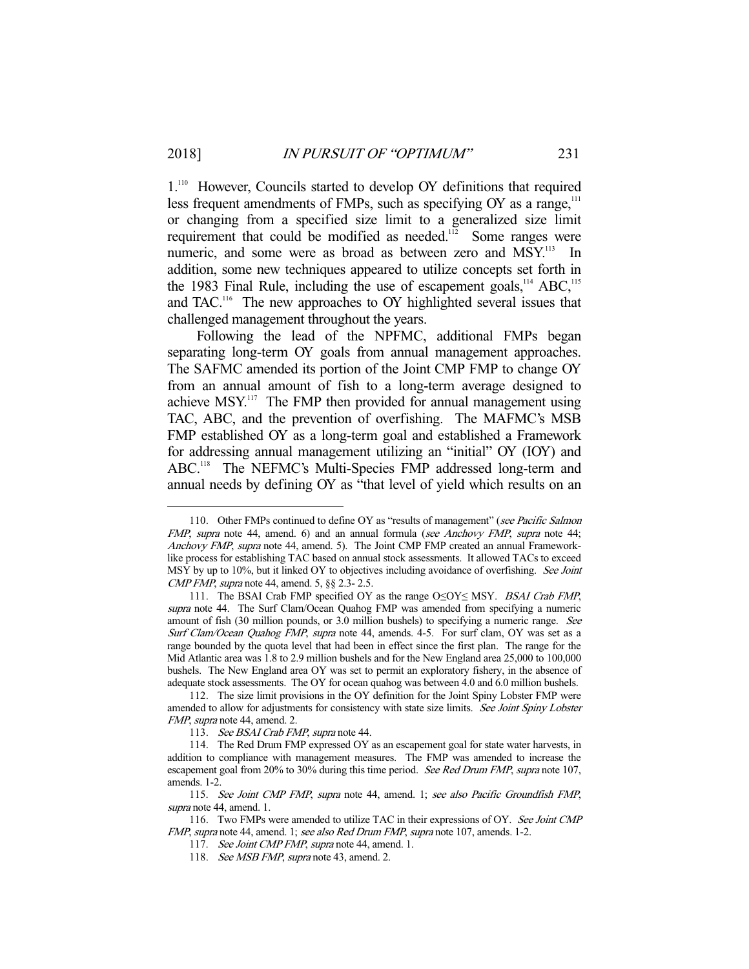1.<sup>110</sup> However, Councils started to develop OY definitions that required less frequent amendments of FMPs, such as specifying OY as a range,<sup>111</sup> or changing from a specified size limit to a generalized size limit requirement that could be modified as needed.<sup>112</sup> Some ranges were numeric, and some were as broad as between zero and MSY.<sup>113</sup> In addition, some new techniques appeared to utilize concepts set forth in the 1983 Final Rule, including the use of escapement goals,  $^{114}$  ABC,  $^{115}$ and TAC.<sup>116</sup> The new approaches to OY highlighted several issues that challenged management throughout the years.

 Following the lead of the NPFMC, additional FMPs began separating long-term OY goals from annual management approaches. The SAFMC amended its portion of the Joint CMP FMP to change OY from an annual amount of fish to a long-term average designed to achieve MSY.<sup>117</sup> The FMP then provided for annual management using TAC, ABC, and the prevention of overfishing. The MAFMC's MSB FMP established OY as a long-term goal and established a Framework for addressing annual management utilizing an "initial" OY (IOY) and ABC.<sup>118</sup> The NEFMC's Multi-Species FMP addressed long-term and annual needs by defining OY as "that level of yield which results on an

<sup>110.</sup> Other FMPs continued to define OY as "results of management" (see Pacific Salmon FMP, supra note 44, amend. 6) and an annual formula (see Anchovy FMP, supra note 44; Anchovy FMP, supra note 44, amend. 5). The Joint CMP FMP created an annual Frameworklike process for establishing TAC based on annual stock assessments. It allowed TACs to exceed MSY by up to 10%, but it linked OY to objectives including avoidance of overfishing. See Joint CMP FMP, supra note 44, amend. 5, §§ 2.3- 2.5.

 <sup>111.</sup> The BSAI Crab FMP specified OY as the range O≤OY≤ MSY. BSAI Crab FMP, supra note 44. The Surf Clam/Ocean Quahog FMP was amended from specifying a numeric amount of fish (30 million pounds, or 3.0 million bushels) to specifying a numeric range. See Surf Clam/Ocean Quahog FMP, supra note 44, amends. 4-5. For surf clam, OY was set as a range bounded by the quota level that had been in effect since the first plan. The range for the Mid Atlantic area was 1.8 to 2.9 million bushels and for the New England area 25,000 to 100,000 bushels. The New England area OY was set to permit an exploratory fishery, in the absence of adequate stock assessments. The OY for ocean quahog was between 4.0 and 6.0 million bushels.

 <sup>112.</sup> The size limit provisions in the OY definition for the Joint Spiny Lobster FMP were amended to allow for adjustments for consistency with state size limits. See Joint Spiny Lobster FMP, supra note 44, amend. 2.

<sup>113.</sup> See BSAI Crab FMP, supra note 44.

 <sup>114.</sup> The Red Drum FMP expressed OY as an escapement goal for state water harvests, in addition to compliance with management measures. The FMP was amended to increase the escapement goal from 20% to 30% during this time period. See Red Drum FMP, supra note 107, amends. 1-2.

 <sup>115.</sup> See Joint CMP FMP, supra note 44, amend. 1; see also Pacific Groundfish FMP, supra note 44, amend. 1.

<sup>116.</sup> Two FMPs were amended to utilize TAC in their expressions of OY. See Joint CMP FMP, supra note 44, amend. 1; see also Red Drum FMP, supra note 107, amends. 1-2.

<sup>117.</sup> See Joint CMP FMP, supra note 44, amend. 1.

<sup>118.</sup> See MSB FMP, supra note 43, amend. 2.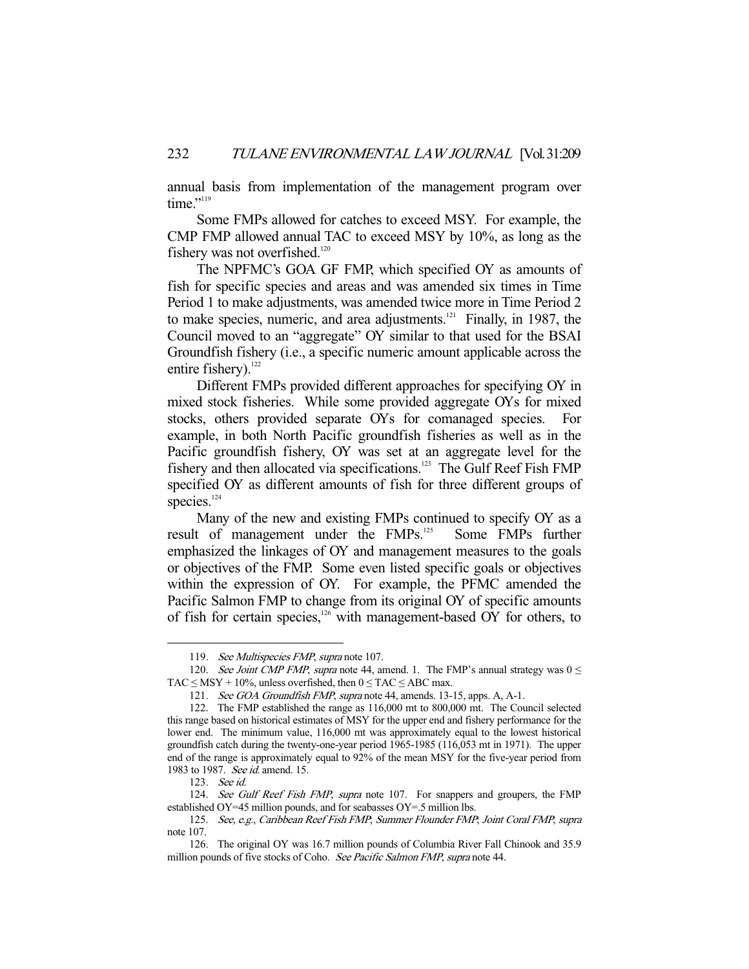annual basis from implementation of the management program over time."<sup>119</sup>

 Some FMPs allowed for catches to exceed MSY. For example, the CMP FMP allowed annual TAC to exceed MSY by 10%, as long as the fishery was not overfished.<sup>120</sup>

 The NPFMC's GOA GF FMP, which specified OY as amounts of fish for specific species and areas and was amended six times in Time Period 1 to make adjustments, was amended twice more in Time Period 2 to make species, numeric, and area adjustments. $121$  Finally, in 1987, the Council moved to an "aggregate" OY similar to that used for the BSAI Groundfish fishery (i.e., a specific numeric amount applicable across the entire fishery). $^{122}$ 

 Different FMPs provided different approaches for specifying OY in mixed stock fisheries. While some provided aggregate OYs for mixed stocks, others provided separate OYs for comanaged species. For example, in both North Pacific groundfish fisheries as well as in the Pacific groundfish fishery, OY was set at an aggregate level for the fishery and then allocated via specifications.<sup>123</sup> The Gulf Reef Fish FMP specified OY as different amounts of fish for three different groups of species.<sup>124</sup>

 Many of the new and existing FMPs continued to specify OY as a result of management under the FMPs.<sup>125</sup> Some FMPs further emphasized the linkages of OY and management measures to the goals or objectives of the FMP. Some even listed specific goals or objectives within the expression of OY. For example, the PFMC amended the Pacific Salmon FMP to change from its original OY of specific amounts of fish for certain species, $126$  with management-based OY for others, to

<sup>119.</sup> See Multispecies FMP, supra note 107.

<sup>120.</sup> See Joint CMP FMP, supra note 44, amend. 1. The FMP's annual strategy was  $0 \le$ TAC  $\leq$  MSY + 10%, unless overfished, then  $0 \leq$  TAC  $\leq$  ABC max.

 <sup>121.</sup> See GOA Groundfish FMP, supra note 44, amends. 13-15, apps. A, A-1.

 <sup>122.</sup> The FMP established the range as 116,000 mt to 800,000 mt. The Council selected this range based on historical estimates of MSY for the upper end and fishery performance for the lower end. The minimum value, 116,000 mt was approximately equal to the lowest historical groundfish catch during the twenty-one-year period 1965-1985 (116,053 mt in 1971). The upper end of the range is approximately equal to 92% of the mean MSY for the five-year period from 1983 to 1987. See id. amend. 15.

 <sup>123.</sup> See id.

<sup>124.</sup> See Gulf Reef Fish FMP, supra note 107. For snappers and groupers, the FMP established OY=45 million pounds, and for seabasses OY=.5 million lbs.

 <sup>125.</sup> See, e.g., Caribbean Reef Fish FMP; Summer Flounder FMP; Joint Coral FMP, supra note 107.

 <sup>126.</sup> The original OY was 16.7 million pounds of Columbia River Fall Chinook and 35.9 million pounds of five stocks of Coho. See Pacific Salmon FMP, supra note 44.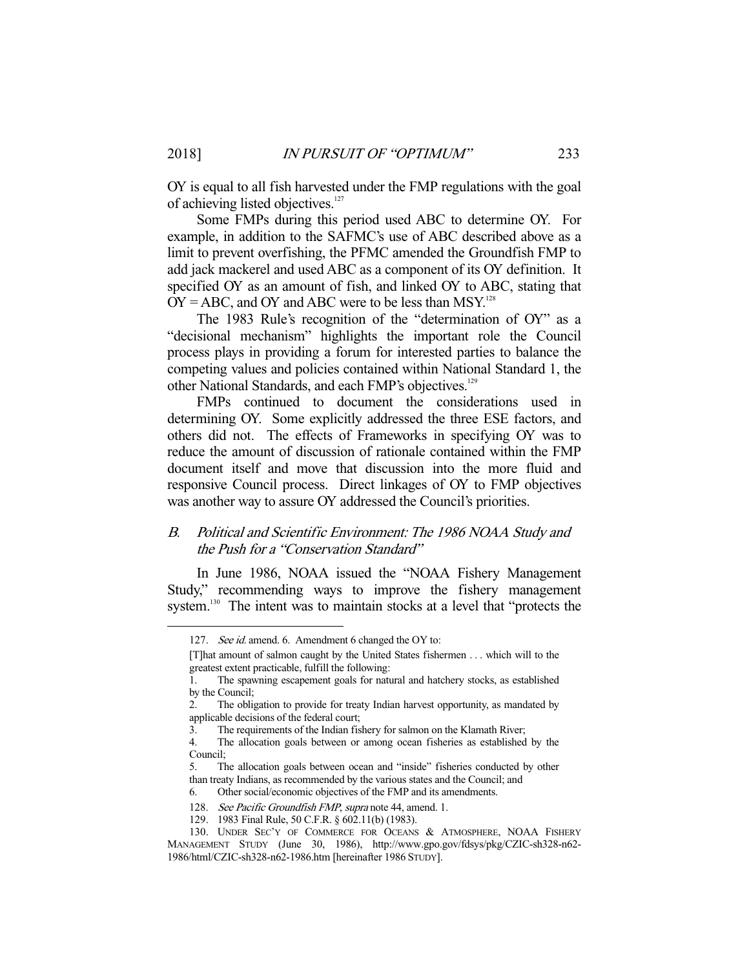OY is equal to all fish harvested under the FMP regulations with the goal of achieving listed objectives.<sup>127</sup>

 Some FMPs during this period used ABC to determine OY. For example, in addition to the SAFMC's use of ABC described above as a limit to prevent overfishing, the PFMC amended the Groundfish FMP to add jack mackerel and used ABC as a component of its OY definition. It specified OY as an amount of fish, and linked OY to ABC, stating that  $OY = ABC$ , and  $OY$  and ABC were to be less than MSY.<sup>128</sup>

 The 1983 Rule's recognition of the "determination of OY" as a "decisional mechanism" highlights the important role the Council process plays in providing a forum for interested parties to balance the competing values and policies contained within National Standard 1, the other National Standards, and each FMP's objectives.<sup>129</sup>

 FMPs continued to document the considerations used in determining OY. Some explicitly addressed the three ESE factors, and others did not. The effects of Frameworks in specifying OY was to reduce the amount of discussion of rationale contained within the FMP document itself and move that discussion into the more fluid and responsive Council process. Direct linkages of OY to FMP objectives was another way to assure OY addressed the Council's priorities.

# B. Political and Scientific Environment: The 1986 NOAA Study and the Push for a "Conservation Standard"

 In June 1986, NOAA issued the "NOAA Fishery Management Study," recommending ways to improve the fishery management system.<sup>130</sup> The intent was to maintain stocks at a level that "protects the

<sup>127.</sup> See id. amend. 6. Amendment 6 changed the OY to:

<sup>[</sup>T]hat amount of salmon caught by the United States fishermen . . . which will to the greatest extent practicable, fulfill the following:

<sup>1.</sup> The spawning escapement goals for natural and hatchery stocks, as established by the Council;

<sup>2.</sup> The obligation to provide for treaty Indian harvest opportunity, as mandated by applicable decisions of the federal court;

<sup>3.</sup> The requirements of the Indian fishery for salmon on the Klamath River;

<sup>4.</sup> The allocation goals between or among ocean fisheries as established by the Council;

<sup>5.</sup> The allocation goals between ocean and "inside" fisheries conducted by other than treaty Indians, as recommended by the various states and the Council; and

<sup>6.</sup> Other social/economic objectives of the FMP and its amendments.

<sup>128.</sup> See Pacific Groundfish FMP, supra note 44, amend. 1.

 <sup>129. 1983</sup> Final Rule, 50 C.F.R. § 602.11(b) (1983).

 <sup>130.</sup> UNDER SEC'Y OF COMMERCE FOR OCEANS & ATMOSPHERE, NOAA FISHERY MANAGEMENT STUDY (June 30, 1986), http://www.gpo.gov/fdsys/pkg/CZIC-sh328-n62- 1986/html/CZIC-sh328-n62-1986.htm [hereinafter 1986 STUDY].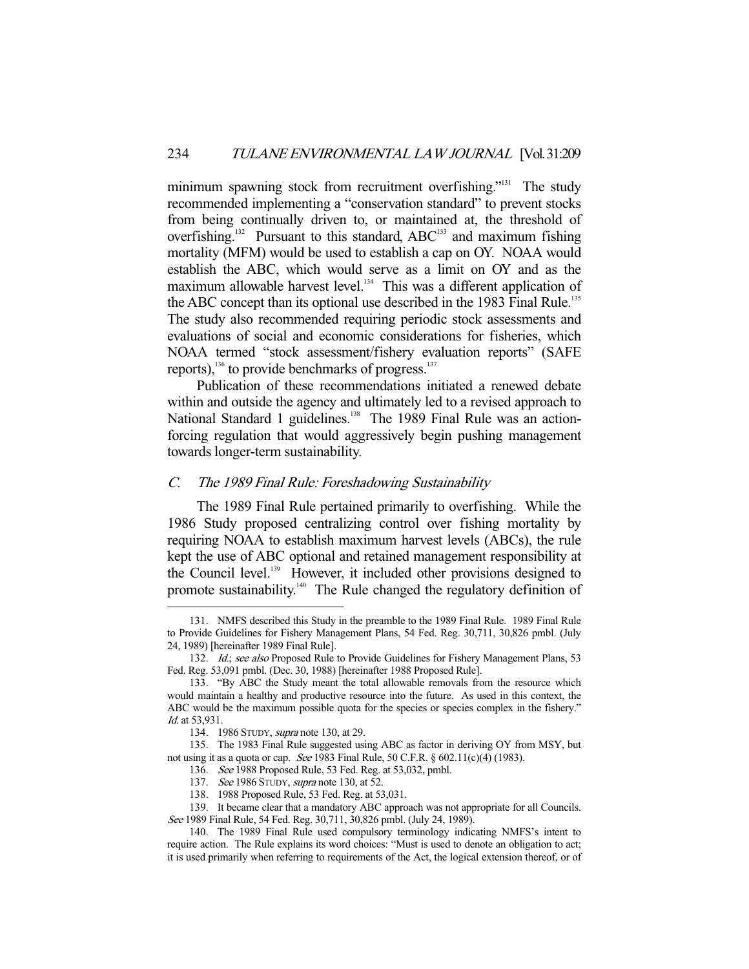minimum spawning stock from recruitment overfishing."<sup>131</sup> The study recommended implementing a "conservation standard" to prevent stocks from being continually driven to, or maintained at, the threshold of overfishing.<sup>132</sup> Pursuant to this standard, ABC<sup>133</sup> and maximum fishing mortality (MFM) would be used to establish a cap on OY. NOAA would establish the ABC, which would serve as a limit on OY and as the maximum allowable harvest level.<sup>134</sup> This was a different application of the ABC concept than its optional use described in the 1983 Final Rule.<sup>135</sup> The study also recommended requiring periodic stock assessments and evaluations of social and economic considerations for fisheries, which NOAA termed "stock assessment/fishery evaluation reports" (SAFE reports),  $^{136}$  to provide benchmarks of progress. $^{137}$ 

 Publication of these recommendations initiated a renewed debate within and outside the agency and ultimately led to a revised approach to National Standard 1 guidelines.<sup>138</sup> The 1989 Final Rule was an actionforcing regulation that would aggressively begin pushing management towards longer-term sustainability.

# C. The 1989 Final Rule: Foreshadowing Sustainability

 The 1989 Final Rule pertained primarily to overfishing. While the 1986 Study proposed centralizing control over fishing mortality by requiring NOAA to establish maximum harvest levels (ABCs), the rule kept the use of ABC optional and retained management responsibility at the Council level.<sup>139</sup> However, it included other provisions designed to promote sustainability.<sup>140</sup> The Rule changed the regulatory definition of

 <sup>131.</sup> NMFS described this Study in the preamble to the 1989 Final Rule. 1989 Final Rule to Provide Guidelines for Fishery Management Plans, 54 Fed. Reg. 30,711, 30,826 pmbl. (July 24, 1989) [hereinafter 1989 Final Rule].

<sup>132.</sup> Id.; see also Proposed Rule to Provide Guidelines for Fishery Management Plans, 53 Fed. Reg. 53,091 pmbl. (Dec. 30, 1988) [hereinafter 1988 Proposed Rule].

 <sup>133. &</sup>quot;By ABC the Study meant the total allowable removals from the resource which would maintain a healthy and productive resource into the future. As used in this context, the ABC would be the maximum possible quota for the species or species complex in the fishery." Id. at 53,931.

 <sup>134. 1986</sup> STUDY, supra note 130, at 29.

 <sup>135.</sup> The 1983 Final Rule suggested using ABC as factor in deriving OY from MSY, but not using it as a quota or cap. See 1983 Final Rule, 50 C.F.R. § 602.11(c)(4) (1983).

 <sup>136.</sup> See 1988 Proposed Rule, 53 Fed. Reg. at 53,032, pmbl.

<sup>137.</sup> See 1986 STUDY, supra note 130, at 52.

 <sup>138. 1988</sup> Proposed Rule, 53 Fed. Reg. at 53,031.

 <sup>139.</sup> It became clear that a mandatory ABC approach was not appropriate for all Councils. See 1989 Final Rule, 54 Fed. Reg. 30,711, 30,826 pmbl. (July 24, 1989).

 <sup>140.</sup> The 1989 Final Rule used compulsory terminology indicating NMFS's intent to require action. The Rule explains its word choices: "Must is used to denote an obligation to act; it is used primarily when referring to requirements of the Act, the logical extension thereof, or of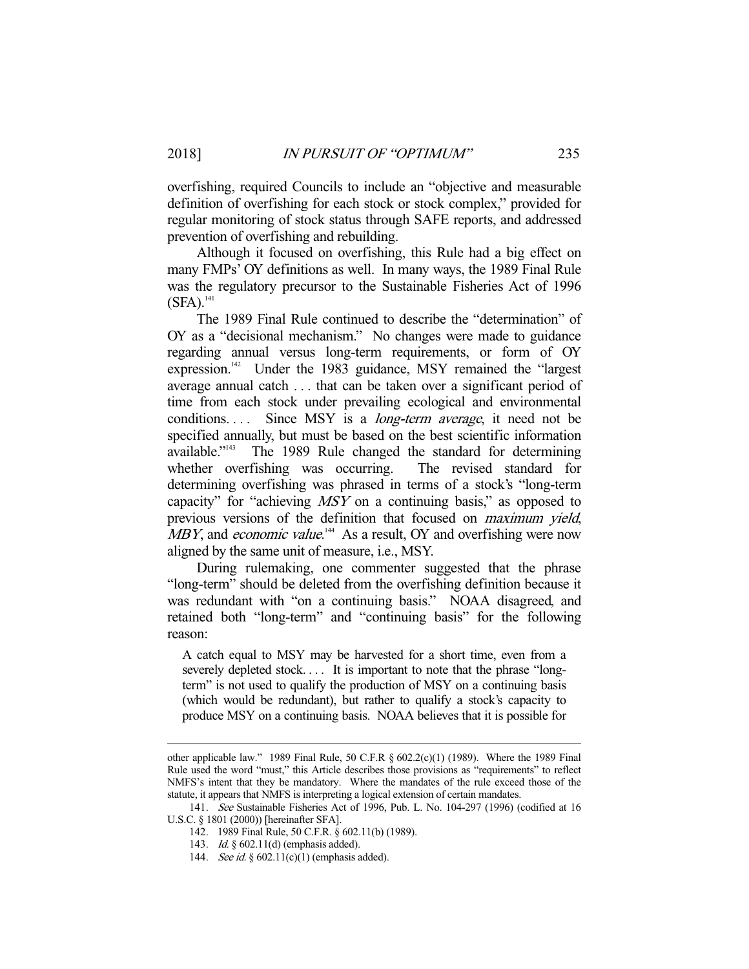overfishing, required Councils to include an "objective and measurable definition of overfishing for each stock or stock complex," provided for regular monitoring of stock status through SAFE reports, and addressed prevention of overfishing and rebuilding.

 Although it focused on overfishing, this Rule had a big effect on many FMPs' OY definitions as well. In many ways, the 1989 Final Rule was the regulatory precursor to the Sustainable Fisheries Act of 1996  $(SFA).$ <sup>141</sup>

 The 1989 Final Rule continued to describe the "determination" of OY as a "decisional mechanism." No changes were made to guidance regarding annual versus long-term requirements, or form of OY expression.<sup>142</sup> Under the 1983 guidance, MSY remained the "largest average annual catch . . . that can be taken over a significant period of time from each stock under prevailing ecological and environmental conditions.... Since MSY is a *long-term average*, it need not be specified annually, but must be based on the best scientific information available."<sup>143</sup> The 1989 Rule changed the standard for determining whether overfishing was occurring. The revised standard for determining overfishing was phrased in terms of a stock's "long-term capacity" for "achieving MSY on a continuing basis," as opposed to previous versions of the definition that focused on *maximum yield*, MBY, and *economic value*.<sup>144</sup> As a result, OY and overfishing were now aligned by the same unit of measure, i.e., MSY.

 During rulemaking, one commenter suggested that the phrase "long-term" should be deleted from the overfishing definition because it was redundant with "on a continuing basis." NOAA disagreed, and retained both "long-term" and "continuing basis" for the following reason:

A catch equal to MSY may be harvested for a short time, even from a severely depleted stock.... It is important to note that the phrase "longterm" is not used to qualify the production of MSY on a continuing basis (which would be redundant), but rather to qualify a stock's capacity to produce MSY on a continuing basis. NOAA believes that it is possible for

other applicable law." 1989 Final Rule, 50 C.F.R  $\S$  602.2(c)(1) (1989). Where the 1989 Final Rule used the word "must," this Article describes those provisions as "requirements" to reflect NMFS's intent that they be mandatory. Where the mandates of the rule exceed those of the statute, it appears that NMFS is interpreting a logical extension of certain mandates.

 <sup>141.</sup> See Sustainable Fisheries Act of 1996, Pub. L. No. 104-297 (1996) (codified at 16 U.S.C. § 1801 (2000)) [hereinafter SFA].

 <sup>142. 1989</sup> Final Rule, 50 C.F.R. § 602.11(b) (1989).

 <sup>143.</sup> Id. § 602.11(d) (emphasis added).

<sup>144.</sup> See id. § 602.11(c)(1) (emphasis added).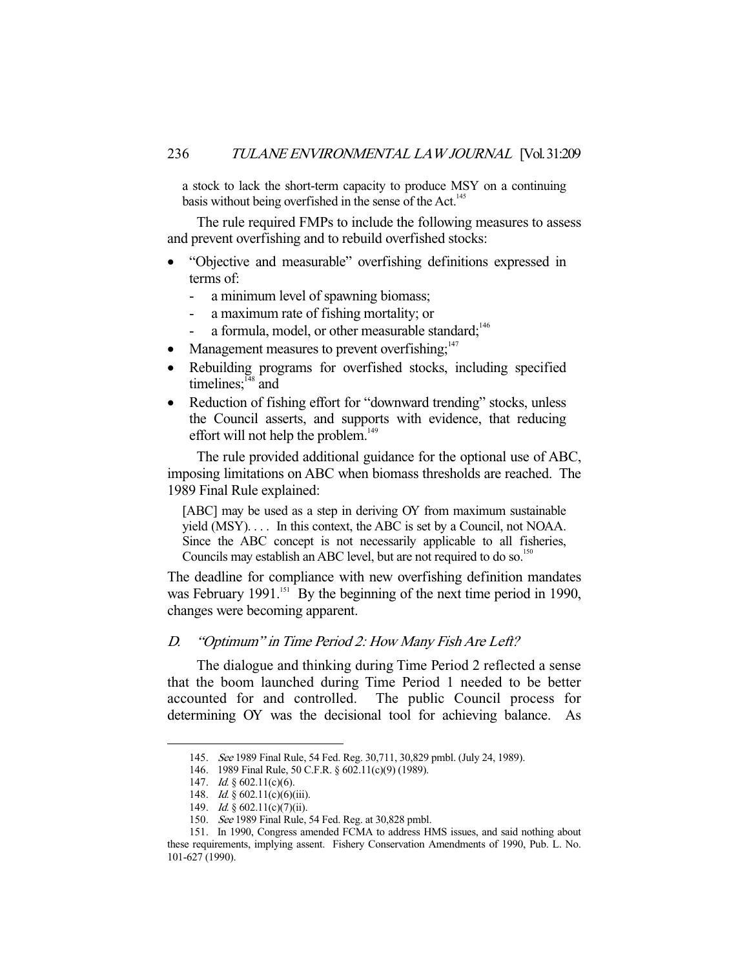a stock to lack the short-term capacity to produce MSY on a continuing basis without being overfished in the sense of the Act.<sup>145</sup>

 The rule required FMPs to include the following measures to assess and prevent overfishing and to rebuild overfished stocks:

- "Objective and measurable" overfishing definitions expressed in terms of:
	- a minimum level of spawning biomass;
	- a maximum rate of fishing mortality; or
	- a formula, model, or other measurable standard;<sup>146</sup>
- Management measures to prevent overfishing; $147$
- Rebuilding programs for overfished stocks, including specified timelines; $148$  and
- Reduction of fishing effort for "downward trending" stocks, unless the Council asserts, and supports with evidence, that reducing effort will not help the problem.<sup>149</sup>

 The rule provided additional guidance for the optional use of ABC, imposing limitations on ABC when biomass thresholds are reached. The 1989 Final Rule explained:

[ABC] may be used as a step in deriving OY from maximum sustainable yield (MSY). . . . In this context, the ABC is set by a Council, not NOAA. Since the ABC concept is not necessarily applicable to all fisheries, Councils may establish an ABC level, but are not required to do so.<sup>150</sup>

The deadline for compliance with new overfishing definition mandates was February 1991.<sup>151</sup> By the beginning of the next time period in 1990, changes were becoming apparent.

# D. "Optimum" in Time Period 2: How Many Fish Are Left?

 The dialogue and thinking during Time Period 2 reflected a sense that the boom launched during Time Period 1 needed to be better accounted for and controlled. The public Council process for determining OY was the decisional tool for achieving balance. As

 <sup>145.</sup> See 1989 Final Rule, 54 Fed. Reg. 30,711, 30,829 pmbl. (July 24, 1989).

 <sup>146. 1989</sup> Final Rule, 50 C.F.R. § 602.11(c)(9) (1989).

<sup>147.</sup> *Id.* § 602.11(c)(6).

<sup>148.</sup> *Id.* § 602.11(c)(6)(iii).

<sup>149.</sup> *Id.* § 602.11(c)(7)(ii).

 <sup>150.</sup> See 1989 Final Rule, 54 Fed. Reg. at 30,828 pmbl.

 <sup>151.</sup> In 1990, Congress amended FCMA to address HMS issues, and said nothing about these requirements, implying assent. Fishery Conservation Amendments of 1990, Pub. L. No. 101-627 (1990).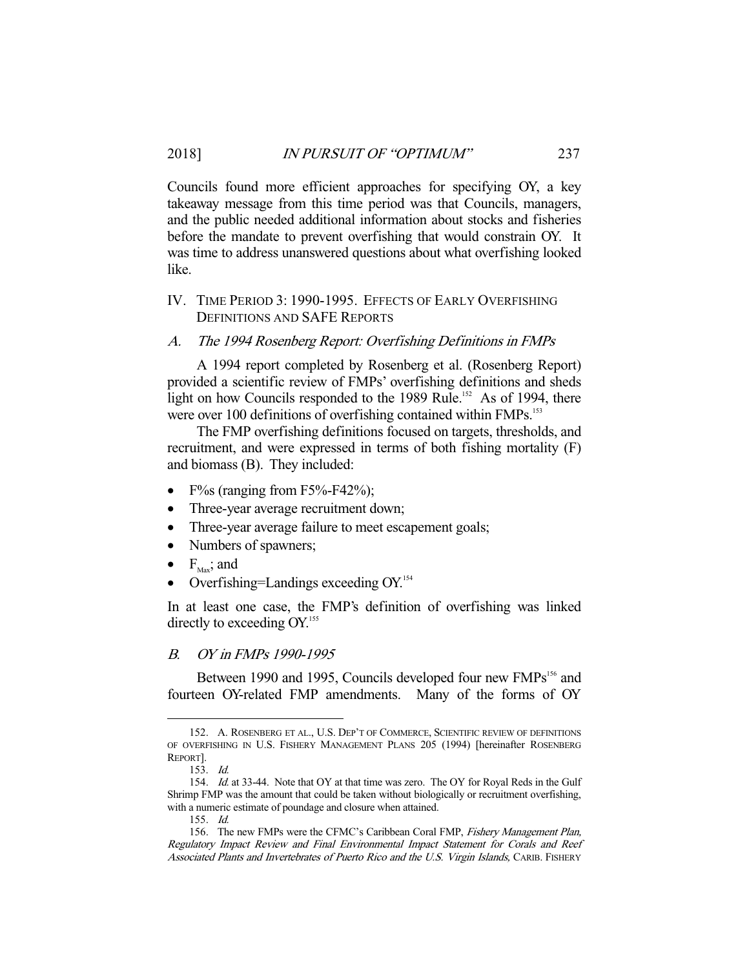Councils found more efficient approaches for specifying OY, a key takeaway message from this time period was that Councils, managers, and the public needed additional information about stocks and fisheries before the mandate to prevent overfishing that would constrain OY. It was time to address unanswered questions about what overfishing looked like.

# IV. TIME PERIOD 3: 1990-1995. EFFECTS OF EARLY OVERFISHING DEFINITIONS AND SAFE REPORTS

#### A. The 1994 Rosenberg Report: Overfishing Definitions in FMPs

 A 1994 report completed by Rosenberg et al. (Rosenberg Report) provided a scientific review of FMPs' overfishing definitions and sheds light on how Councils responded to the 1989 Rule.<sup>152</sup> As of 1994, there were over 100 definitions of overfishing contained within FMPs.<sup>153</sup>

 The FMP overfishing definitions focused on targets, thresholds, and recruitment, and were expressed in terms of both fishing mortality (F) and biomass (B). They included:

- F%s (ranging from F5%-F42%);
- Three-year average recruitment down;
- Three-year average failure to meet escapement goals;
- Numbers of spawners;
- $\bullet$   $F_{\text{Max}}$ ; and
- Overfishing=Landings exceeding OY.<sup>154</sup>

In at least one case, the FMP's definition of overfishing was linked directly to exceeding  $OY$ <sup>155</sup>

## B. OY in FMPs 1990-1995

Between 1990 and 1995, Councils developed four new FMPs<sup>156</sup> and fourteen OY-related FMP amendments. Many of the forms of OY

 <sup>152.</sup> A. ROSENBERG ET AL., U.S. DEP'T OF COMMERCE, SCIENTIFIC REVIEW OF DEFINITIONS OF OVERFISHING IN U.S. FISHERY MANAGEMENT PLANS 205 (1994) [hereinafter ROSENBERG REPORT].

 <sup>153.</sup> Id.

<sup>154.</sup> *Id.* at 33-44. Note that OY at that time was zero. The OY for Royal Reds in the Gulf Shrimp FMP was the amount that could be taken without biologically or recruitment overfishing, with a numeric estimate of poundage and closure when attained.

 <sup>155.</sup> Id.

<sup>156.</sup> The new FMPs were the CFMC's Caribbean Coral FMP, Fishery Management Plan, Regulatory Impact Review and Final Environmental Impact Statement for Corals and Reef Associated Plants and Invertebrates of Puerto Rico and the U.S. Virgin Islands, CARIB. FISHERY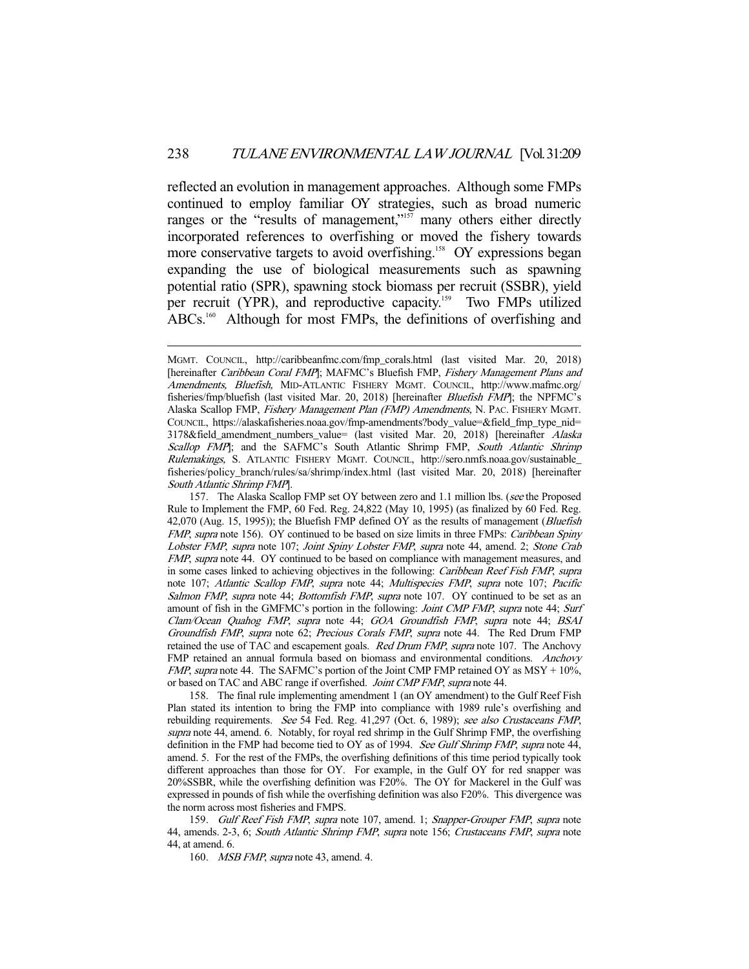reflected an evolution in management approaches. Although some FMPs continued to employ familiar OY strategies, such as broad numeric ranges or the "results of management,"<sup>157</sup> many others either directly incorporated references to overfishing or moved the fishery towards more conservative targets to avoid overfishing.<sup>158</sup> OY expressions began expanding the use of biological measurements such as spawning potential ratio (SPR), spawning stock biomass per recruit (SSBR), yield per recruit (YPR), and reproductive capacity.<sup>159</sup> Two FMPs utilized ABCs.<sup>160</sup> Although for most FMPs, the definitions of overfishing and

MGMT. COUNCIL, http://caribbeanfmc.com/fmp\_corals.html (last visited Mar. 20, 2018) [hereinafter Caribbean Coral FMP]; MAFMC's Bluefish FMP, Fishery Management Plans and Amendments, Bluefish, MID-ATLANTIC FISHERY MGMT. COUNCIL, http://www.mafmc.org/ fisheries/fmp/bluefish (last visited Mar. 20, 2018) [hereinafter *Bluefish FMP*]; the NPFMC's Alaska Scallop FMP, Fishery Management Plan (FMP) Amendments, N. PAC. FISHERY MGMT. COUNCIL, https://alaskafisheries.noaa.gov/fmp-amendments?body\_value=&field\_fmp\_type\_nid= 3178&field\_amendment\_numbers\_value= (last visited Mar. 20, 2018) [hereinafter Alaska Scallop FMP]; and the SAFMC's South Atlantic Shrimp FMP, South Atlantic Shrimp Rulemakings, S. ATLANTIC FISHERY MGMT. COUNCIL, http://sero.nmfs.noaa.gov/sustainable\_ fisheries/policy\_branch/rules/sa/shrimp/index.html (last visited Mar. 20, 2018) [hereinafter South Atlantic Shrimp FMP].

<sup>157.</sup> The Alaska Scallop FMP set OY between zero and 1.1 million lbs. (see the Proposed Rule to Implement the FMP, 60 Fed. Reg. 24,822 (May 10, 1995) (as finalized by 60 Fed. Reg. 42,070 (Aug. 15, 1995)); the Bluefish FMP defined OY as the results of management (Bluefish FMP, supra note 156). OY continued to be based on size limits in three FMPs: Caribbean Spiny Lobster FMP, supra note 107; Joint Spiny Lobster FMP, supra note 44, amend. 2; Stone Crab FMP, supra note 44. OY continued to be based on compliance with management measures, and in some cases linked to achieving objectives in the following: *Caribbean Reef Fish FMP*, supra note 107; Atlantic Scallop FMP, supra note 44; Multispecies FMP, supra note 107; Pacific Salmon FMP, supra note 44; Bottomfish FMP, supra note 107. OY continued to be set as an amount of fish in the GMFMC's portion in the following: *Joint CMP FMP*, supra note 44; Surf Clam/Ocean Quahog FMP, supra note 44; GOA Groundfish FMP, supra note 44; BSAI Groundfish FMP, supra note 62; Precious Corals FMP, supra note 44. The Red Drum FMP retained the use of TAC and escapement goals. Red Drum FMP, supra note 107. The Anchovy FMP retained an annual formula based on biomass and environmental conditions. Anchovy *FMP*, supra note 44. The SAFMC's portion of the Joint CMP FMP retained OY as MSY +  $10\%$ , or based on TAC and ABC range if overfished. Joint CMP FMP, supra note 44.

 <sup>158.</sup> The final rule implementing amendment 1 (an OY amendment) to the Gulf Reef Fish Plan stated its intention to bring the FMP into compliance with 1989 rule's overfishing and rebuilding requirements. See 54 Fed. Reg. 41,297 (Oct. 6, 1989); see also Crustaceans FMP, supra note 44, amend. 6. Notably, for royal red shrimp in the Gulf Shrimp FMP, the overfishing definition in the FMP had become tied to OY as of 1994. See Gulf Shrimp FMP, supra note 44, amend. 5. For the rest of the FMPs, the overfishing definitions of this time period typically took different approaches than those for OY. For example, in the Gulf OY for red snapper was 20%SSBR, while the overfishing definition was F20%. The OY for Mackerel in the Gulf was expressed in pounds of fish while the overfishing definition was also F20%. This divergence was the norm across most fisheries and FMPS.

<sup>159.</sup> Gulf Reef Fish FMP, supra note 107, amend. 1; Snapper-Grouper FMP, supra note 44, amends. 2-3, 6; South Atlantic Shrimp FMP, supra note 156; Crustaceans FMP, supra note 44, at amend. 6.

<sup>160.</sup> MSB FMP, supra note 43, amend. 4.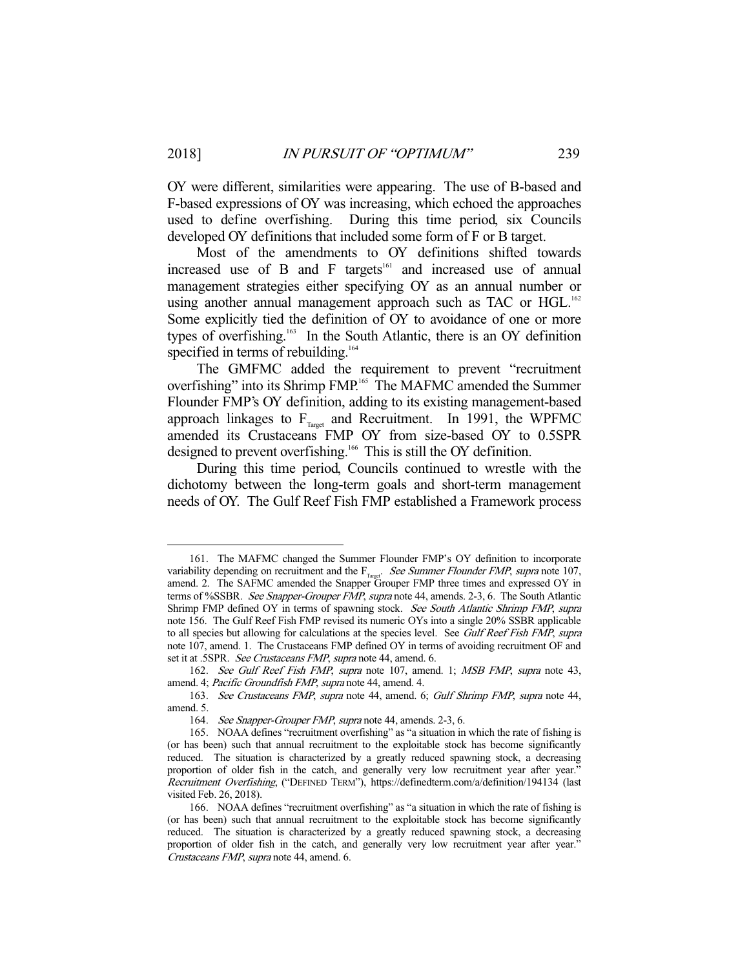OY were different, similarities were appearing. The use of B-based and F-based expressions of OY was increasing, which echoed the approaches used to define overfishing. During this time period, six Councils developed OY definitions that included some form of F or B target.

 Most of the amendments to OY definitions shifted towards increased use of B and F targets<sup> $161$ </sup> and increased use of annual management strategies either specifying OY as an annual number or using another annual management approach such as TAC or HGL.<sup>162</sup> Some explicitly tied the definition of OY to avoidance of one or more types of overfishing.<sup>163</sup> In the South Atlantic, there is an OY definition specified in terms of rebuilding.<sup>164</sup>

 The GMFMC added the requirement to prevent "recruitment overfishing" into its Shrimp FMP.<sup>165</sup> The MAFMC amended the Summer Flounder FMP's OY definition, adding to its existing management-based approach linkages to  $F_{T\text{target}}$  and Recruitment. In 1991, the WPFMC amended its Crustaceans FMP OY from size-based OY to 0.5SPR designed to prevent overfishing.<sup>166</sup> This is still the OY definition.

 During this time period, Councils continued to wrestle with the dichotomy between the long-term goals and short-term management needs of OY. The Gulf Reef Fish FMP established a Framework process

 <sup>161.</sup> The MAFMC changed the Summer Flounder FMP's OY definition to incorporate variability depending on recruitment and the  $F<sub>Tared</sub>$ . See Summer Flounder FMP, supra note 107, amend. 2. The SAFMC amended the Snapper Grouper FMP three times and expressed OY in terms of %SSBR. See Snapper-Grouper FMP, supra note 44, amends. 2-3, 6. The South Atlantic Shrimp FMP defined OY in terms of spawning stock. See South Atlantic Shrimp FMP, supra note 156. The Gulf Reef Fish FMP revised its numeric OYs into a single 20% SSBR applicable to all species but allowing for calculations at the species level. See Gulf Reef Fish FMP, supra note 107, amend. 1. The Crustaceans FMP defined OY in terms of avoiding recruitment OF and set it at .5SPR. See Crustaceans FMP, supra note 44, amend. 6.

<sup>162.</sup> See Gulf Reef Fish FMP, supra note 107, amend. 1; MSB FMP, supra note 43, amend. 4; Pacific Groundfish FMP, supra note 44, amend. 4.

 <sup>163.</sup> See Crustaceans FMP, supra note 44, amend. 6; Gulf Shrimp FMP, supra note 44, amend. 5.

 <sup>164.</sup> See Snapper-Grouper FMP, supra note 44, amends. 2-3, 6.

 <sup>165.</sup> NOAA defines "recruitment overfishing" as "a situation in which the rate of fishing is (or has been) such that annual recruitment to the exploitable stock has become significantly reduced. The situation is characterized by a greatly reduced spawning stock, a decreasing proportion of older fish in the catch, and generally very low recruitment year after year." Recruitment Overfishing, ("DEFINED TERM"), https://definedterm.com/a/definition/194134 (last visited Feb. 26, 2018).

 <sup>166.</sup> NOAA defines "recruitment overfishing" as "a situation in which the rate of fishing is (or has been) such that annual recruitment to the exploitable stock has become significantly reduced. The situation is characterized by a greatly reduced spawning stock, a decreasing proportion of older fish in the catch, and generally very low recruitment year after year." Crustaceans FMP, supra note 44, amend. 6.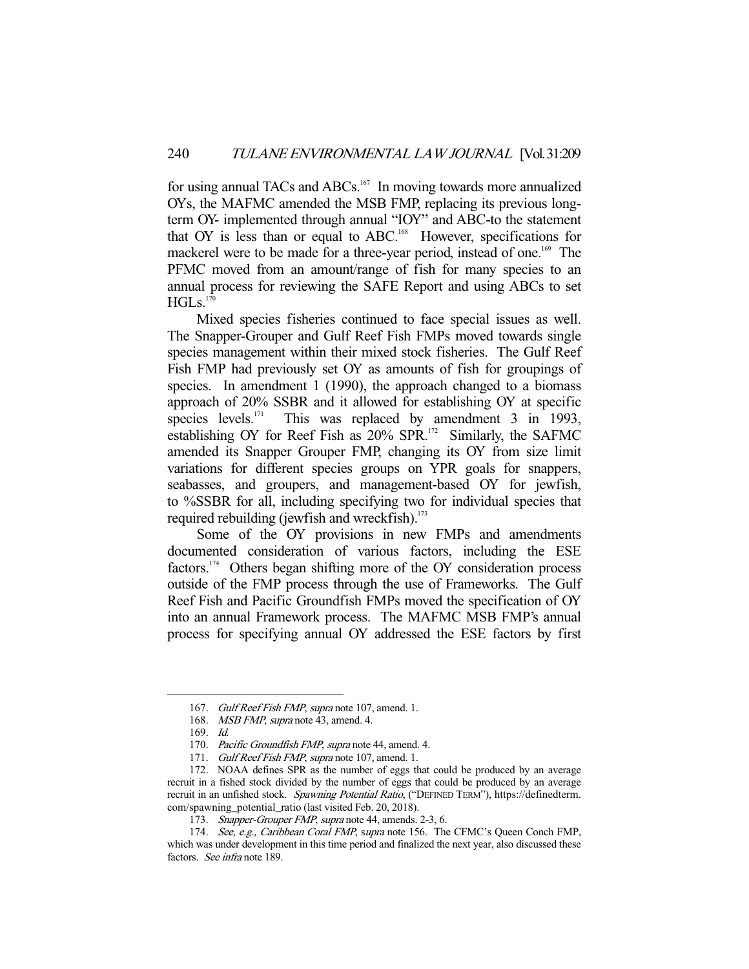for using annual TACs and ABCs.<sup>167</sup> In moving towards more annualized OYs, the MAFMC amended the MSB FMP, replacing its previous longterm OY- implemented through annual "IOY" and ABC-to the statement that OY is less than or equal to ABC.<sup>168</sup> However, specifications for mackerel were to be made for a three-year period, instead of one.<sup>169</sup> The PFMC moved from an amount/range of fish for many species to an annual process for reviewing the SAFE Report and using ABCs to set  $HGLs.<sup>170</sup>$ 

 Mixed species fisheries continued to face special issues as well. The Snapper-Grouper and Gulf Reef Fish FMPs moved towards single species management within their mixed stock fisheries. The Gulf Reef Fish FMP had previously set OY as amounts of fish for groupings of species. In amendment 1 (1990), the approach changed to a biomass approach of  $20\%$  SSBR and it allowed for establishing OY at specific species levels.<sup>171</sup> This was replaced by amendment 3 in 1993, This was replaced by amendment 3 in 1993, establishing OY for Reef Fish as  $20\%$  SPR.<sup>172</sup> Similarly, the SAFMC amended its Snapper Grouper FMP, changing its OY from size limit variations for different species groups on YPR goals for snappers, seabasses, and groupers, and management-based OY for jewfish, to %SSBR for all, including specifying two for individual species that required rebuilding (jewfish and wreckfish).<sup>173</sup>

 Some of the OY provisions in new FMPs and amendments documented consideration of various factors, including the ESE factors.<sup>174</sup> Others began shifting more of the OY consideration process outside of the FMP process through the use of Frameworks. The Gulf Reef Fish and Pacific Groundfish FMPs moved the specification of OY into an annual Framework process. The MAFMC MSB FMP's annual process for specifying annual OY addressed the ESE factors by first

<sup>167.</sup> Gulf Reef Fish FMP, supra note 107, amend. 1.

<sup>168.</sup> MSB FMP, supra note 43, amend. 4.

 <sup>169.</sup> Id.

<sup>170.</sup> Pacific Groundfish FMP, supra note 44, amend. 4.

<sup>171.</sup> Gulf Reef Fish FMP, supra note 107, amend. 1.

 <sup>172.</sup> NOAA defines SPR as the number of eggs that could be produced by an average recruit in a fished stock divided by the number of eggs that could be produced by an average recruit in an unfished stock. Spawning Potential Ratio, ("DEFINED TERM"), https://definedterm. com/spawning\_potential\_ratio (last visited Feb. 20, 2018).

 <sup>173.</sup> Snapper-Grouper FMP, supra note 44, amends. 2-3, 6.

<sup>174.</sup> See, e.g., Caribbean Coral FMP, supra note 156. The CFMC's Queen Conch FMP, which was under development in this time period and finalized the next year, also discussed these factors. See infra note 189.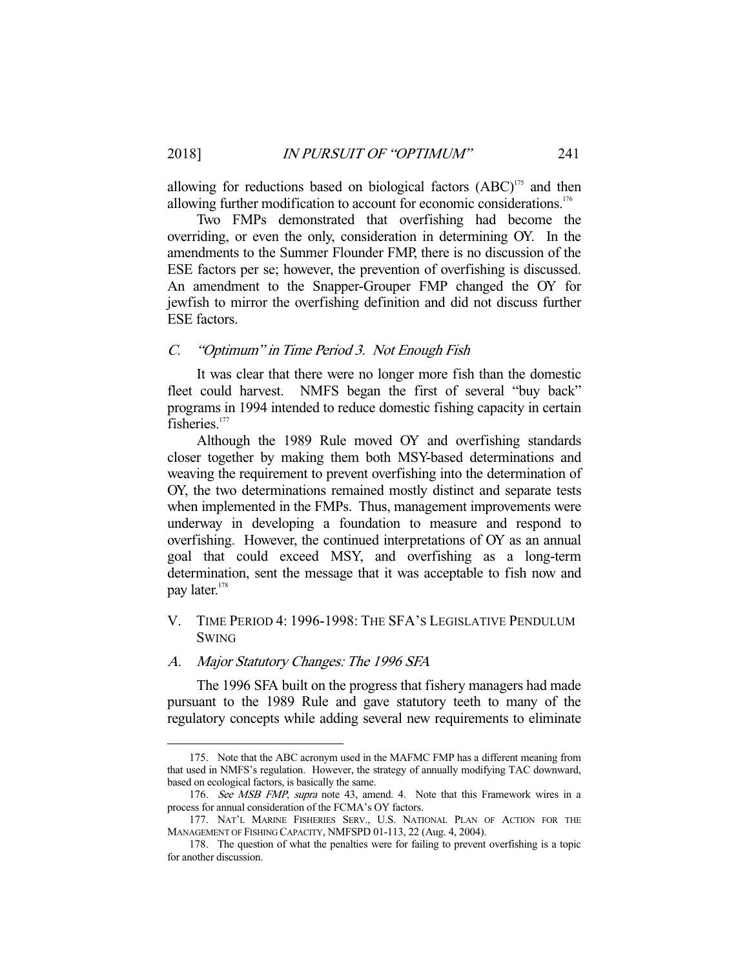allowing for reductions based on biological factors  $(ABC)^{175}$  and then allowing further modification to account for economic considerations.<sup>176</sup>

 Two FMPs demonstrated that overfishing had become the overriding, or even the only, consideration in determining OY. In the amendments to the Summer Flounder FMP, there is no discussion of the ESE factors per se; however, the prevention of overfishing is discussed. An amendment to the Snapper-Grouper FMP changed the OY for jewfish to mirror the overfishing definition and did not discuss further ESE factors.

## C. "Optimum" in Time Period 3. Not Enough Fish

 It was clear that there were no longer more fish than the domestic fleet could harvest. NMFS began the first of several "buy back" programs in 1994 intended to reduce domestic fishing capacity in certain fisheries<sup>177</sup>

 Although the 1989 Rule moved OY and overfishing standards closer together by making them both MSY-based determinations and weaving the requirement to prevent overfishing into the determination of OY, the two determinations remained mostly distinct and separate tests when implemented in the FMPs. Thus, management improvements were underway in developing a foundation to measure and respond to overfishing. However, the continued interpretations of OY as an annual goal that could exceed MSY, and overfishing as a long-term determination, sent the message that it was acceptable to fish now and pay later.<sup>178</sup>

# V. TIME PERIOD 4: 1996-1998: THE SFA'S LEGISLATIVE PENDULUM SWING

# A. Major Statutory Changes: The 1996 SFA

-

 The 1996 SFA built on the progress that fishery managers had made pursuant to the 1989 Rule and gave statutory teeth to many of the regulatory concepts while adding several new requirements to eliminate

 <sup>175.</sup> Note that the ABC acronym used in the MAFMC FMP has a different meaning from that used in NMFS's regulation. However, the strategy of annually modifying TAC downward, based on ecological factors, is basically the same.

<sup>176.</sup> See MSB FMP, supra note 43, amend. 4. Note that this Framework wires in a process for annual consideration of the FCMA's OY factors.

 <sup>177.</sup> NAT'L MARINE FISHERIES SERV., U.S. NATIONAL PLAN OF ACTION FOR THE MANAGEMENT OF FISHING CAPACITY, NMFSPD 01-113, 22 (Aug. 4, 2004).

 <sup>178.</sup> The question of what the penalties were for failing to prevent overfishing is a topic for another discussion.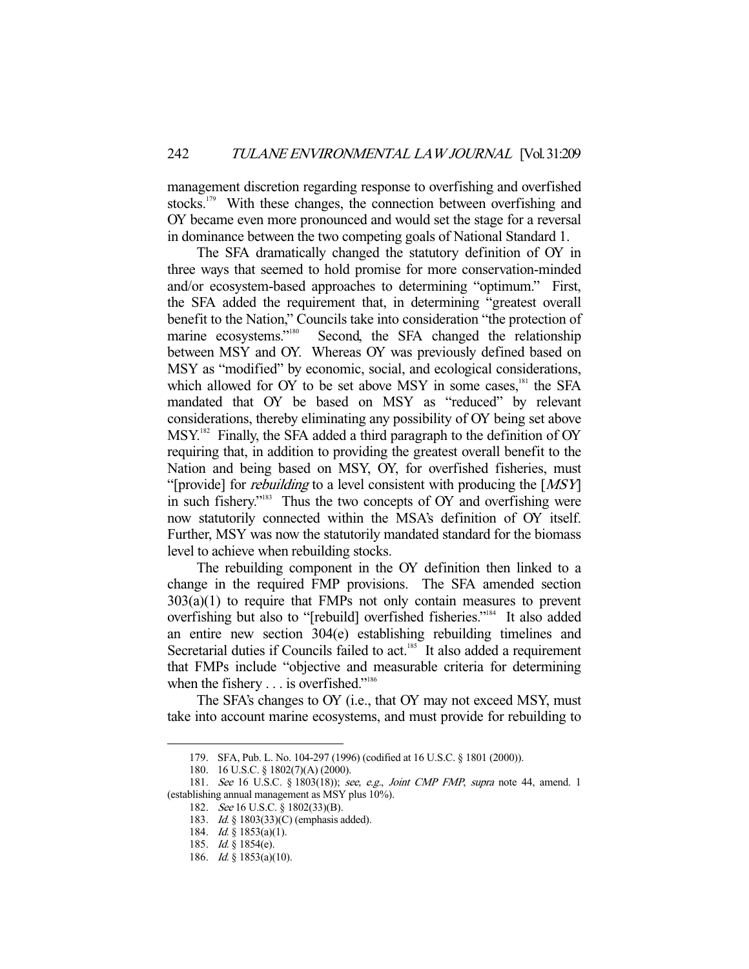management discretion regarding response to overfishing and overfished stocks.<sup>179</sup> With these changes, the connection between overfishing and OY became even more pronounced and would set the stage for a reversal in dominance between the two competing goals of National Standard 1.

 The SFA dramatically changed the statutory definition of OY in three ways that seemed to hold promise for more conservation-minded and/or ecosystem-based approaches to determining "optimum." First, the SFA added the requirement that, in determining "greatest overall benefit to the Nation," Councils take into consideration "the protection of marine ecosystems."<sup>180</sup> Second, the SFA changed the relationship between MSY and OY. Whereas OY was previously defined based on MSY as "modified" by economic, social, and ecological considerations, which allowed for OY to be set above MSY in some cases,<sup>181</sup> the SFA mandated that OY be based on MSY as "reduced" by relevant considerations, thereby eliminating any possibility of OY being set above MSY.<sup>182</sup> Finally, the SFA added a third paragraph to the definition of OY requiring that, in addition to providing the greatest overall benefit to the Nation and being based on MSY, OY, for overfished fisheries, must "[provide] for *rebuilding* to a level consistent with producing the  $[MSY]$ in such fishery."<sup>183</sup> Thus the two concepts of OY and overfishing were now statutorily connected within the MSA's definition of OY itself. Further, MSY was now the statutorily mandated standard for the biomass level to achieve when rebuilding stocks.

 The rebuilding component in the OY definition then linked to a change in the required FMP provisions. The SFA amended section  $303(a)(1)$  to require that FMPs not only contain measures to prevent overfishing but also to "[rebuild] overfished fisheries."184 It also added an entire new section 304(e) establishing rebuilding timelines and Secretarial duties if Councils failed to act.<sup>185</sup> It also added a requirement that FMPs include "objective and measurable criteria for determining when the fishery . . . is overfished."<sup>186</sup>

 The SFA's changes to OY (i.e., that OY may not exceed MSY, must take into account marine ecosystems, and must provide for rebuilding to

 <sup>179.</sup> SFA, Pub. L. No. 104-297 (1996) (codified at 16 U.S.C. § 1801 (2000)).

 <sup>180. 16</sup> U.S.C. § 1802(7)(A) (2000).

<sup>181.</sup> See 16 U.S.C. § 1803(18)); see, e.g., Joint CMP FMP, supra note 44, amend. 1 (establishing annual management as MSY plus 10%).

 <sup>182.</sup> See 16 U.S.C. § 1802(33)(B).

<sup>183.</sup> *Id.* § 1803(33)(C) (emphasis added).

<sup>184.</sup> *Id.* § 1853(a)(1).

 <sup>185.</sup> Id. § 1854(e).

<sup>186.</sup> *Id.* § 1853(a)(10).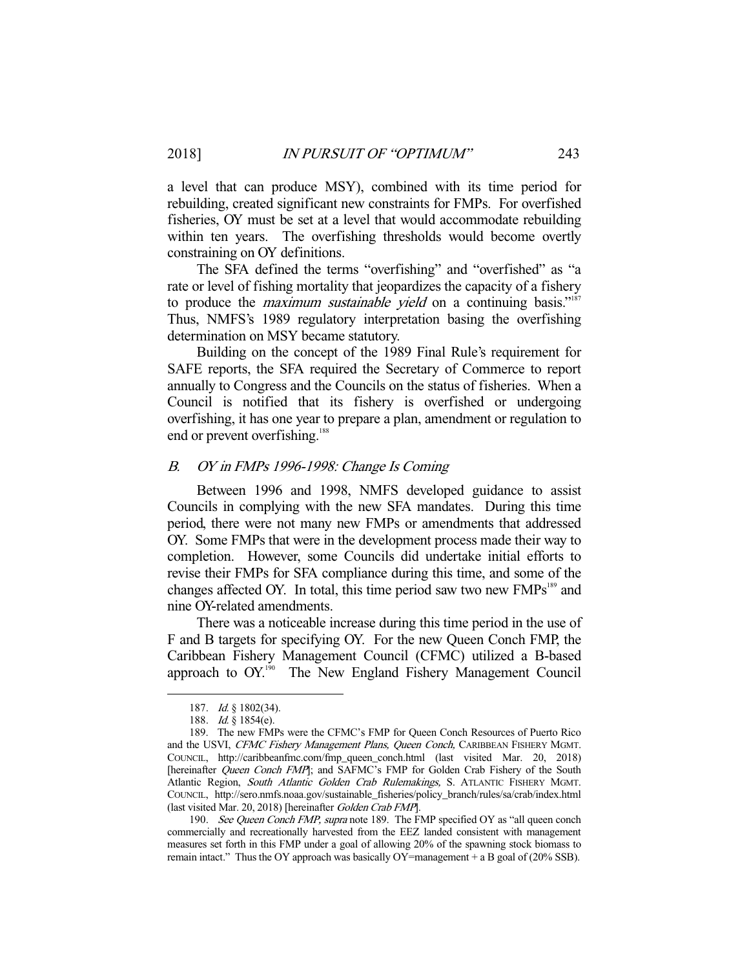a level that can produce MSY), combined with its time period for rebuilding, created significant new constraints for FMPs. For overfished fisheries, OY must be set at a level that would accommodate rebuilding within ten years. The overfishing thresholds would become overtly constraining on OY definitions.

 The SFA defined the terms "overfishing" and "overfished" as "a rate or level of fishing mortality that jeopardizes the capacity of a fishery to produce the *maximum sustainable yield* on a continuing basis."<sup>187</sup> Thus, NMFS's 1989 regulatory interpretation basing the overfishing determination on MSY became statutory.

 Building on the concept of the 1989 Final Rule's requirement for SAFE reports, the SFA required the Secretary of Commerce to report annually to Congress and the Councils on the status of fisheries. When a Council is notified that its fishery is overfished or undergoing overfishing, it has one year to prepare a plan, amendment or regulation to end or prevent overfishing.<sup>188</sup>

# B. OY in FMPs 1996-1998: Change Is Coming

 Between 1996 and 1998, NMFS developed guidance to assist Councils in complying with the new SFA mandates. During this time period, there were not many new FMPs or amendments that addressed OY. Some FMPs that were in the development process made their way to completion. However, some Councils did undertake initial efforts to revise their FMPs for SFA compliance during this time, and some of the changes affected OY. In total, this time period saw two new FMPs<sup>189</sup> and nine OY-related amendments.

 There was a noticeable increase during this time period in the use of F and B targets for specifying OY. For the new Queen Conch FMP, the Caribbean Fishery Management Council (CFMC) utilized a B-based approach to OY.<sup>190</sup> The New England Fishery Management Council

-

190. See Queen Conch FMP, supra note 189. The FMP specified OY as "all queen conch commercially and recreationally harvested from the EEZ landed consistent with management measures set forth in this FMP under a goal of allowing 20% of the spawning stock biomass to remain intact." Thus the OY approach was basically OY=management  $+$  a B goal of (20% SSB).

 <sup>187.</sup> Id. § 1802(34).

<sup>188.</sup> *Id.* § 1854(e).

 <sup>189.</sup> The new FMPs were the CFMC's FMP for Queen Conch Resources of Puerto Rico and the USVI, CFMC Fishery Management Plans, Queen Conch, CARIBBEAN FISHERY MGMT. COUNCIL, http://caribbeanfmc.com/fmp\_queen\_conch.html (last visited Mar. 20, 2018) [hereinafter *Queen Conch FMP*]; and SAFMC's FMP for Golden Crab Fishery of the South Atlantic Region, South Atlantic Golden Crab Rulemakings, S. ATLANTIC FISHERY MGMT. COUNCIL, http://sero.nmfs.noaa.gov/sustainable\_fisheries/policy\_branch/rules/sa/crab/index.html (last visited Mar. 20, 2018) [hereinafter Golden Crab FMP].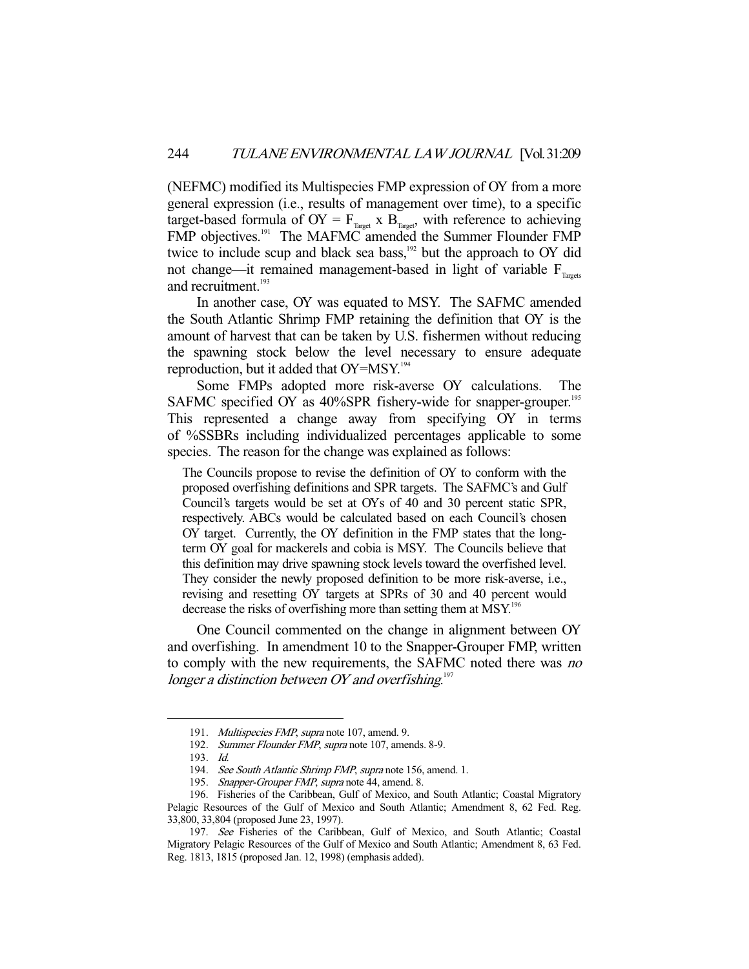(NEFMC) modified its Multispecies FMP expression of OY from a more general expression (i.e., results of management over time), to a specific target-based formula of  $OY = F_{T\text{target}}$  x  $B_{T\text{target}}$ , with reference to achieving FMP objectives.<sup>191</sup> The MAFMC amended the Summer Flounder FMP twice to include scup and black sea bass,<sup>192</sup> but the approach to OY did not change—it remained management-based in light of variable  $F_{T_{\text{meas}}}$ and recruitment.<sup>193</sup>

 In another case, OY was equated to MSY. The SAFMC amended the South Atlantic Shrimp FMP retaining the definition that OY is the amount of harvest that can be taken by U.S. fishermen without reducing the spawning stock below the level necessary to ensure adequate reproduction, but it added that  $OY = MSY$ .<sup>194</sup>

 Some FMPs adopted more risk-averse OY calculations. The SAFMC specified OY as 40%SPR fishery-wide for snapper-grouper.<sup>195</sup> This represented a change away from specifying OY in terms of %SSBRs including individualized percentages applicable to some species. The reason for the change was explained as follows:

The Councils propose to revise the definition of OY to conform with the proposed overfishing definitions and SPR targets. The SAFMC's and Gulf Council's targets would be set at OYs of 40 and 30 percent static SPR, respectively. ABCs would be calculated based on each Council's chosen OY target. Currently, the OY definition in the FMP states that the longterm OY goal for mackerels and cobia is MSY. The Councils believe that this definition may drive spawning stock levels toward the overfished level. They consider the newly proposed definition to be more risk-averse, i.e., revising and resetting OY targets at SPRs of 30 and 40 percent would decrease the risks of overfishing more than setting them at MSY.<sup>196</sup>

 One Council commented on the change in alignment between OY and overfishing. In amendment 10 to the Snapper-Grouper FMP, written to comply with the new requirements, the SAFMC noted there was no longer a distinction between OY and overfishing. $197$ 

<sup>191.</sup> Multispecies FMP, supra note 107, amend. 9.

<sup>192.</sup> Summer Flounder FMP, supra note 107, amends. 8-9.

 <sup>193.</sup> Id.

<sup>194.</sup> See South Atlantic Shrimp FMP, supra note 156, amend. 1.

<sup>195.</sup> Snapper-Grouper FMP, supra note 44, amend. 8.

 <sup>196.</sup> Fisheries of the Caribbean, Gulf of Mexico, and South Atlantic; Coastal Migratory Pelagic Resources of the Gulf of Mexico and South Atlantic; Amendment 8, 62 Fed. Reg. 33,800, 33,804 (proposed June 23, 1997).

 <sup>197.</sup> See Fisheries of the Caribbean, Gulf of Mexico, and South Atlantic; Coastal Migratory Pelagic Resources of the Gulf of Mexico and South Atlantic; Amendment 8, 63 Fed. Reg. 1813, 1815 (proposed Jan. 12, 1998) (emphasis added).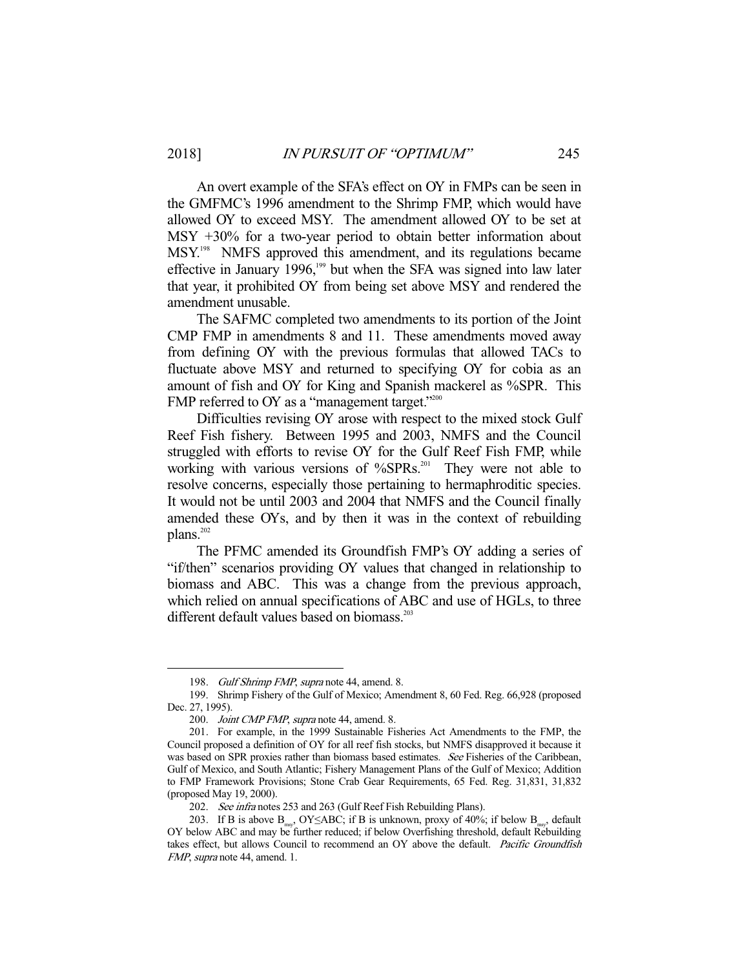An overt example of the SFA's effect on OY in FMPs can be seen in the GMFMC's 1996 amendment to the Shrimp FMP, which would have allowed OY to exceed MSY. The amendment allowed OY to be set at MSY +30% for a two-year period to obtain better information about MSY.198 NMFS approved this amendment, and its regulations became effective in January  $1996$ ,<sup>199</sup> but when the SFA was signed into law later that year, it prohibited OY from being set above MSY and rendered the amendment unusable.

 The SAFMC completed two amendments to its portion of the Joint CMP FMP in amendments 8 and 11. These amendments moved away from defining OY with the previous formulas that allowed TACs to fluctuate above MSY and returned to specifying OY for cobia as an amount of fish and OY for King and Spanish mackerel as %SPR. This FMP referred to OY as a "management target."<sup>200</sup>

 Difficulties revising OY arose with respect to the mixed stock Gulf Reef Fish fishery. Between 1995 and 2003, NMFS and the Council struggled with efforts to revise OY for the Gulf Reef Fish FMP, while working with various versions of  $\%$ SPRs.<sup>201</sup> They were not able to resolve concerns, especially those pertaining to hermaphroditic species. It would not be until 2003 and 2004 that NMFS and the Council finally amended these OYs, and by then it was in the context of rebuilding plans.<sup>202</sup>

 The PFMC amended its Groundfish FMP's OY adding a series of "if/then" scenarios providing OY values that changed in relationship to biomass and ABC. This was a change from the previous approach, which relied on annual specifications of ABC and use of HGLs, to three different default values based on biomass.<sup>203</sup>

<sup>198.</sup> Gulf Shrimp FMP, supra note 44, amend. 8.

 <sup>199.</sup> Shrimp Fishery of the Gulf of Mexico; Amendment 8, 60 Fed. Reg. 66,928 (proposed Dec. 27, 1995).

<sup>200.</sup> *Joint CMP FMP, supra* note 44, amend. 8.

 <sup>201.</sup> For example, in the 1999 Sustainable Fisheries Act Amendments to the FMP, the Council proposed a definition of OY for all reef fish stocks, but NMFS disapproved it because it was based on SPR proxies rather than biomass based estimates. See Fisheries of the Caribbean, Gulf of Mexico, and South Atlantic; Fishery Management Plans of the Gulf of Mexico; Addition to FMP Framework Provisions; Stone Crab Gear Requirements, 65 Fed. Reg. 31,831, 31,832 (proposed May 19, 2000).

<sup>202.</sup> See infra notes 253 and 263 (Gulf Reef Fish Rebuilding Plans).

<sup>203.</sup> If B is above  $B_{mg}$ , OY≤ABC; if B is unknown, proxy of 40%; if below  $B_{mg}$ , default OY below ABC and may be further reduced; if below Overfishing threshold, default Rebuilding takes effect, but allows Council to recommend an OY above the default. Pacific Groundfish FMP, supra note 44, amend. 1.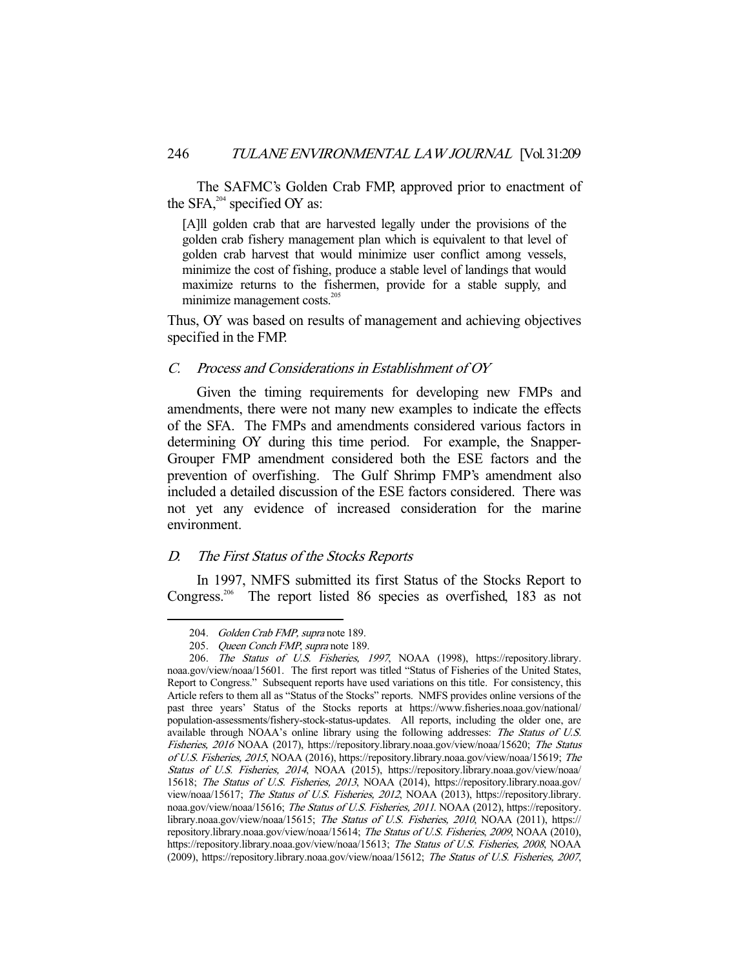The SAFMC's Golden Crab FMP, approved prior to enactment of the SFA, $^{204}$  specified OY as:

[A]ll golden crab that are harvested legally under the provisions of the golden crab fishery management plan which is equivalent to that level of golden crab harvest that would minimize user conflict among vessels, minimize the cost of fishing, produce a stable level of landings that would maximize returns to the fishermen, provide for a stable supply, and minimize management costs.<sup>205</sup>

Thus, OY was based on results of management and achieving objectives specified in the FMP.

# C. Process and Considerations in Establishment of OY

 Given the timing requirements for developing new FMPs and amendments, there were not many new examples to indicate the effects of the SFA. The FMPs and amendments considered various factors in determining OY during this time period. For example, the Snapper-Grouper FMP amendment considered both the ESE factors and the prevention of overfishing. The Gulf Shrimp FMP's amendment also included a detailed discussion of the ESE factors considered. There was not yet any evidence of increased consideration for the marine environment.

#### D. The First Status of the Stocks Reports

 In 1997, NMFS submitted its first Status of the Stocks Report to Congress.206 The report listed 86 species as overfished, 183 as not

<sup>204.</sup> Golden Crab FMP, supra note 189.

<sup>205.</sup> Queen Conch FMP, supra note 189.

 <sup>206.</sup> The Status of U.S. Fisheries, 1997, NOAA (1998), https://repository.library. noaa.gov/view/noaa/15601. The first report was titled "Status of Fisheries of the United States, Report to Congress." Subsequent reports have used variations on this title. For consistency, this Article refers to them all as "Status of the Stocks" reports. NMFS provides online versions of the past three years' Status of the Stocks reports at https://www.fisheries.noaa.gov/national/ population-assessments/fishery-stock-status-updates. All reports, including the older one, are available through NOAA's online library using the following addresses: The Status of U.S. Fisheries, 2016 NOAA (2017), https://repository.library.noaa.gov/view/noaa/15620; The Status of U.S. Fisheries, 2015, NOAA (2016), https://repository.library.noaa.gov/view/noaa/15619; The Status of U.S. Fisheries, 2014, NOAA (2015), https://repository.library.noaa.gov/view/noaa/ 15618; The Status of U.S. Fisheries, 2013, NOAA (2014), https://repository.library.noaa.gov/ view/noaa/15617; The Status of U.S. Fisheries, 2012, NOAA (2013), https://repository.library. noaa.gov/view/noaa/15616; The Status of U.S. Fisheries, 2011. NOAA (2012), https://repository. library.noaa.gov/view/noaa/15615; The Status of U.S. Fisheries, 2010, NOAA (2011), https:// repository.library.noaa.gov/view/noaa/15614; The Status of U.S. Fisheries, 2009, NOAA (2010), https://repository.library.noaa.gov/view/noaa/15613; The Status of U.S. Fisheries, 2008, NOAA (2009), https://repository.library.noaa.gov/view/noaa/15612; The Status of U.S. Fisheries, 2007,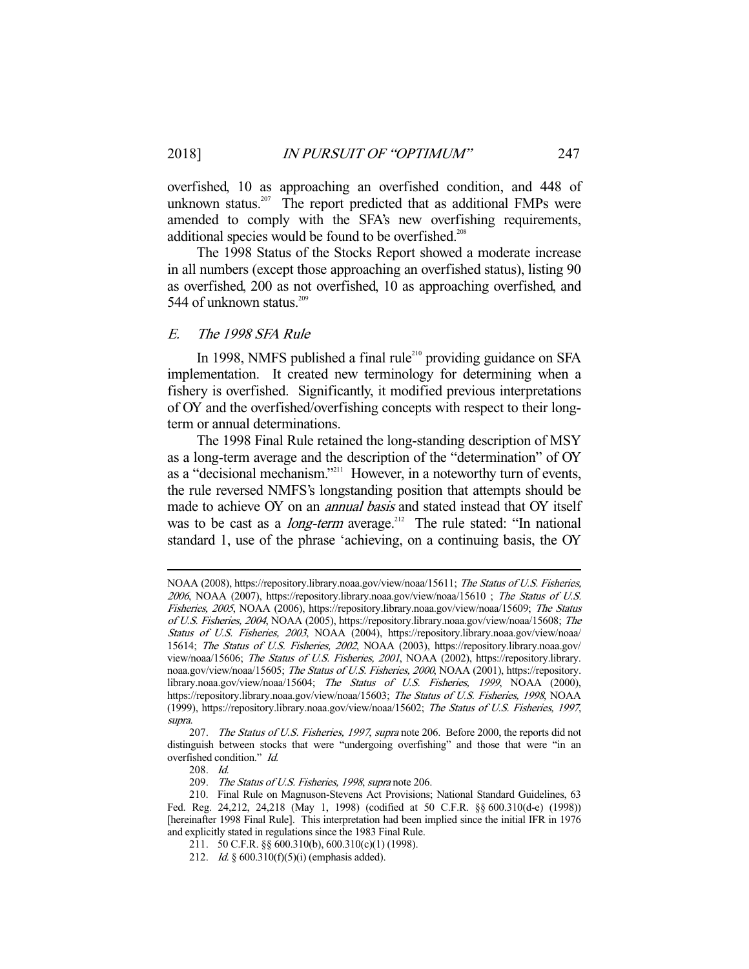overfished, 10 as approaching an overfished condition, and 448 of unknown status.<sup>207</sup> The report predicted that as additional FMPs were amended to comply with the SFA's new overfishing requirements, additional species would be found to be overfished.<sup>208</sup>

 The 1998 Status of the Stocks Report showed a moderate increase in all numbers (except those approaching an overfished status), listing 90 as overfished, 200 as not overfished, 10 as approaching overfished, and 544 of unknown status.<sup>209</sup>

# E. The 1998 SFA Rule

In 1998, NMFS published a final rule<sup>210</sup> providing guidance on SFA implementation. It created new terminology for determining when a fishery is overfished. Significantly, it modified previous interpretations of OY and the overfished/overfishing concepts with respect to their longterm or annual determinations.

 The 1998 Final Rule retained the long-standing description of MSY as a long-term average and the description of the "determination" of OY as a "decisional mechanism."<sup>211</sup> However, in a noteworthy turn of events, the rule reversed NMFS's longstanding position that attempts should be made to achieve OY on an *annual basis* and stated instead that OY itself was to be cast as a *long-term* average.<sup>212</sup> The rule stated: "In national standard 1, use of the phrase 'achieving, on a continuing basis, the OY

NOAA (2008), https://repository.library.noaa.gov/view/noaa/15611; The Status of U.S. Fisheries, <sup>2006</sup>, NOAA (2007), https://repository.library.noaa.gov/view/noaa/15610 ; The Status of U.S. Fisheries, 2005, NOAA (2006), https://repository.library.noaa.gov/view/noaa/15609; The Status of U.S. Fisheries, 2004, NOAA (2005), https://repository.library.noaa.gov/view/noaa/15608; The Status of U.S. Fisheries, 2003, NOAA (2004), https://repository.library.noaa.gov/view/noaa/ 15614; The Status of U.S. Fisheries, 2002, NOAA (2003), https://repository.library.noaa.gov/ view/noaa/15606; The Status of U.S. Fisheries, 2001, NOAA (2002), https://repository.library. noaa.gov/view/noaa/15605; The Status of U.S. Fisheries, 2000, NOAA (2001), https://repository. library.noaa.gov/view/noaa/15604; The Status of U.S. Fisheries, 1999, NOAA (2000), https://repository.library.noaa.gov/view/noaa/15603; The Status of U.S. Fisheries, 1998, NOAA (1999), https://repository.library.noaa.gov/view/noaa/15602; The Status of U.S. Fisheries, 1997, supra.

<sup>207.</sup> The Status of U.S. Fisheries, 1997, supra note 206. Before 2000, the reports did not distinguish between stocks that were "undergoing overfishing" and those that were "in an overfished condition." Id.

 <sup>208.</sup> Id.

 <sup>209.</sup> The Status of U.S. Fisheries, 1998, supra note 206.

 <sup>210.</sup> Final Rule on Magnuson-Stevens Act Provisions; National Standard Guidelines, 63 Fed. Reg. 24,212, 24,218 (May 1, 1998) (codified at 50 C.F.R. §§ 600.310(d-e) (1998)) [hereinafter 1998 Final Rule]. This interpretation had been implied since the initial IFR in 1976 and explicitly stated in regulations since the 1983 Final Rule.

 <sup>211. 50</sup> C.F.R. §§ 600.310(b), 600.310(c)(1) (1998).

 <sup>212.</sup> Id. § 600.310(f)(5)(i) (emphasis added).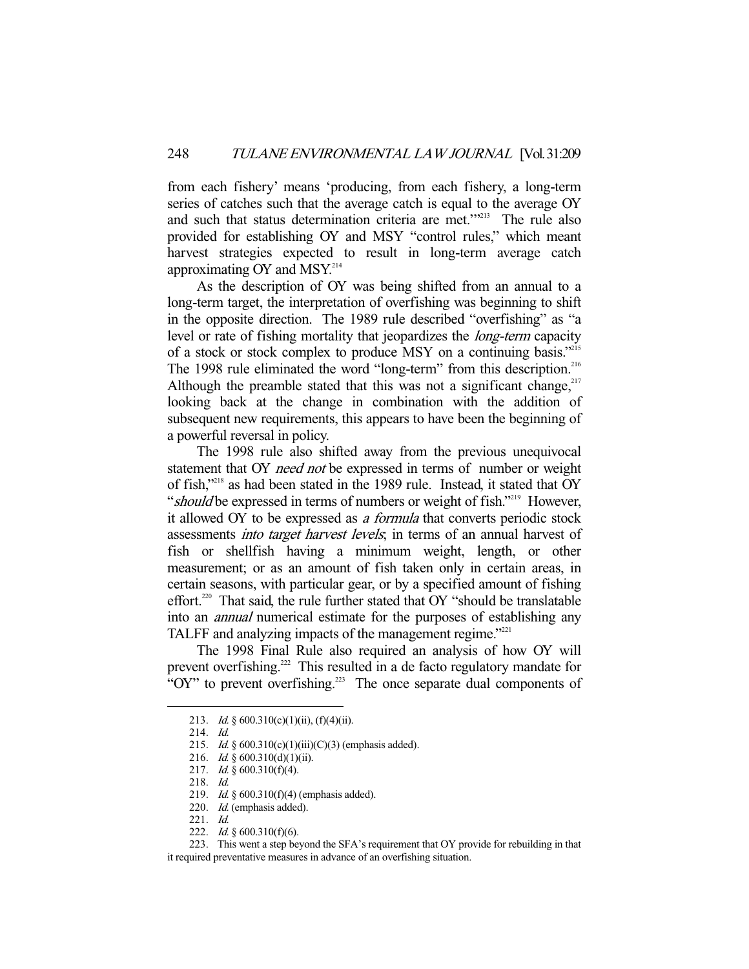from each fishery' means 'producing, from each fishery, a long-term series of catches such that the average catch is equal to the average OY and such that status determination criteria are met."<sup>213</sup> The rule also provided for establishing OY and MSY "control rules," which meant harvest strategies expected to result in long-term average catch approximating OY and  $MSY<sup>214</sup>$ 

 As the description of OY was being shifted from an annual to a long-term target, the interpretation of overfishing was beginning to shift in the opposite direction. The 1989 rule described "overfishing" as "a level or rate of fishing mortality that jeopardizes the long-term capacity of a stock or stock complex to produce MSY on a continuing basis."215 The 1998 rule eliminated the word "long-term" from this description.<sup>216</sup> Although the preamble stated that this was not a significant change,  $217$ looking back at the change in combination with the addition of subsequent new requirements, this appears to have been the beginning of a powerful reversal in policy.

 The 1998 rule also shifted away from the previous unequivocal statement that OY *need not* be expressed in terms of number or weight of fish,"218 as had been stated in the 1989 rule. Instead, it stated that OY "should be expressed in terms of numbers or weight of fish."<sup>219</sup> However, it allowed OY to be expressed as a formula that converts periodic stock assessments into target harvest levels; in terms of an annual harvest of fish or shellfish having a minimum weight, length, or other measurement; or as an amount of fish taken only in certain areas, in certain seasons, with particular gear, or by a specified amount of fishing effort.<sup>220</sup> That said, the rule further stated that OY "should be translatable into an annual numerical estimate for the purposes of establishing any TALFF and analyzing impacts of the management regime."<sup>221</sup>

 The 1998 Final Rule also required an analysis of how OY will prevent overfishing.<sup>222</sup> This resulted in a de facto regulatory mandate for "OY" to prevent overfishing.<sup>223</sup> The once separate dual components of

-

223. This went a step beyond the SFA's requirement that OY provide for rebuilding in that

it required preventative measures in advance of an overfishing situation.

<sup>213.</sup> *Id.* §  $600.310(c)(1)(ii)$ ,  $(f)(4)(ii)$ .

 <sup>214.</sup> Id.

<sup>215.</sup> *Id.* §  $600.310(c)(1)(iii)(C)(3)$  (emphasis added).

<sup>216.</sup> *Id.* § 600.310(d)(1)(ii).

 <sup>217.</sup> Id. § 600.310(f)(4).

 <sup>218.</sup> Id.

<sup>219.</sup> *Id.* § 600.310(f)(4) (emphasis added).

 <sup>220.</sup> Id. (emphasis added).

 <sup>221.</sup> Id.

<sup>222.</sup> *Id.* §  $600.310(f)(6)$ .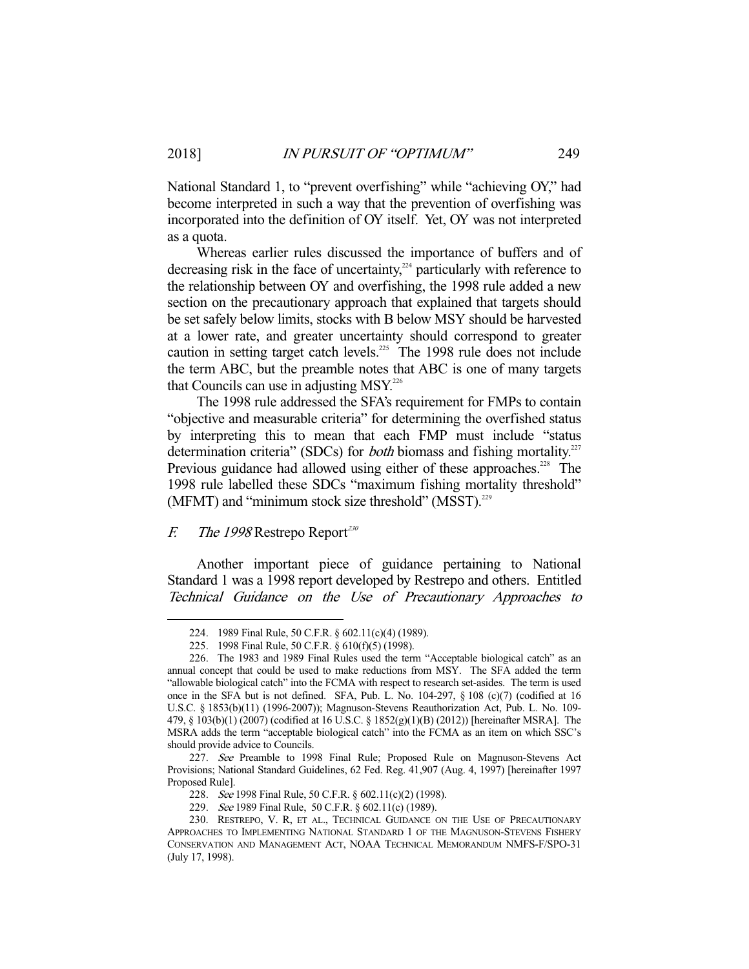National Standard 1, to "prevent overfishing" while "achieving OY," had become interpreted in such a way that the prevention of overfishing was incorporated into the definition of OY itself. Yet, OY was not interpreted as a quota.

 Whereas earlier rules discussed the importance of buffers and of decreasing risk in the face of uncertainty, $224$  particularly with reference to the relationship between OY and overfishing, the 1998 rule added a new section on the precautionary approach that explained that targets should be set safely below limits, stocks with B below MSY should be harvested at a lower rate, and greater uncertainty should correspond to greater caution in setting target catch levels.<sup>225</sup> The 1998 rule does not include the term ABC, but the preamble notes that ABC is one of many targets that Councils can use in adjusting  $MSY<sup>226</sup>$ 

 The 1998 rule addressed the SFA's requirement for FMPs to contain "objective and measurable criteria" for determining the overfished status by interpreting this to mean that each FMP must include "status determination criteria" (SDCs) for *both* biomass and fishing mortality.<sup>227</sup> Previous guidance had allowed using either of these approaches.<sup>228</sup> The 1998 rule labelled these SDCs "maximum fishing mortality threshold" (MFMT) and "minimum stock size threshold" (MSST). $^{229}$ 

# $F.$  The 1998 Restrepo Report<sup>230</sup>

 Another important piece of guidance pertaining to National Standard 1 was a 1998 report developed by Restrepo and others. Entitled Technical Guidance on the Use of Precautionary Approaches to

 <sup>224. 1989</sup> Final Rule, 50 C.F.R. § 602.11(c)(4) (1989).

 <sup>225. 1998</sup> Final Rule, 50 C.F.R. § 610(f)(5) (1998).

 <sup>226.</sup> The 1983 and 1989 Final Rules used the term "Acceptable biological catch" as an annual concept that could be used to make reductions from MSY. The SFA added the term "allowable biological catch" into the FCMA with respect to research set-asides. The term is used once in the SFA but is not defined. SFA, Pub. L. No. 104-297, § 108 (c)(7) (codified at 16 U.S.C. § 1853(b)(11) (1996-2007)); Magnuson-Stevens Reauthorization Act, Pub. L. No. 109- 479, § 103(b)(1) (2007) (codified at 16 U.S.C. § 1852(g)(1)(B) (2012)) [hereinafter MSRA]. The MSRA adds the term "acceptable biological catch" into the FCMA as an item on which SSC's should provide advice to Councils.

<sup>227.</sup> See Preamble to 1998 Final Rule; Proposed Rule on Magnuson-Stevens Act Provisions; National Standard Guidelines, 62 Fed. Reg. 41,907 (Aug. 4, 1997) [hereinafter 1997 Proposed Rule].

<sup>228.</sup> See 1998 Final Rule, 50 C.F.R. § 602.11(c)(2) (1998).

<sup>229.</sup> See 1989 Final Rule, 50 C.F.R. § 602.11(c) (1989).

 <sup>230.</sup> RESTREPO, V. R, ET AL., TECHNICAL GUIDANCE ON THE USE OF PRECAUTIONARY APPROACHES TO IMPLEMENTING NATIONAL STANDARD 1 OF THE MAGNUSON-STEVENS FISHERY CONSERVATION AND MANAGEMENT ACT, NOAA TECHNICAL MEMORANDUM NMFS-F/SPO-31 (July 17, 1998).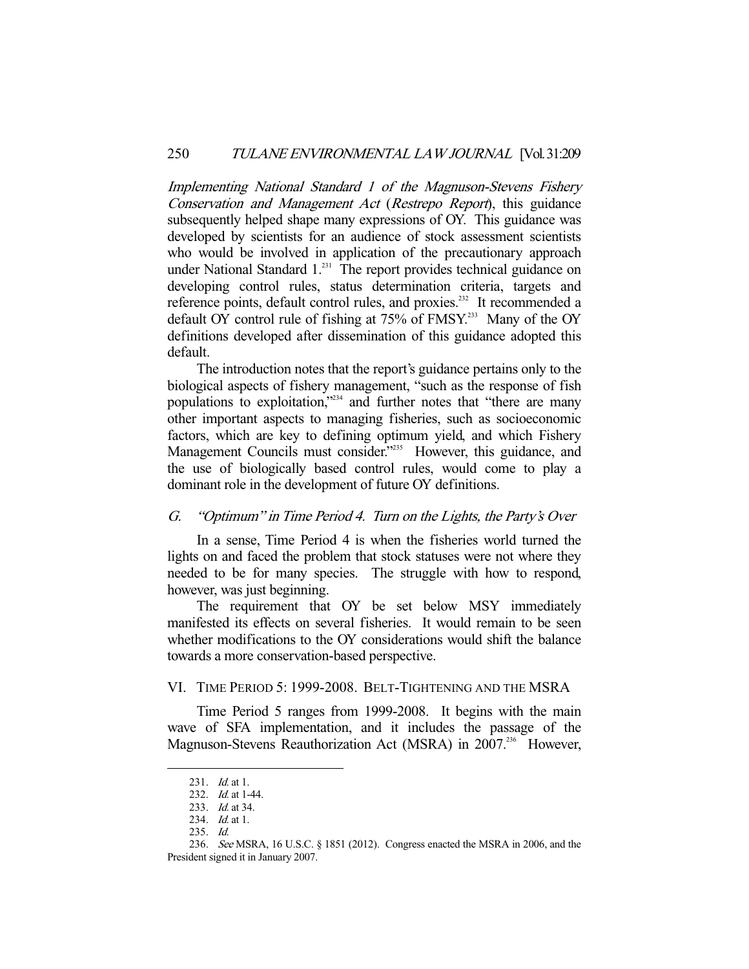Implementing National Standard 1 of the Magnuson-Stevens Fishery Conservation and Management Act (Restrepo Report), this guidance subsequently helped shape many expressions of OY. This guidance was developed by scientists for an audience of stock assessment scientists who would be involved in application of the precautionary approach under National Standard 1.<sup>231</sup> The report provides technical guidance on developing control rules, status determination criteria, targets and reference points, default control rules, and proxies.<sup>232</sup> It recommended a default OY control rule of fishing at 75% of FMSY.<sup>233</sup> Many of the OY definitions developed after dissemination of this guidance adopted this default.

 The introduction notes that the report's guidance pertains only to the biological aspects of fishery management, "such as the response of fish populations to exploitation,"234 and further notes that "there are many other important aspects to managing fisheries, such as socioeconomic factors, which are key to defining optimum yield, and which Fishery Management Councils must consider."<sup>235</sup> However, this guidance, and the use of biologically based control rules, would come to play a dominant role in the development of future OY definitions.

## G. "Optimum" in Time Period 4. Turn on the Lights, the Party's Over

 In a sense, Time Period 4 is when the fisheries world turned the lights on and faced the problem that stock statuses were not where they needed to be for many species. The struggle with how to respond, however, was just beginning.

 The requirement that OY be set below MSY immediately manifested its effects on several fisheries. It would remain to be seen whether modifications to the OY considerations would shift the balance towards a more conservation-based perspective.

# VI. TIME PERIOD 5: 1999-2008. BELT-TIGHTENING AND THE MSRA

 Time Period 5 ranges from 1999-2008. It begins with the main wave of SFA implementation, and it includes the passage of the Magnuson-Stevens Reauthorization Act (MSRA) in 2007.<sup>236</sup> However,

<sup>231.</sup> *Id.* at 1.

<sup>232.</sup> *Id.* at 1-44.

<sup>233.</sup> *Id.* at 34.

<sup>234.</sup> *Id.* at 1.

 <sup>235.</sup> Id.

 <sup>236.</sup> See MSRA, 16 U.S.C. § 1851 (2012). Congress enacted the MSRA in 2006, and the President signed it in January 2007.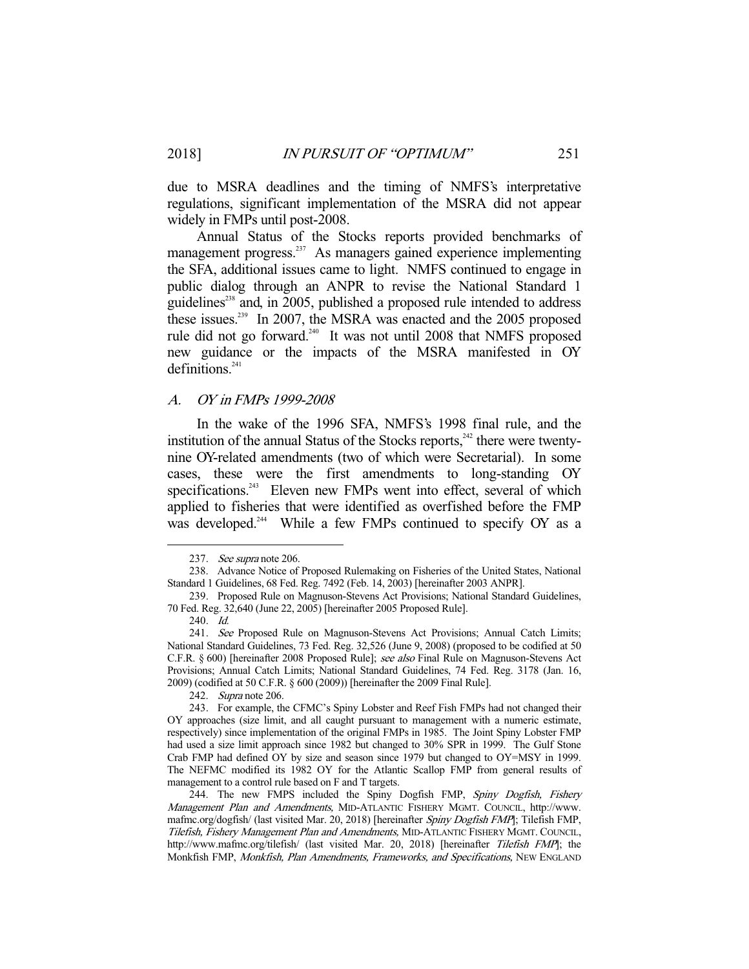due to MSRA deadlines and the timing of NMFS's interpretative regulations, significant implementation of the MSRA did not appear widely in FMPs until post-2008.

 Annual Status of the Stocks reports provided benchmarks of management progress.<sup>237</sup> As managers gained experience implementing the SFA, additional issues came to light. NMFS continued to engage in public dialog through an ANPR to revise the National Standard 1 guidelines<sup>238</sup> and, in 2005, published a proposed rule intended to address these issues.<sup>239</sup> In 2007, the MSRA was enacted and the 2005 proposed rule did not go forward.<sup>240</sup> It was not until 2008 that NMFS proposed new guidance or the impacts of the MSRA manifested in OY definitions.<sup>241</sup>

# A. OY in FMPs 1999-2008

 In the wake of the 1996 SFA, NMFS's 1998 final rule, and the institution of the annual Status of the Stocks reports, $242$  there were twentynine OY-related amendments (two of which were Secretarial). In some cases, these were the first amendments to long-standing OY specifications.<sup>243</sup> Eleven new FMPs went into effect, several of which applied to fisheries that were identified as overfished before the FMP was developed.<sup>244</sup> While a few FMPs continued to specify OY as a

 <sup>237.</sup> See supra note 206.

 <sup>238.</sup> Advance Notice of Proposed Rulemaking on Fisheries of the United States, National Standard 1 Guidelines, 68 Fed. Reg. 7492 (Feb. 14, 2003) [hereinafter 2003 ANPR].

 <sup>239.</sup> Proposed Rule on Magnuson-Stevens Act Provisions; National Standard Guidelines, 70 Fed. Reg. 32,640 (June 22, 2005) [hereinafter 2005 Proposed Rule].

 <sup>240.</sup> Id.

<sup>241.</sup> See Proposed Rule on Magnuson-Stevens Act Provisions; Annual Catch Limits; National Standard Guidelines, 73 Fed. Reg. 32,526 (June 9, 2008) (proposed to be codified at 50 C.F.R. § 600) [hereinafter 2008 Proposed Rule]; see also Final Rule on Magnuson-Stevens Act Provisions; Annual Catch Limits; National Standard Guidelines, 74 Fed. Reg. 3178 (Jan. 16, 2009) (codified at 50 C.F.R. § 600 (2009)) [hereinafter the 2009 Final Rule].

 <sup>242.</sup> Supra note 206.

 <sup>243.</sup> For example, the CFMC's Spiny Lobster and Reef Fish FMPs had not changed their OY approaches (size limit, and all caught pursuant to management with a numeric estimate, respectively) since implementation of the original FMPs in 1985. The Joint Spiny Lobster FMP had used a size limit approach since 1982 but changed to 30% SPR in 1999. The Gulf Stone Crab FMP had defined OY by size and season since 1979 but changed to OY=MSY in 1999. The NEFMC modified its 1982 OY for the Atlantic Scallop FMP from general results of management to a control rule based on F and T targets.

<sup>244.</sup> The new FMPS included the Spiny Dogfish FMP, Spiny Dogfish, Fishery Management Plan and Amendments, MID-ATLANTIC FISHERY MGMT. COUNCIL, http://www. mafmc.org/dogfish/ (last visited Mar. 20, 2018) [hereinafter Spiny Dogfish FMP]; Tilefish FMP, Tilefish, Fishery Management Plan and Amendments, MID-ATLANTIC FISHERY MGMT. COUNCIL, http://www.mafmc.org/tilefish/ (last visited Mar. 20, 2018) [hereinafter Tilefish FMP]; the Monkfish FMP, Monkfish, Plan Amendments, Frameworks, and Specifications, NEW ENGLAND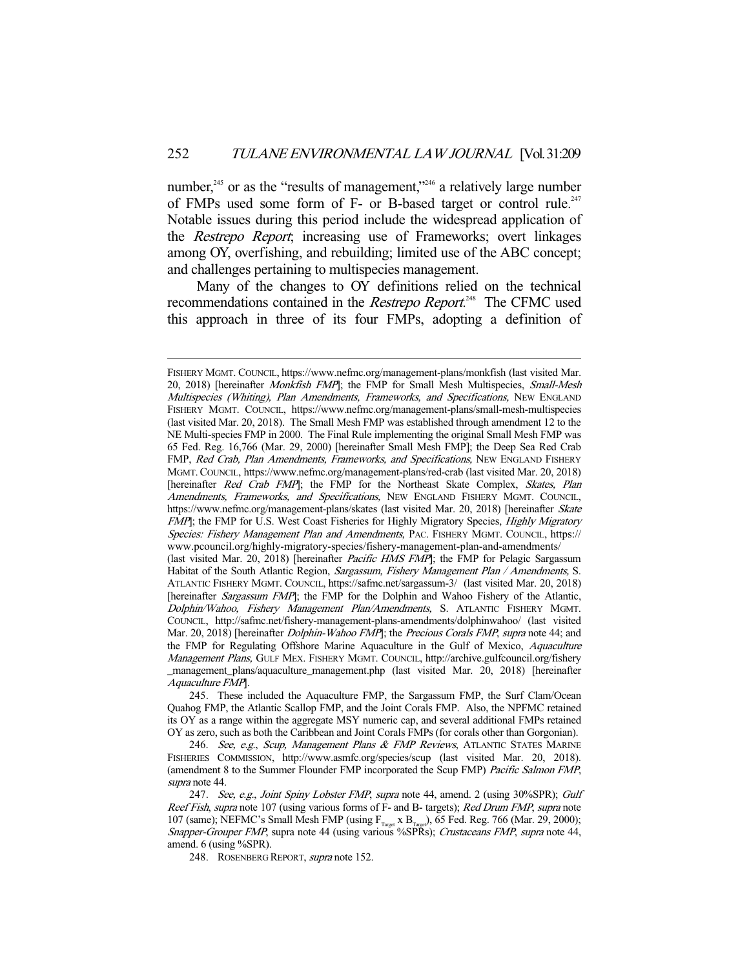number,<sup>245</sup> or as the "results of management,"<sup>246</sup> a relatively large number of FMPs used some form of F- or B-based target or control rule.<sup>247</sup> Notable issues during this period include the widespread application of the Restrepo Report; increasing use of Frameworks; overt linkages among OY, overfishing, and rebuilding; limited use of the ABC concept; and challenges pertaining to multispecies management.

 Many of the changes to OY definitions relied on the technical recommendations contained in the *Restrepo Report*.<sup>248</sup> The CFMC used this approach in three of its four FMPs, adopting a definition of

FISHERY MGMT. COUNCIL, https://www.nefmc.org/management-plans/monkfish (last visited Mar. 20, 2018) [hereinafter *Monkfish FMP*]; the FMP for Small Mesh Multispecies, *Small-Mesh* Multispecies (Whiting), Plan Amendments, Frameworks, and Specifications, NEW ENGLAND FISHERY MGMT. COUNCIL, https://www.nefmc.org/management-plans/small-mesh-multispecies (last visited Mar. 20, 2018). The Small Mesh FMP was established through amendment 12 to the NE Multi-species FMP in 2000. The Final Rule implementing the original Small Mesh FMP was 65 Fed. Reg. 16,766 (Mar. 29, 2000) [hereinafter Small Mesh FMP]; the Deep Sea Red Crab FMP, Red Crab, Plan Amendments, Frameworks, and Specifications, NEW ENGLAND FISHERY MGMT.COUNCIL, https://www.nefmc.org/management-plans/red-crab (last visited Mar. 20, 2018) [hereinafter Red Crab FMP]; the FMP for the Northeast Skate Complex, Skates, Plan Amendments, Frameworks, and Specifications, NEW ENGLAND FISHERY MGMT. COUNCIL, https://www.nefmc.org/management-plans/skates (last visited Mar. 20, 2018) [hereinafter Skate FMP]; the FMP for U.S. West Coast Fisheries for Highly Migratory Species, Highly Migratory Species: Fishery Management Plan and Amendments, PAC. FISHERY MGMT. COUNCIL, https:// www.pcouncil.org/highly-migratory-species/fishery-management-plan-and-amendments/

<sup>(</sup>last visited Mar. 20, 2018) [hereinafter *Pacific HMS FMP*]; the FMP for Pelagic Sargassum Habitat of the South Atlantic Region, *Sargassum, Fishery Management Plan / Amendments*, S. ATLANTIC FISHERY MGMT. COUNCIL, https://safmc.net/sargassum-3/ (last visited Mar. 20, 2018) [hereinafter Sargassum FMP]; the FMP for the Dolphin and Wahoo Fishery of the Atlantic, Dolphin/Wahoo, Fishery Management Plan/Amendments, S. ATLANTIC FISHERY MGMT. COUNCIL, http://safmc.net/fishery-management-plans-amendments/dolphinwahoo/ (last visited Mar. 20, 2018) [hereinafter *Dolphin-Wahoo FMP*]; the *Precious Corals FMP*, supra note 44; and the FMP for Regulating Offshore Marine Aquaculture in the Gulf of Mexico, Aquaculture Management Plans, GULF MEX. FISHERY MGMT. COUNCIL, http://archive.gulfcouncil.org/fishery \_management\_plans/aquaculture\_management.php (last visited Mar. 20, 2018) [hereinafter Aquaculture FMP].

 <sup>245.</sup> These included the Aquaculture FMP, the Sargassum FMP, the Surf Clam/Ocean Quahog FMP, the Atlantic Scallop FMP, and the Joint Corals FMP. Also, the NPFMC retained its OY as a range within the aggregate MSY numeric cap, and several additional FMPs retained OY as zero, such as both the Caribbean and Joint Corals FMPs (for corals other than Gorgonian).

<sup>246.</sup> See, e.g., Scup, Management Plans & FMP Reviews, ATLANTIC STATES MARINE FISHERIES COMMISSION, http://www.asmfc.org/species/scup (last visited Mar. 20, 2018). (amendment 8 to the Summer Flounder FMP incorporated the Scup FMP) Pacific Salmon FMP, supra note 44.

<sup>247.</sup> See, e.g., Joint Spiny Lobster FMP, supra note 44, amend. 2 (using 30%SPR); Gulf Reef Fish, supra note 107 (using various forms of F- and B- targets); Red Drum FMP, supra note 107 (same); NEFMC's Small Mesh FMP (using  $F_{T_{\text{target}}}$  x  $B_{T_{\text{target}}}$ ), 65 Fed. Reg. 766 (Mar. 29, 2000); Snapper-Grouper FMP, supra note 44 (using various %SPRs); Crustaceans FMP, supra note 44, amend. 6 (using %SPR).

 <sup>248.</sup> ROSENBERG REPORT, supra note 152.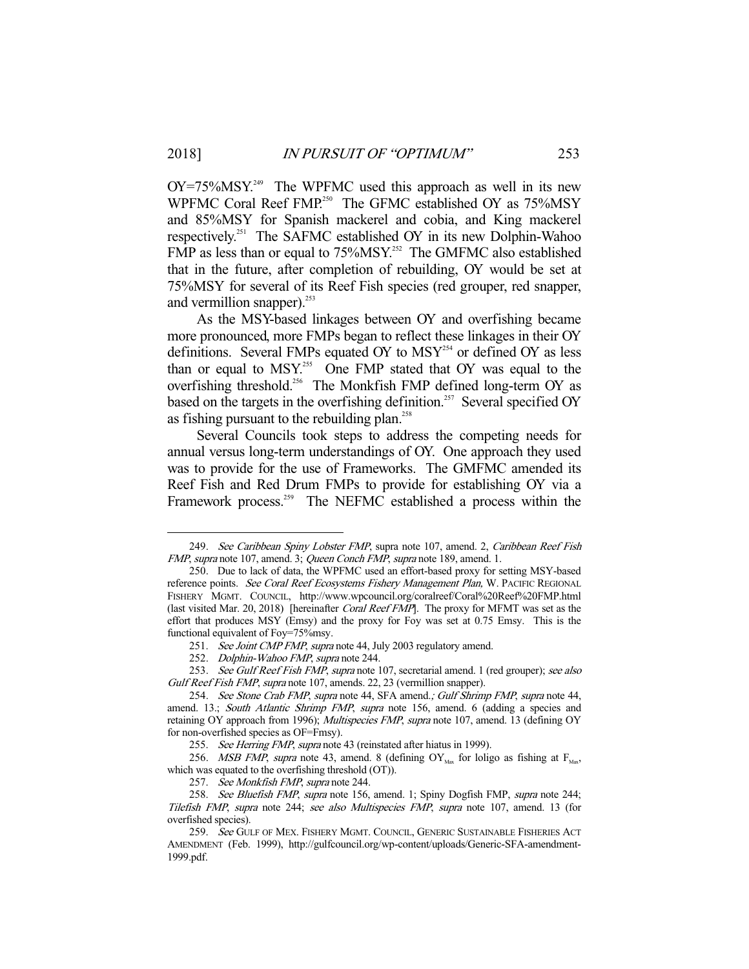$OY = 75\%$ MSY.<sup>249</sup> The WPFMC used this approach as well in its new WPFMC Coral Reef FMP.<sup>250</sup> The GFMC established OY as 75%MSY and 85%MSY for Spanish mackerel and cobia, and King mackerel respectively.251 The SAFMC established OY in its new Dolphin-Wahoo FMP as less than or equal to 75%MSY.<sup>252</sup> The GMFMC also established that in the future, after completion of rebuilding, OY would be set at 75%MSY for several of its Reef Fish species (red grouper, red snapper, and vermillion snapper).<sup>253</sup>

 As the MSY-based linkages between OY and overfishing became more pronounced, more FMPs began to reflect these linkages in their OY definitions. Several FMPs equated OY to MSY<sup>254</sup> or defined OY as less than or equal to MSY.<sup>255</sup> One FMP stated that OY was equal to the overfishing threshold.<sup>256</sup> The Monkfish FMP defined long-term OY as based on the targets in the overfishing definition.<sup>257</sup> Several specified OY as fishing pursuant to the rebuilding plan.<sup>258</sup>

 Several Councils took steps to address the competing needs for annual versus long-term understandings of OY. One approach they used was to provide for the use of Frameworks. The GMFMC amended its Reef Fish and Red Drum FMPs to provide for establishing OY via a Framework process.<sup>259</sup> The NEFMC established a process within the

<sup>249.</sup> See Caribbean Spiny Lobster FMP, supra note 107, amend. 2, Caribbean Reef Fish FMP, supra note 107, amend. 3; Queen Conch FMP, supra note 189, amend. 1.

 <sup>250.</sup> Due to lack of data, the WPFMC used an effort-based proxy for setting MSY-based reference points. See Coral Reef Ecosystems Fishery Management Plan, W. PACIFIC REGIONAL FISHERY MGMT. COUNCIL, http://www.wpcouncil.org/coralreef/Coral%20Reef%20FMP.html (last visited Mar. 20, 2018) [hereinafter Coral Reef FMP]. The proxy for MFMT was set as the effort that produces MSY (Emsy) and the proxy for Foy was set at 0.75 Emsy. This is the functional equivalent of Foy=75%msy.

<sup>251.</sup> See Joint CMP FMP, supra note 44, July 2003 regulatory amend.

<sup>252.</sup> Dolphin-Wahoo FMP, supra note 244.

<sup>253.</sup> See Gulf Reef Fish FMP, supra note 107, secretarial amend. 1 (red grouper); see also Gulf Reef Fish FMP, supra note 107, amends. 22, 23 (vermillion snapper).

 <sup>254.</sup> See Stone Crab FMP, supra note 44, SFA amend.; Gulf Shrimp FMP, supra note 44, amend. 13.; South Atlantic Shrimp FMP, supra note 156, amend. 6 (adding a species and retaining OY approach from 1996); Multispecies FMP, supra note 107, amend. 13 (defining OY for non-overfished species as OF=Fmsy).

<sup>255.</sup> See Herring FMP, supra note 43 (reinstated after hiatus in 1999).

<sup>256.</sup> MSB FMP, supra note 43, amend. 8 (defining  $\text{OY}_{\text{Mav}}$  for loligo as fishing at  $\text{F}_{\text{Mav}}$ which was equated to the overfishing threshold (OT)).

<sup>257.</sup> See Monkfish FMP, supra note 244.

<sup>258.</sup> See Bluefish FMP, supra note 156, amend. 1; Spiny Dogfish FMP, supra note 244; Tilefish FMP, supra note 244; see also Multispecies FMP, supra note 107, amend. 13 (for overfished species).

<sup>259.</sup> See GULF OF MEX. FISHERY MGMT. COUNCIL, GENERIC SUSTAINABLE FISHERIES ACT AMENDMENT (Feb. 1999), http://gulfcouncil.org/wp-content/uploads/Generic-SFA-amendment-1999.pdf.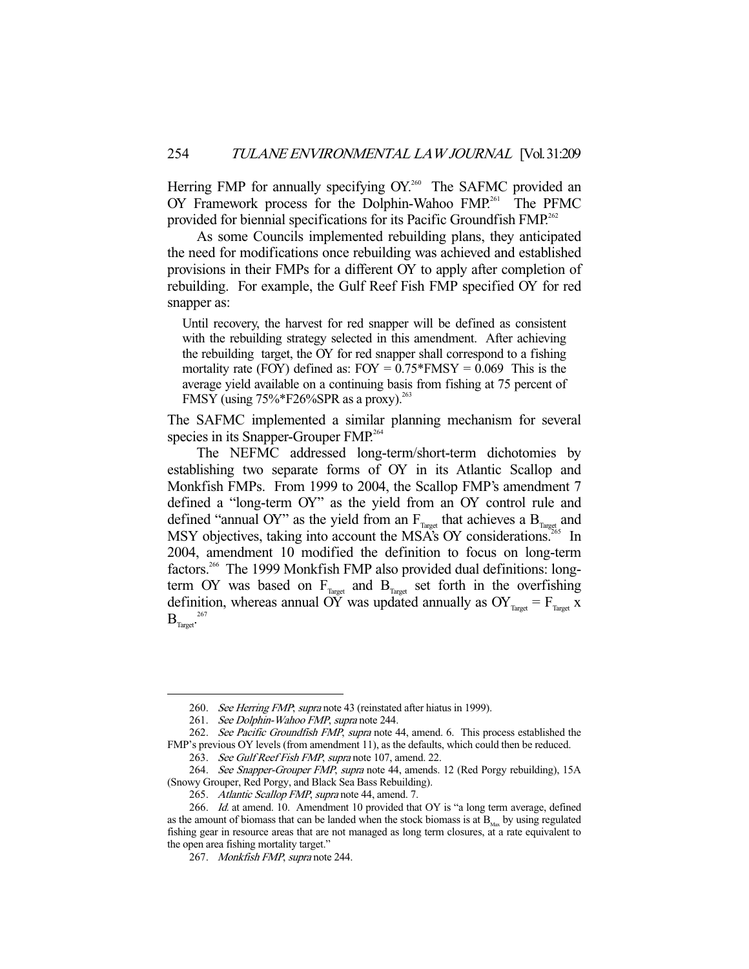Herring FMP for annually specifying OY.<sup>260</sup> The SAFMC provided an OY Framework process for the Dolphin-Wahoo FMP.<sup>261</sup> The PFMC provided for biennial specifications for its Pacific Groundfish FMP.<sup>262</sup>

 As some Councils implemented rebuilding plans, they anticipated the need for modifications once rebuilding was achieved and established provisions in their FMPs for a different OY to apply after completion of rebuilding. For example, the Gulf Reef Fish FMP specified OY for red snapper as:

Until recovery, the harvest for red snapper will be defined as consistent with the rebuilding strategy selected in this amendment. After achieving the rebuilding target, the OY for red snapper shall correspond to a fishing mortality rate (FOY) defined as:  $FOY = 0.75*FMSY = 0.069$  This is the average yield available on a continuing basis from fishing at 75 percent of FMSY (using  $75\%$ \*F26%SPR as a proxy).<sup>263</sup>

The SAFMC implemented a similar planning mechanism for several species in its Snapper-Grouper FMP.<sup>264</sup>

 The NEFMC addressed long-term/short-term dichotomies by establishing two separate forms of OY in its Atlantic Scallop and Monkfish FMPs. From 1999 to 2004, the Scallop FMP's amendment 7 defined a "long-term OY" as the yield from an OY control rule and defined "annual OY" as the yield from an  $F_{T_{\text{target}}}$  that achieves a  $B_{T_{\text{target}}}$  and MSY objectives, taking into account the MSA's OY considerations.<sup>265</sup> In 2004, amendment 10 modified the definition to focus on long-term factors.<sup>266</sup> The 1999 Monkfish FMP also provided dual definitions: longterm OY was based on  $F_{Tareet}$  and  $B_{Tareet}$  set forth in the overfishing definition, whereas annual OY was updated annually as  $OY_{T_{\text{target}}} = F_{T_{\text{target}}}$  x  $\mathrm{{B_{Target}}^{\text{267}}}$ 

<sup>260.</sup> See Herring FMP, supra note 43 (reinstated after hiatus in 1999).

<sup>261.</sup> See Dolphin-Wahoo FMP, supra note 244.

<sup>262.</sup> See Pacific Groundfish FMP, supra note 44, amend. 6. This process established the FMP's previous OY levels (from amendment 11), as the defaults, which could then be reduced. 263. See Gulf Reef Fish FMP, supra note 107, amend. 22.

 <sup>264.</sup> See Snapper-Grouper FMP, supra note 44, amends. 12 (Red Porgy rebuilding), 15A (Snowy Grouper, Red Porgy, and Black Sea Bass Rebuilding).

<sup>265.</sup> Atlantic Scallop FMP, supra note 44, amend. 7.

<sup>266.</sup> Id. at amend. 10. Amendment 10 provided that OY is "a long term average, defined as the amount of biomass that can be landed when the stock biomass is at  $B_{\mu\alpha}$  by using regulated fishing gear in resource areas that are not managed as long term closures, at a rate equivalent to the open area fishing mortality target."

 <sup>267.</sup> Monkfish FMP, supra note 244.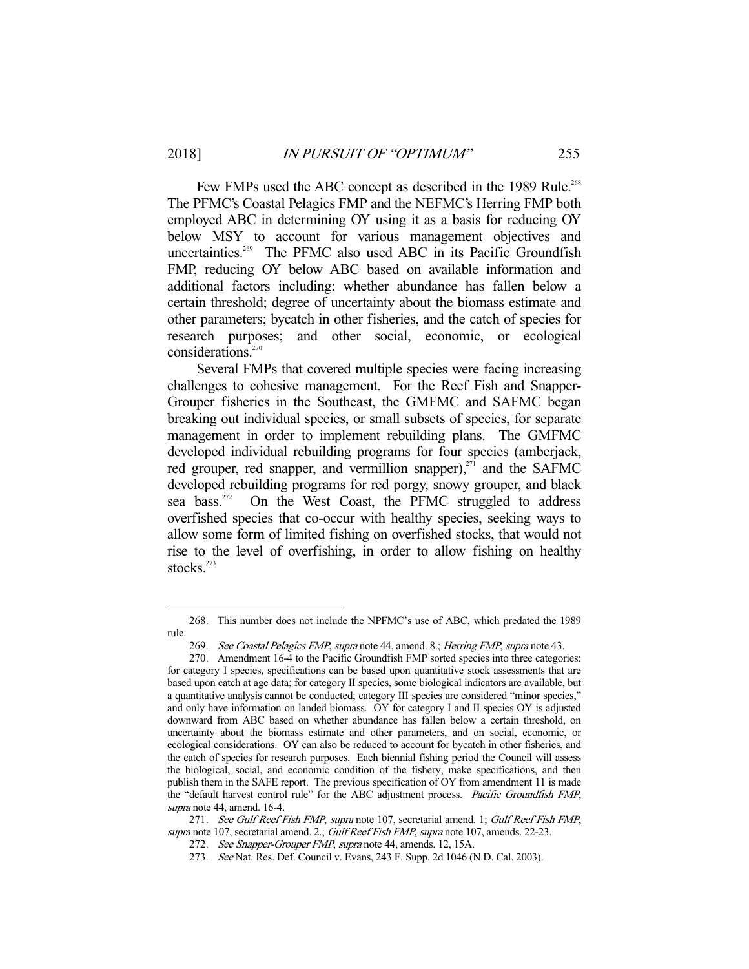Few FMPs used the ABC concept as described in the 1989 Rule.<sup>268</sup> The PFMC's Coastal Pelagics FMP and the NEFMC's Herring FMP both employed ABC in determining OY using it as a basis for reducing OY below MSY to account for various management objectives and uncertainties.<sup>269</sup> The PFMC also used ABC in its Pacific Groundfish FMP, reducing OY below ABC based on available information and additional factors including: whether abundance has fallen below a certain threshold; degree of uncertainty about the biomass estimate and other parameters; bycatch in other fisheries, and the catch of species for research purposes; and other social, economic, or ecological considerations.<sup>270</sup>

 Several FMPs that covered multiple species were facing increasing challenges to cohesive management. For the Reef Fish and Snapper-Grouper fisheries in the Southeast, the GMFMC and SAFMC began breaking out individual species, or small subsets of species, for separate management in order to implement rebuilding plans. The GMFMC developed individual rebuilding programs for four species (amberjack, red grouper, red snapper, and vermillion snapper), $^{271}$  and the SAFMC developed rebuilding programs for red porgy, snowy grouper, and black sea bass.<sup>272</sup> On the West Coast, the PFMC struggled to address overfished species that co-occur with healthy species, seeking ways to allow some form of limited fishing on overfished stocks, that would not rise to the level of overfishing, in order to allow fishing on healthy stocks.<sup>273</sup>

 <sup>268.</sup> This number does not include the NPFMC's use of ABC, which predated the 1989 rule.

<sup>269.</sup> See Coastal Pelagics FMP, supra note 44, amend. 8.; Herring FMP, supra note 43.

 <sup>270.</sup> Amendment 16-4 to the Pacific Groundfish FMP sorted species into three categories: for category I species, specifications can be based upon quantitative stock assessments that are based upon catch at age data; for category II species, some biological indicators are available, but a quantitative analysis cannot be conducted; category III species are considered "minor species," and only have information on landed biomass. OY for category I and II species OY is adjusted downward from ABC based on whether abundance has fallen below a certain threshold, on uncertainty about the biomass estimate and other parameters, and on social, economic, or ecological considerations. OY can also be reduced to account for bycatch in other fisheries, and the catch of species for research purposes. Each biennial fishing period the Council will assess the biological, social, and economic condition of the fishery, make specifications, and then publish them in the SAFE report. The previous specification of OY from amendment 11 is made the "default harvest control rule" for the ABC adjustment process. Pacific Groundfish FMP, supra note 44, amend. 16-4.

<sup>271.</sup> See Gulf Reef Fish FMP, supra note 107, secretarial amend. 1; Gulf Reef Fish FMP, supra note 107, secretarial amend. 2.; Gulf Reef Fish FMP, supra note 107, amends. 22-23.

 <sup>272.</sup> See Snapper-Grouper FMP, supra note 44, amends. 12, 15A.

 <sup>273.</sup> See Nat. Res. Def. Council v. Evans, 243 F. Supp. 2d 1046 (N.D. Cal. 2003).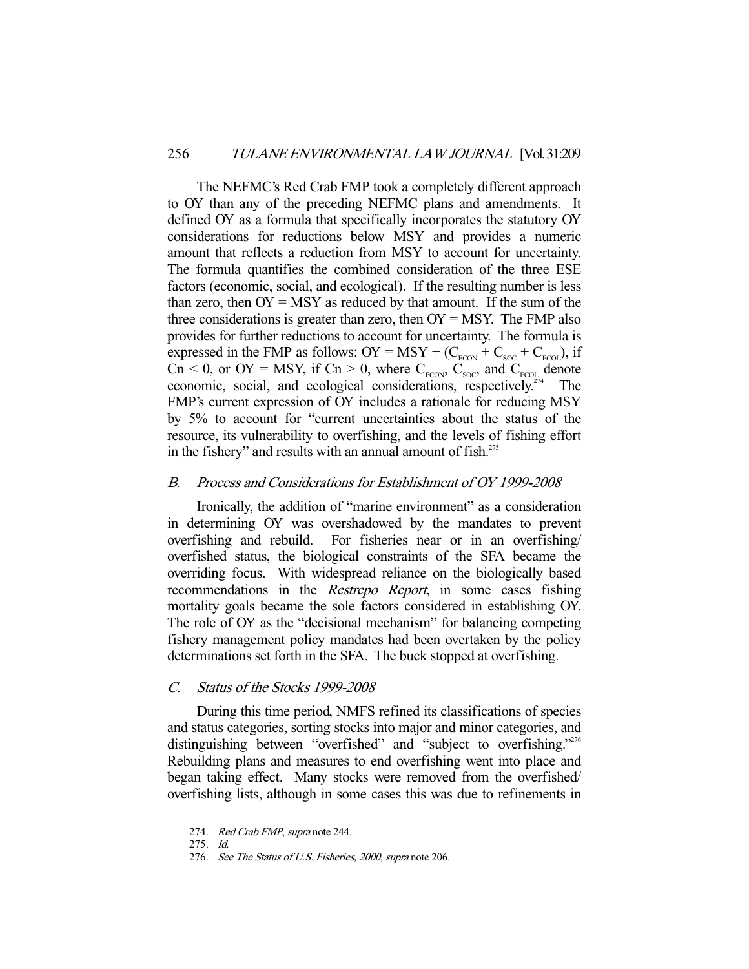The NEFMC's Red Crab FMP took a completely different approach to OY than any of the preceding NEFMC plans and amendments. It defined OY as a formula that specifically incorporates the statutory OY considerations for reductions below MSY and provides a numeric amount that reflects a reduction from MSY to account for uncertainty. The formula quantifies the combined consideration of the three ESE factors (economic, social, and ecological). If the resulting number is less than zero, then  $OY = MSY$  as reduced by that amount. If the sum of the three considerations is greater than zero, then  $OY = MSY$ . The FMP also provides for further reductions to account for uncertainty. The formula is expressed in the FMP as follows: OY = MSY + ( $C_{\text{ECON}}$  +  $C_{\text{SOC}}$  +  $C_{\text{ECOL}}$ ), if  $C_n$  < 0, or OY = MSY, if  $C_n$  > 0, where  $C_{ECON}$ ,  $C_{SOC}$ , and  $C_{ECOL}$  denote economic, social, and ecological considerations, respectively.<sup>274</sup> The FMP's current expression of OY includes a rationale for reducing MSY by 5% to account for "current uncertainties about the status of the resource, its vulnerability to overfishing, and the levels of fishing effort in the fishery" and results with an annual amount of fish.<sup>275</sup>

# B. Process and Considerations for Establishment of OY 1999-2008

 Ironically, the addition of "marine environment" as a consideration in determining OY was overshadowed by the mandates to prevent overfishing and rebuild. For fisheries near or in an overfishing/ overfished status, the biological constraints of the SFA became the overriding focus. With widespread reliance on the biologically based recommendations in the *Restrepo Report*, in some cases fishing mortality goals became the sole factors considered in establishing OY. The role of OY as the "decisional mechanism" for balancing competing fishery management policy mandates had been overtaken by the policy determinations set forth in the SFA. The buck stopped at overfishing.

# C. Status of the Stocks 1999-2008

 During this time period, NMFS refined its classifications of species and status categories, sorting stocks into major and minor categories, and distinguishing between "overfished" and "subject to overfishing."<sup>276</sup> Rebuilding plans and measures to end overfishing went into place and began taking effect. Many stocks were removed from the overfished/ overfishing lists, although in some cases this was due to refinements in

<sup>274.</sup> Red Crab FMP, supra note 244.

 <sup>275.</sup> Id.

 <sup>276.</sup> See The Status of U.S. Fisheries, 2000, supra note 206.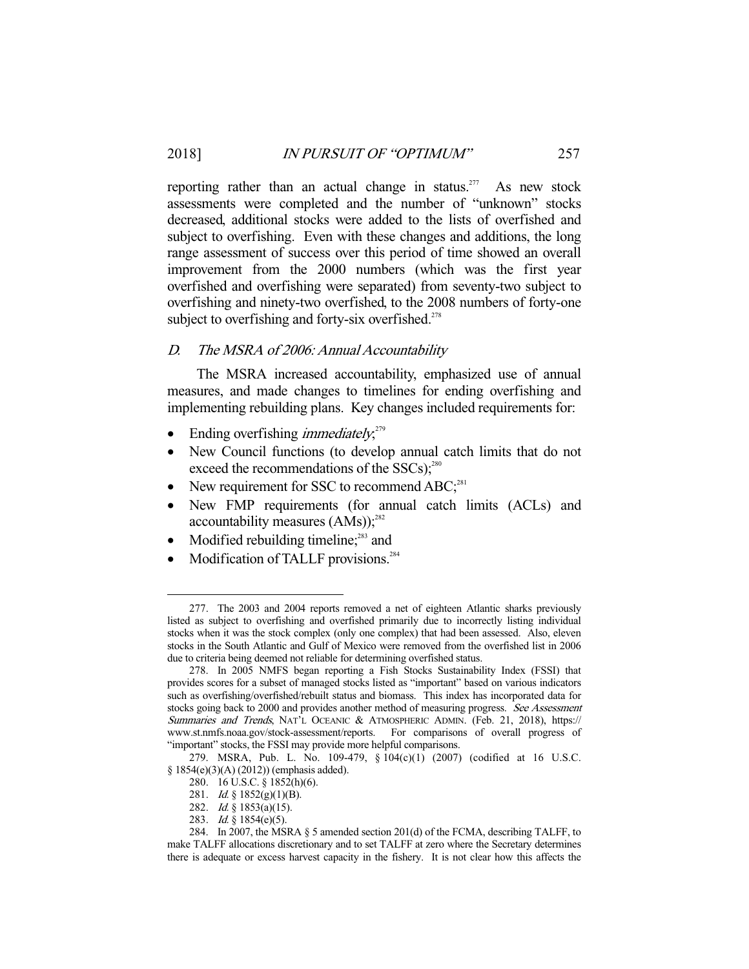reporting rather than an actual change in status.<sup>277</sup> As new stock assessments were completed and the number of "unknown" stocks decreased, additional stocks were added to the lists of overfished and subject to overfishing. Even with these changes and additions, the long range assessment of success over this period of time showed an overall improvement from the 2000 numbers (which was the first year overfished and overfishing were separated) from seventy-two subject to overfishing and ninety-two overfished, to the 2008 numbers of forty-one subject to overfishing and forty-six overfished.<sup> $278$ </sup>

# D. The MSRA of 2006: Annual Accountability

 The MSRA increased accountability, emphasized use of annual measures, and made changes to timelines for ending overfishing and implementing rebuilding plans. Key changes included requirements for:

- Ending overfishing *immediately*;<sup>279</sup>
- New Council functions (to develop annual catch limits that do not exceed the recommendations of the  $SSCs$ );<sup>280</sup>
- New requirement for SSC to recommend  $ABC;^{281}$
- New FMP requirements (for annual catch limits (ACLs) and accountability measures  $(AMS)$ ;<sup>282</sup>
- Modified rebuilding timeline; $^{283}$  and
- Modification of TALLF provisions.<sup>284</sup>

 <sup>277.</sup> The 2003 and 2004 reports removed a net of eighteen Atlantic sharks previously listed as subject to overfishing and overfished primarily due to incorrectly listing individual stocks when it was the stock complex (only one complex) that had been assessed. Also, eleven stocks in the South Atlantic and Gulf of Mexico were removed from the overfished list in 2006 due to criteria being deemed not reliable for determining overfished status.

 <sup>278.</sup> In 2005 NMFS began reporting a Fish Stocks Sustainability Index (FSSI) that provides scores for a subset of managed stocks listed as "important" based on various indicators such as overfishing/overfished/rebuilt status and biomass. This index has incorporated data for stocks going back to 2000 and provides another method of measuring progress. See Assessment Summaries and Trends, NAT'L OCEANIC & ATMOSPHERIC ADMIN. (Feb. 21, 2018), https:// www.st.nmfs.noaa.gov/stock-assessment/reports. For comparisons of overall progress of "important" stocks, the FSSI may provide more helpful comparisons.

 <sup>279.</sup> MSRA, Pub. L. No. 109-479, § 104(c)(1) (2007) (codified at 16 U.S.C. § 1854(e)(3)(A) (2012)) (emphasis added).

 <sup>280. 16</sup> U.S.C. § 1852(h)(6).

 <sup>281.</sup> Id. § 1852(g)(1)(B).

 <sup>282.</sup> Id. § 1853(a)(15).

 <sup>283.</sup> Id. § 1854(e)(5).

 <sup>284.</sup> In 2007, the MSRA § 5 amended section 201(d) of the FCMA, describing TALFF, to make TALFF allocations discretionary and to set TALFF at zero where the Secretary determines there is adequate or excess harvest capacity in the fishery. It is not clear how this affects the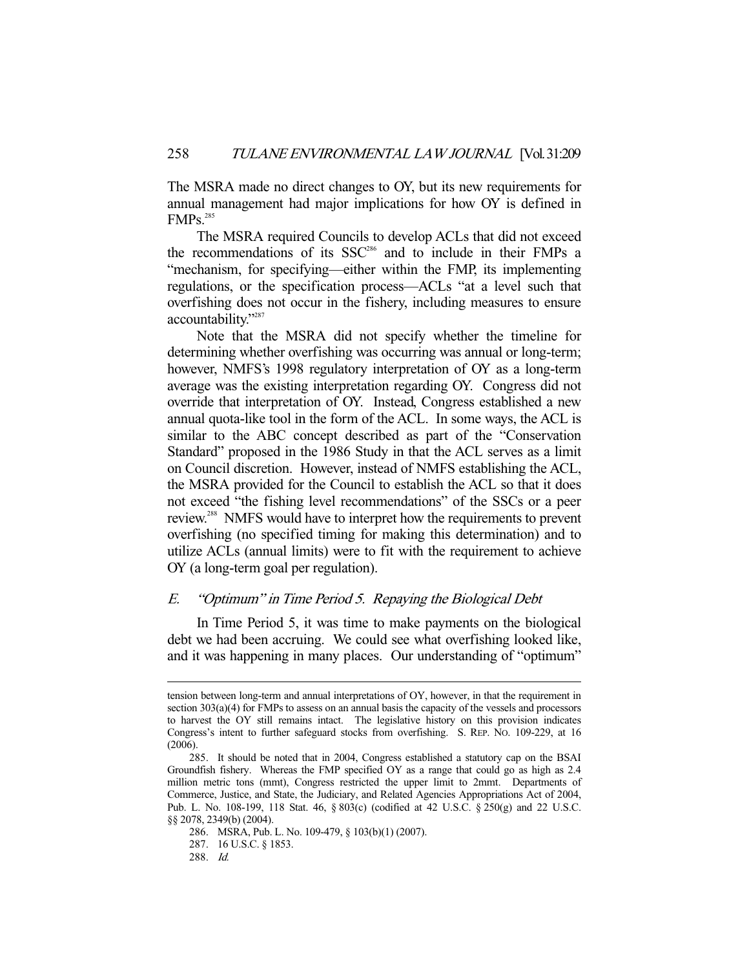The MSRA made no direct changes to OY, but its new requirements for annual management had major implications for how OY is defined in FMP<sub>S.<sup>285</sup></sub>

 The MSRA required Councils to develop ACLs that did not exceed the recommendations of its SSC<sup>286</sup> and to include in their FMPs a "mechanism, for specifying—either within the FMP, its implementing regulations, or the specification process—ACLs "at a level such that overfishing does not occur in the fishery, including measures to ensure accountability."287

 Note that the MSRA did not specify whether the timeline for determining whether overfishing was occurring was annual or long-term; however, NMFS's 1998 regulatory interpretation of OY as a long-term average was the existing interpretation regarding OY. Congress did not override that interpretation of OY. Instead, Congress established a new annual quota-like tool in the form of the ACL. In some ways, the ACL is similar to the ABC concept described as part of the "Conservation Standard" proposed in the 1986 Study in that the ACL serves as a limit on Council discretion. However, instead of NMFS establishing the ACL, the MSRA provided for the Council to establish the ACL so that it does not exceed "the fishing level recommendations" of the SSCs or a peer review.288 NMFS would have to interpret how the requirements to prevent overfishing (no specified timing for making this determination) and to utilize ACLs (annual limits) were to fit with the requirement to achieve OY (a long-term goal per regulation).

# E. "Optimum" in Time Period 5. Repaying the Biological Debt

 In Time Period 5, it was time to make payments on the biological debt we had been accruing. We could see what overfishing looked like, and it was happening in many places. Our understanding of "optimum"

tension between long-term and annual interpretations of OY, however, in that the requirement in section 303(a)(4) for FMPs to assess on an annual basis the capacity of the vessels and processors to harvest the OY still remains intact. The legislative history on this provision indicates Congress's intent to further safeguard stocks from overfishing. S. REP. NO. 109-229, at 16 (2006).

 <sup>285.</sup> It should be noted that in 2004, Congress established a statutory cap on the BSAI Groundfish fishery. Whereas the FMP specified OY as a range that could go as high as 2.4 million metric tons (mmt), Congress restricted the upper limit to 2mmt. Departments of Commerce, Justice, and State, the Judiciary, and Related Agencies Appropriations Act of 2004, Pub. L. No. 108-199, 118 Stat. 46, § 803(c) (codified at 42 U.S.C. § 250(g) and 22 U.S.C. §§ 2078, 2349(b) (2004).

 <sup>286.</sup> MSRA, Pub. L. No. 109-479, § 103(b)(1) (2007).

 <sup>287. 16</sup> U.S.C. § 1853.

 <sup>288.</sup> Id.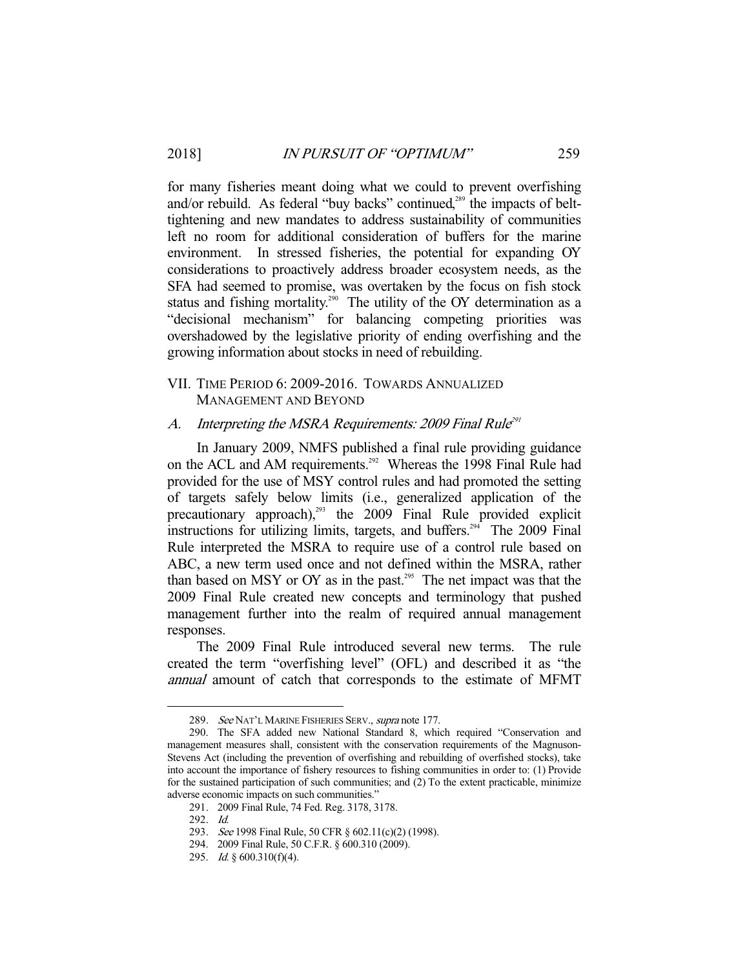for many fisheries meant doing what we could to prevent overfishing and/or rebuild. As federal "buy backs" continued,<sup>289</sup> the impacts of belttightening and new mandates to address sustainability of communities left no room for additional consideration of buffers for the marine environment. In stressed fisheries, the potential for expanding OY considerations to proactively address broader ecosystem needs, as the SFA had seemed to promise, was overtaken by the focus on fish stock status and fishing mortality.<sup>290</sup> The utility of the OY determination as a "decisional mechanism" for balancing competing priorities was overshadowed by the legislative priority of ending overfishing and the growing information about stocks in need of rebuilding.

# VII. TIME PERIOD 6: 2009-2016. TOWARDS ANNUALIZED MANAGEMENT AND BEYOND

# A. Interpreting the MSRA Requirements: 2009 Final Rule<sup>291</sup>

 In January 2009, NMFS published a final rule providing guidance on the ACL and AM requirements.<sup>292</sup> Whereas the 1998 Final Rule had provided for the use of MSY control rules and had promoted the setting of targets safely below limits (i.e., generalized application of the precautionary approach),<sup>293</sup> the 2009 Final Rule provided explicit instructions for utilizing limits, targets, and buffers.<sup> $294$ </sup> The 2009 Final Rule interpreted the MSRA to require use of a control rule based on ABC, a new term used once and not defined within the MSRA, rather than based on MSY or OY as in the past.<sup>295</sup> The net impact was that the 2009 Final Rule created new concepts and terminology that pushed management further into the realm of required annual management responses.

 The 2009 Final Rule introduced several new terms. The rule created the term "overfishing level" (OFL) and described it as "the annual amount of catch that corresponds to the estimate of MFMT

<sup>289.</sup> See NAT'L MARINE FISHERIES SERV., supra note 177.

 <sup>290.</sup> The SFA added new National Standard 8, which required "Conservation and management measures shall, consistent with the conservation requirements of the Magnuson-Stevens Act (including the prevention of overfishing and rebuilding of overfished stocks), take into account the importance of fishery resources to fishing communities in order to: (1) Provide for the sustained participation of such communities; and (2) To the extent practicable, minimize adverse economic impacts on such communities."

 <sup>291. 2009</sup> Final Rule, 74 Fed. Reg. 3178, 3178.

 <sup>292.</sup> Id.

<sup>293.</sup> See 1998 Final Rule, 50 CFR § 602.11(c)(2) (1998).

 <sup>294. 2009</sup> Final Rule, 50 C.F.R. § 600.310 (2009).

 <sup>295.</sup> Id. § 600.310(f)(4).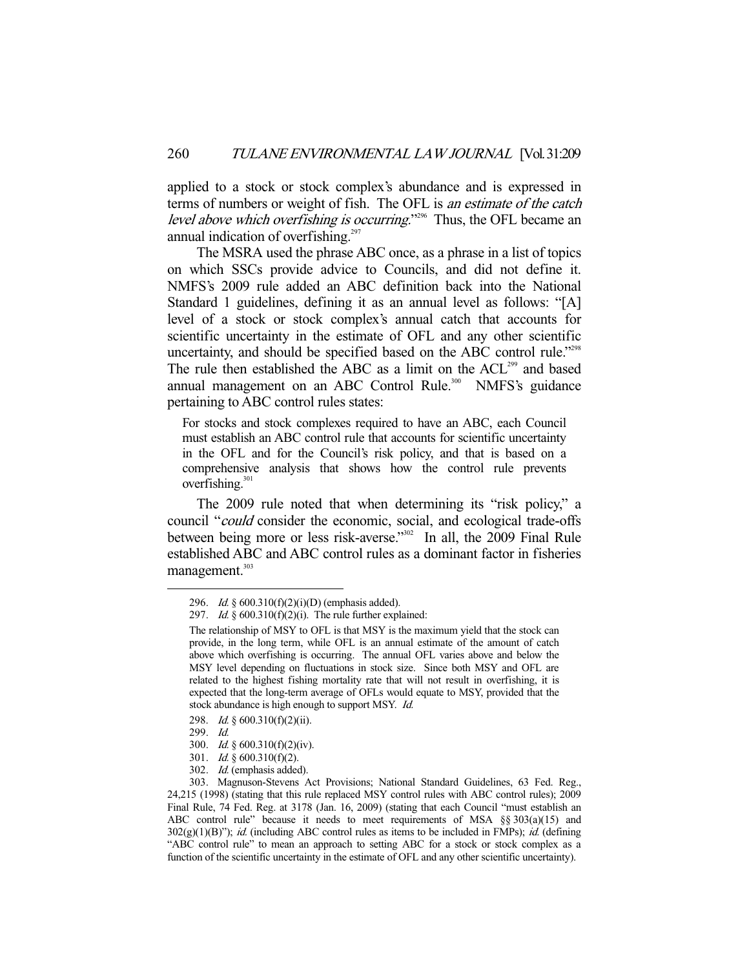applied to a stock or stock complex's abundance and is expressed in terms of numbers or weight of fish. The OFL is an estimate of the catch level above which overfishing is occurring."<sup>296</sup> Thus, the OFL became an annual indication of overfishing.<sup>297</sup>

 The MSRA used the phrase ABC once, as a phrase in a list of topics on which SSCs provide advice to Councils, and did not define it. NMFS's 2009 rule added an ABC definition back into the National Standard 1 guidelines, defining it as an annual level as follows: "[A] level of a stock or stock complex's annual catch that accounts for scientific uncertainty in the estimate of OFL and any other scientific uncertainty, and should be specified based on the ABC control rule."298 The rule then established the ABC as a limit on the ACL<sup>299</sup> and based annual management on an ABC Control Rule.<sup>300</sup> NMFS's guidance pertaining to ABC control rules states:

For stocks and stock complexes required to have an ABC, each Council must establish an ABC control rule that accounts for scientific uncertainty in the OFL and for the Council's risk policy, and that is based on a comprehensive analysis that shows how the control rule prevents overfishing.<sup>301</sup>

 The 2009 rule noted that when determining its "risk policy," a council "could consider the economic, social, and ecological trade-offs between being more or less risk-averse."<sup>302</sup> In all, the 2009 Final Rule established ABC and ABC control rules as a dominant factor in fisheries management.<sup>303</sup>

 <sup>296.</sup> Id. § 600.310(f)(2)(i)(D) (emphasis added).

<sup>297.</sup> Id.  $§ 600.310(f)(2)(i)$ . The rule further explained:

The relationship of MSY to OFL is that MSY is the maximum yield that the stock can provide, in the long term, while OFL is an annual estimate of the amount of catch above which overfishing is occurring. The annual OFL varies above and below the MSY level depending on fluctuations in stock size. Since both MSY and OFL are related to the highest fishing mortality rate that will not result in overfishing, it is expected that the long-term average of OFLs would equate to MSY, provided that the stock abundance is high enough to support MSY. Id.

 <sup>298.</sup> Id. § 600.310(f)(2)(ii).

 <sup>299.</sup> Id.

 <sup>300.</sup> Id. § 600.310(f)(2)(iv).

<sup>301.</sup> *Id.* §  $600.310(f)(2)$ .

 <sup>302.</sup> Id. (emphasis added).

 <sup>303.</sup> Magnuson-Stevens Act Provisions; National Standard Guidelines, 63 Fed. Reg., 24,215 (1998) (stating that this rule replaced MSY control rules with ABC control rules); 2009 Final Rule, 74 Fed. Reg. at 3178 (Jan. 16, 2009) (stating that each Council "must establish an ABC control rule" because it needs to meet requirements of MSA §§ 303(a)(15) and  $302(g)(1)(B)$ "); *id.* (including ABC control rules as items to be included in FMPs); *id.* (defining "ABC control rule" to mean an approach to setting ABC for a stock or stock complex as a function of the scientific uncertainty in the estimate of OFL and any other scientific uncertainty).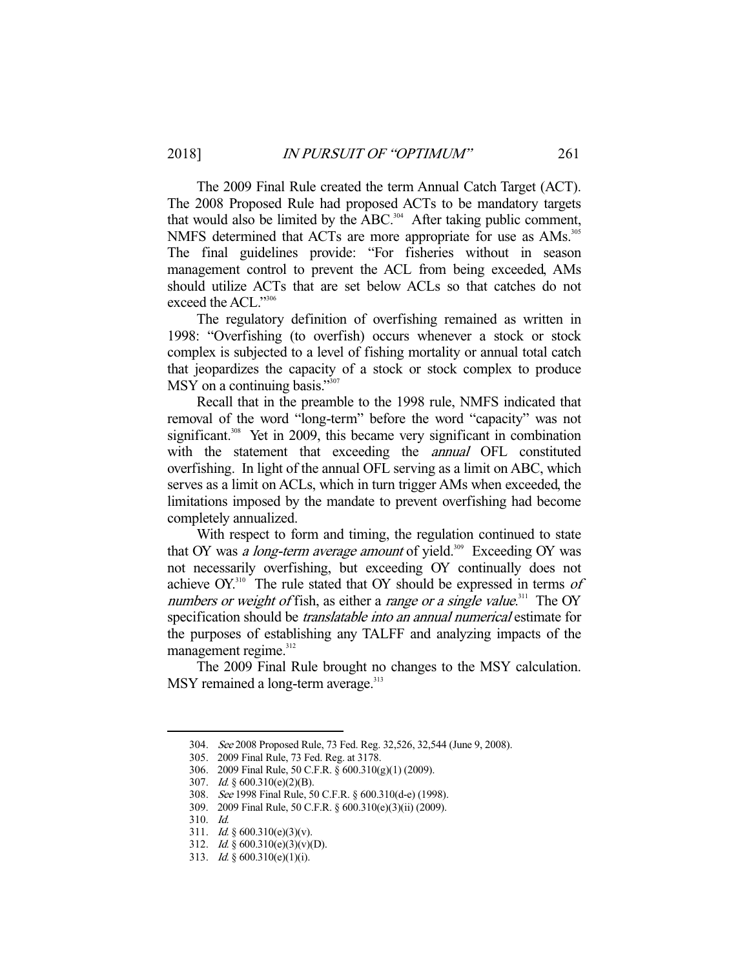The 2009 Final Rule created the term Annual Catch Target (ACT). The 2008 Proposed Rule had proposed ACTs to be mandatory targets that would also be limited by the ABC.<sup>304</sup> After taking public comment, NMFS determined that ACTs are more appropriate for use as AMs.<sup>305</sup> The final guidelines provide: "For fisheries without in season management control to prevent the ACL from being exceeded, AMs should utilize ACTs that are set below ACLs so that catches do not exceed the ACL."306

 The regulatory definition of overfishing remained as written in 1998: "Overfishing (to overfish) occurs whenever a stock or stock complex is subjected to a level of fishing mortality or annual total catch that jeopardizes the capacity of a stock or stock complex to produce MSY on a continuing basis."<sup>307</sup>

 Recall that in the preamble to the 1998 rule, NMFS indicated that removal of the word "long-term" before the word "capacity" was not significant.<sup>308</sup> Yet in 2009, this became very significant in combination with the statement that exceeding the *annual* OFL constituted overfishing. In light of the annual OFL serving as a limit on ABC, which serves as a limit on ACLs, which in turn trigger AMs when exceeded, the limitations imposed by the mandate to prevent overfishing had become completely annualized.

 With respect to form and timing, the regulation continued to state that OY was a long-term average amount of yield.<sup>309</sup> Exceeding OY was not necessarily overfishing, but exceeding OY continually does not achieve  $OY$ <sup>310</sup>. The rule stated that  $OY$  should be expressed in terms of numbers or weight of fish, as either a range or a single value.<sup>311</sup> The OY specification should be *translatable into an annual numerical* estimate for the purposes of establishing any TALFF and analyzing impacts of the management regime. $312$ 

 The 2009 Final Rule brought no changes to the MSY calculation. MSY remained a long-term average.<sup>313</sup>

<sup>304.</sup> See 2008 Proposed Rule, 73 Fed. Reg. 32,526, 32,544 (June 9, 2008).

 <sup>305. 2009</sup> Final Rule, 73 Fed. Reg. at 3178.

 <sup>306. 2009</sup> Final Rule, 50 C.F.R. § 600.310(g)(1) (2009).

 <sup>307.</sup> Id. § 600.310(e)(2)(B).

 <sup>308.</sup> See 1998 Final Rule, 50 C.F.R. § 600.310(d-e) (1998).

 <sup>309. 2009</sup> Final Rule, 50 C.F.R. § 600.310(e)(3)(ii) (2009).

 <sup>310.</sup> Id.

 <sup>311.</sup> Id. § 600.310(e)(3)(v).

 <sup>312.</sup> Id. § 600.310(e)(3)(v)(D).

<sup>313.</sup> *Id.* §  $600.310(e)(1)(i)$ .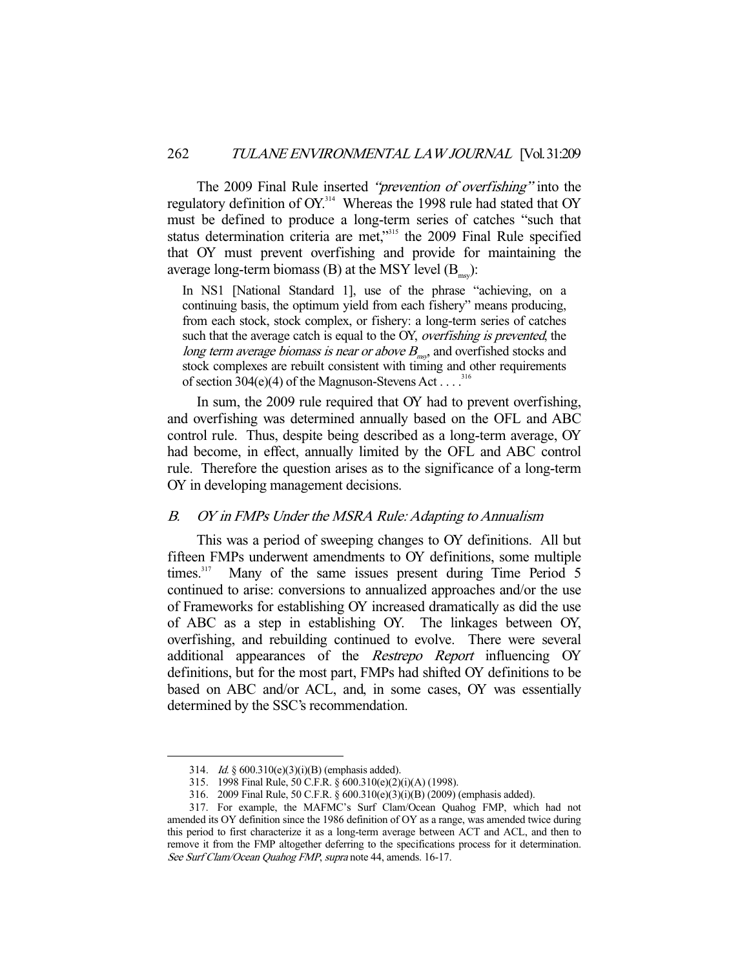The 2009 Final Rule inserted "prevention of overfishing" into the regulatory definition of OY.<sup>314</sup> Whereas the 1998 rule had stated that OY must be defined to produce a long-term series of catches "such that status determination criteria are met,"<sup>315</sup> the 2009 Final Rule specified that OY must prevent overfishing and provide for maintaining the average long-term biomass  $(B)$  at the MSY level  $(B_{\ldots})$ :

In NS1 [National Standard 1], use of the phrase "achieving, on a continuing basis, the optimum yield from each fishery" means producing, from each stock, stock complex, or fishery: a long-term series of catches such that the average catch is equal to the OY, overfishing is prevented, the long term average biomass is near or above  $B_{m,s}$ , and overfished stocks and stock complexes are rebuilt consistent with timing and other requirements of section 304(e)(4) of the Magnuson-Stevens Act . . . .<sup>316</sup>

 In sum, the 2009 rule required that OY had to prevent overfishing, and overfishing was determined annually based on the OFL and ABC control rule. Thus, despite being described as a long-term average, OY had become, in effect, annually limited by the OFL and ABC control rule. Therefore the question arises as to the significance of a long-term OY in developing management decisions.

#### B. OY in FMPs Under the MSRA Rule: Adapting to Annualism

 This was a period of sweeping changes to OY definitions. All but fifteen FMPs underwent amendments to OY definitions, some multiple times. $317$  Many of the same issues present during Time Period 5 continued to arise: conversions to annualized approaches and/or the use of Frameworks for establishing OY increased dramatically as did the use of ABC as a step in establishing OY. The linkages between OY, overfishing, and rebuilding continued to evolve. There were several additional appearances of the Restrepo Report influencing OY definitions, but for the most part, FMPs had shifted OY definitions to be based on ABC and/or ACL, and, in some cases, OY was essentially determined by the SSC's recommendation.

 <sup>314.</sup> Id. § 600.310(e)(3)(i)(B) (emphasis added).

 <sup>315. 1998</sup> Final Rule, 50 C.F.R. § 600.310(e)(2)(i)(A) (1998).

 <sup>316. 2009</sup> Final Rule, 50 C.F.R. § 600.310(e)(3)(i)(B) (2009) (emphasis added).

 <sup>317.</sup> For example, the MAFMC's Surf Clam/Ocean Quahog FMP, which had not amended its OY definition since the 1986 definition of OY as a range, was amended twice during this period to first characterize it as a long-term average between ACT and ACL, and then to remove it from the FMP altogether deferring to the specifications process for it determination. See Surf Clam/Ocean Quahog FMP, supra note 44, amends. 16-17.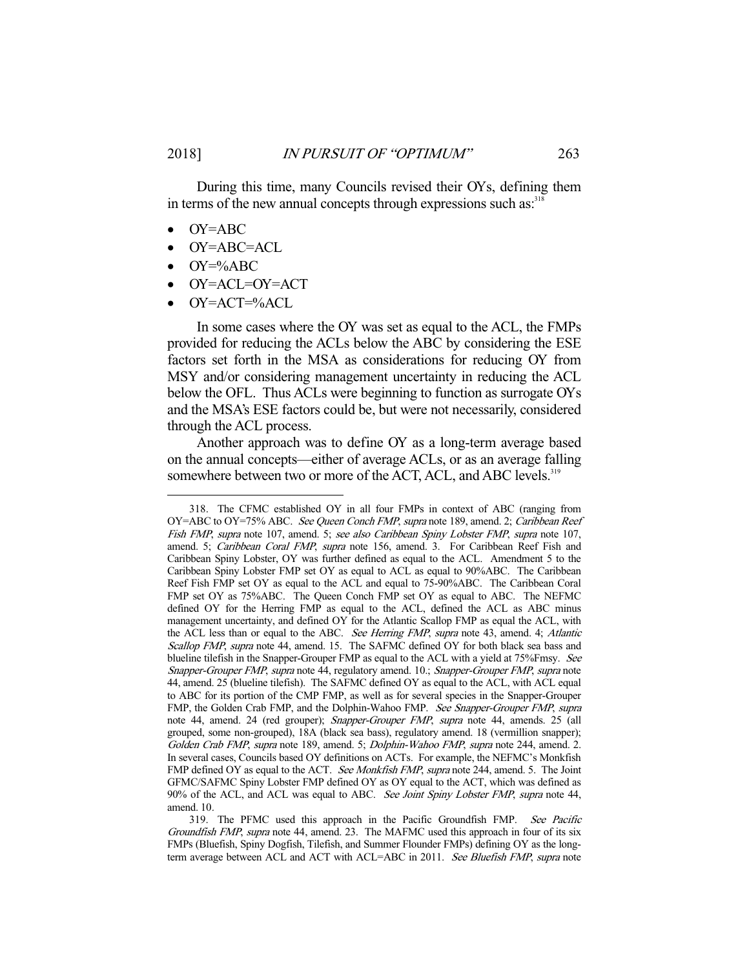During this time, many Councils revised their OYs, defining them in terms of the new annual concepts through expressions such as.<sup>318</sup>

- OY=ABC
- OY=ABC=ACL
- OY=%ABC

-

- OY=ACL=OY=ACT
- OY=ACT=%ACL

 In some cases where the OY was set as equal to the ACL, the FMPs provided for reducing the ACLs below the ABC by considering the ESE factors set forth in the MSA as considerations for reducing OY from MSY and/or considering management uncertainty in reducing the ACL below the OFL. Thus ACLs were beginning to function as surrogate OYs and the MSA's ESE factors could be, but were not necessarily, considered through the ACL process.

 Another approach was to define OY as a long-term average based on the annual concepts—either of average ACLs, or as an average falling somewhere between two or more of the ACT, ACL, and ABC levels.<sup>319</sup>

 <sup>318.</sup> The CFMC established OY in all four FMPs in context of ABC (ranging from OY=ABC to OY=75% ABC. See Queen Conch FMP, supra note 189, amend. 2; Caribbean Reef Fish FMP, supra note 107, amend. 5; see also Caribbean Spiny Lobster FMP, supra note 107, amend. 5; Caribbean Coral FMP, supra note 156, amend. 3. For Caribbean Reef Fish and Caribbean Spiny Lobster, OY was further defined as equal to the ACL. Amendment 5 to the Caribbean Spiny Lobster FMP set OY as equal to ACL as equal to 90%ABC. The Caribbean Reef Fish FMP set OY as equal to the ACL and equal to 75-90%ABC. The Caribbean Coral FMP set OY as 75%ABC. The Queen Conch FMP set OY as equal to ABC. The NEFMC defined OY for the Herring FMP as equal to the ACL, defined the ACL as ABC minus management uncertainty, and defined OY for the Atlantic Scallop FMP as equal the ACL, with the ACL less than or equal to the ABC. See Herring FMP, supra note 43, amend. 4; Atlantic Scallop FMP, supra note 44, amend. 15. The SAFMC defined OY for both black sea bass and blueline tilefish in the Snapper-Grouper FMP as equal to the ACL with a yield at 75%Fmsy. See Snapper-Grouper FMP, supra note 44, regulatory amend. 10.; Snapper-Grouper FMP, supra note 44, amend. 25 (blueline tilefish). The SAFMC defined OY as equal to the ACL, with ACL equal to ABC for its portion of the CMP FMP, as well as for several species in the Snapper-Grouper FMP, the Golden Crab FMP, and the Dolphin-Wahoo FMP. See Snapper-Grouper FMP, supra note 44, amend. 24 (red grouper); Snapper-Grouper FMP, supra note 44, amends. 25 (all grouped, some non-grouped), 18A (black sea bass), regulatory amend. 18 (vermillion snapper); Golden Crab FMP, supra note 189, amend. 5; Dolphin-Wahoo FMP, supra note 244, amend. 2. In several cases, Councils based OY definitions on ACTs. For example, the NEFMC's Monkfish FMP defined OY as equal to the ACT. See Monkfish FMP, supra note 244, amend. 5. The Joint GFMC/SAFMC Spiny Lobster FMP defined OY as OY equal to the ACT, which was defined as 90% of the ACL, and ACL was equal to ABC. See Joint Spiny Lobster FMP, supra note 44, amend. 10.

 <sup>319.</sup> The PFMC used this approach in the Pacific Groundfish FMP. See Pacific Groundfish FMP, supra note 44, amend. 23. The MAFMC used this approach in four of its six FMPs (Bluefish, Spiny Dogfish, Tilefish, and Summer Flounder FMPs) defining OY as the longterm average between ACL and ACT with ACL=ABC in 2011. See Bluefish FMP, supra note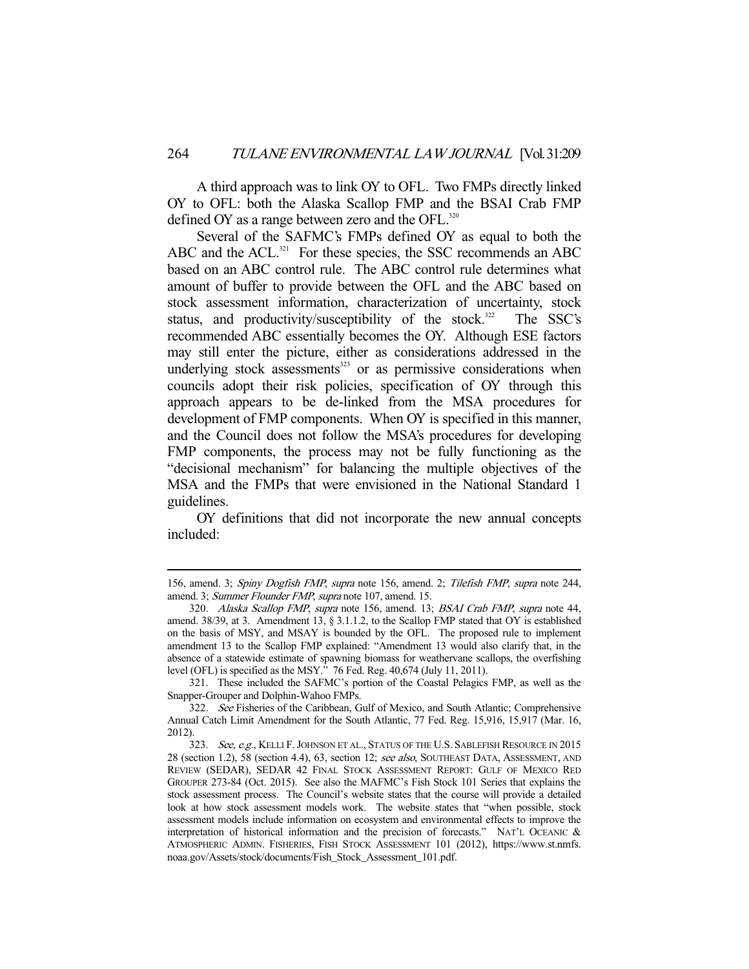A third approach was to link OY to OFL. Two FMPs directly linked OY to OFL: both the Alaska Scallop FMP and the BSAI Crab FMP defined OY as a range between zero and the  $OFL$ <sup>320</sup>

 Several of the SAFMC's FMPs defined OY as equal to both the ABC and the ACL. $321$  For these species, the SSC recommends an ABC based on an ABC control rule. The ABC control rule determines what amount of buffer to provide between the OFL and the ABC based on stock assessment information, characterization of uncertainty, stock status, and productivity/susceptibility of the stock. $322$  The SSC's recommended ABC essentially becomes the OY. Although ESE factors may still enter the picture, either as considerations addressed in the underlying stock assessments<sup>323</sup> or as permissive considerations when councils adopt their risk policies, specification of OY through this approach appears to be de-linked from the MSA procedures for development of FMP components. When OY is specified in this manner, and the Council does not follow the MSA's procedures for developing FMP components, the process may not be fully functioning as the "decisional mechanism" for balancing the multiple objectives of the MSA and the FMPs that were envisioned in the National Standard 1 guidelines.

 OY definitions that did not incorporate the new annual concepts included:

<sup>156,</sup> amend. 3; Spiny Dogfish FMP, supra note 156, amend. 2; Tilefish FMP, supra note 244, amend. 3; Summer Flounder FMP, supra note 107, amend. 15.

 <sup>320.</sup> Alaska Scallop FMP, supra note 156, amend. 13; BSAI Crab FMP, supra note 44, amend. 38/39, at 3. Amendment 13,  $\S$  3.1.1.2, to the Scallop FMP stated that OY is established on the basis of MSY, and MSAY is bounded by the OFL. The proposed rule to implement amendment 13 to the Scallop FMP explained: "Amendment 13 would also clarify that, in the absence of a statewide estimate of spawning biomass for weathervane scallops, the overfishing level (OFL) is specified as the MSY." 76 Fed. Reg. 40,674 (July 11, 2011).

 <sup>321.</sup> These included the SAFMC's portion of the Coastal Pelagics FMP, as well as the Snapper-Grouper and Dolphin-Wahoo FMPs.

<sup>322.</sup> See Fisheries of the Caribbean, Gulf of Mexico, and South Atlantic; Comprehensive Annual Catch Limit Amendment for the South Atlantic, 77 Fed. Reg. 15,916, 15,917 (Mar. 16, 2012).

<sup>323.</sup> See, e.g., KELLI F. JOHNSON ET AL., STATUS OF THE U.S. SABLEFISH RESOURCE IN 2015 28 (section 1.2), 58 (section 4.4), 63, section 12; see also, SOUTHEAST DATA, ASSESSMENT, AND REVIEW (SEDAR), SEDAR 42 FINAL STOCK ASSESSMENT REPORT: GULF OF MEXICO RED GROUPER 273-84 (Oct. 2015). See also the MAFMC's Fish Stock 101 Series that explains the stock assessment process. The Council's website states that the course will provide a detailed look at how stock assessment models work. The website states that "when possible, stock assessment models include information on ecosystem and environmental effects to improve the interpretation of historical information and the precision of forecasts." NAT'L OCEANIC & ATMOSPHERIC ADMIN. FISHERIES, FISH STOCK ASSESSMENT 101 (2012), https://www.st.nmfs. noaa.gov/Assets/stock/documents/Fish\_Stock\_Assessment\_101.pdf.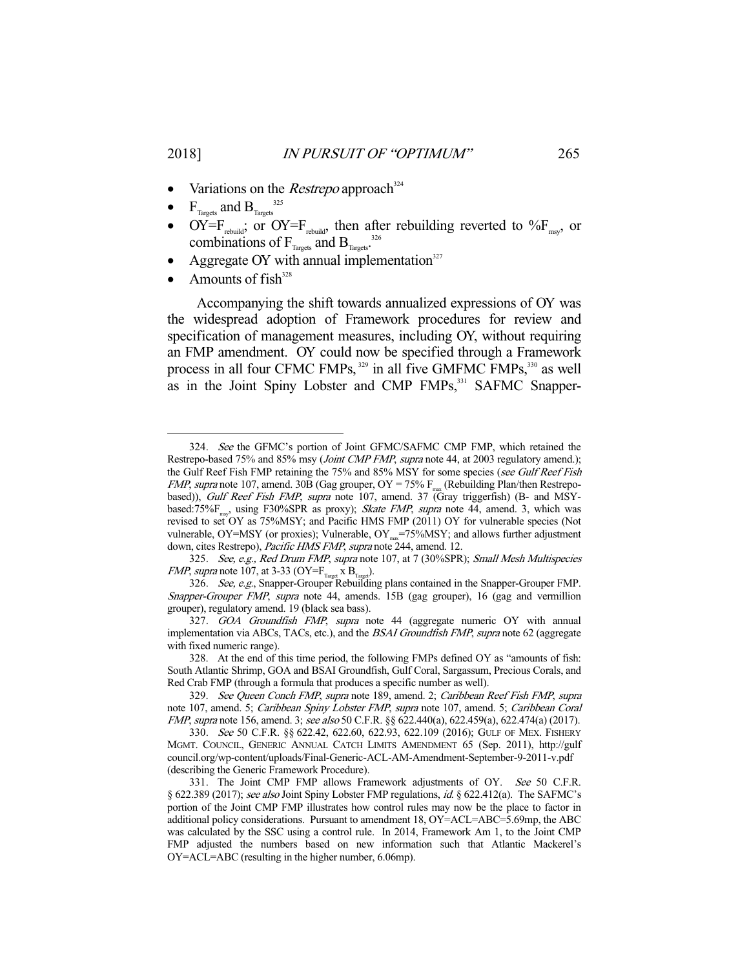- Variations on the *Restrepo* approach<sup>324</sup>
- $F_{\text{Targets}}$  and  $B_{\text{Targets}}^{325}$
- $OY = F_{\text{rebuild}}$ ; or  $OY = F_{\text{rebuild}}$ , then after rebuilding reverted to  $\%F_{\text{msg}}$ , or combinations of  $F_{T_{\text{largets}}}$  and  $B_{T_{\text{largets}}}$ .<sup>326</sup>
- Aggregate OY with annual implementation $327$
- Amounts of  $fish^{328}$

 Accompanying the shift towards annualized expressions of OY was the widespread adoption of Framework procedures for review and specification of management measures, including OY, without requiring an FMP amendment. OY could now be specified through a Framework process in all four CFMC FMPs,<sup>329</sup> in all five GMFMC FMPs,<sup>330</sup> as well as in the Joint Spiny Lobster and CMP FMPs,<sup>331</sup> SAFMC Snapper-

325. See, e.g., Red Drum FMP, supra note 107, at 7 (30%SPR); Small Mesh Multispecies *FMP*, supra note 107, at 3-33 (OY= $F_{T_{\text{target}}}$  x  $B_{T_{\text{target}}}$ ).

<sup>-</sup>324. See the GFMC's portion of Joint GFMC/SAFMC CMP FMP, which retained the Restrepo-based 75% and 85% msy (*Joint CMP FMP*, *supra* note 44, at 2003 regulatory amend.); the Gulf Reef Fish FMP retaining the 75% and 85% MSY for some species (see Gulf Reef Fish FMP, supra note 107, amend. 30B (Gag grouper,  $OY = 75\%$  F<sub>max</sub> (Rebuilding Plan/then Restrepobased)), Gulf Reef Fish FMP, supra note 107, amend. 37 (Gray triggerfish) (B- and MSYbased:75% $F<sub>max</sub>$ , using F30%SPR as proxy); Skate FMP, supra note 44, amend. 3, which was revised to set OY as 75%MSY; and Pacific HMS FMP (2011) OY for vulnerable species (Not vulnerable,  $OY = MSY$  (or proxies); Vulnerable,  $OY_{\text{max}} = 75\% MSY$ ; and allows further adjustment down, cites Restrepo), Pacific HMS FMP, supra note 244, amend. 12.

<sup>326.</sup> See, e.g., Snapper-Grouper Rebuilding plans contained in the Snapper-Grouper FMP. Snapper-Grouper FMP, supra note 44, amends. 15B (gag grouper), 16 (gag and vermillion grouper), regulatory amend. 19 (black sea bass).

<sup>327.</sup> GOA Groundfish FMP, supra note 44 (aggregate numeric OY with annual implementation via ABCs, TACs, etc.), and the *BSAI Groundfish FMP, supra* note 62 (aggregate with fixed numeric range).

 <sup>328.</sup> At the end of this time period, the following FMPs defined OY as "amounts of fish: South Atlantic Shrimp, GOA and BSAI Groundfish, Gulf Coral, Sargassum, Precious Corals, and Red Crab FMP (through a formula that produces a specific number as well).

<sup>329.</sup> See Queen Conch FMP, supra note 189, amend. 2; Caribbean Reef Fish FMP, supra note 107, amend. 5; Caribbean Spiny Lobster FMP, supra note 107, amend. 5; Caribbean Coral FMP, supra note 156, amend. 3; see also 50 C.F.R. §§ 622.440(a), 622.459(a), 622.474(a) (2017).

<sup>330.</sup> See 50 C.F.R. §§ 622.42, 622.60, 622.93, 622.109 (2016); GULF OF MEX. FISHERY MGMT. COUNCIL, GENERIC ANNUAL CATCH LIMITS AMENDMENT 65 (Sep. 2011), http://gulf council.org/wp-content/uploads/Final-Generic-ACL-AM-Amendment-September-9-2011-v.pdf (describing the Generic Framework Procedure).

<sup>331.</sup> The Joint CMP FMP allows Framework adjustments of OY. See 50 C.F.R. § 622.389 (2017); see also Joint Spiny Lobster FMP regulations, id. § 622.412(a). The SAFMC's portion of the Joint CMP FMP illustrates how control rules may now be the place to factor in additional policy considerations. Pursuant to amendment 18, OY=ACL=ABC=5.69mp, the ABC was calculated by the SSC using a control rule. In 2014, Framework Am 1, to the Joint CMP FMP adjusted the numbers based on new information such that Atlantic Mackerel's OY=ACL=ABC (resulting in the higher number, 6.06mp).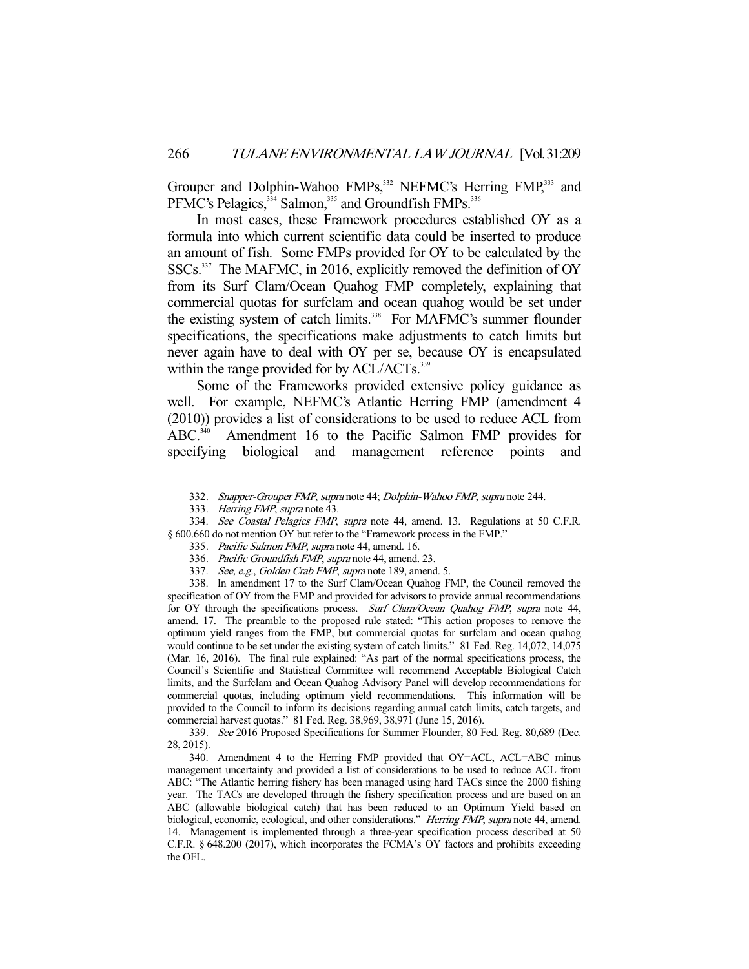Grouper and Dolphin-Wahoo FMPs,<sup>332</sup> NEFMC's Herring FMP,<sup>333</sup> and PFMC's Pelagics,<sup>334</sup> Salmon,<sup>335</sup> and Groundfish FMPs.<sup>336</sup>

 In most cases, these Framework procedures established OY as a formula into which current scientific data could be inserted to produce an amount of fish. Some FMPs provided for OY to be calculated by the SSCs.<sup>337</sup> The MAFMC, in 2016, explicitly removed the definition of OY from its Surf Clam/Ocean Quahog FMP completely, explaining that commercial quotas for surfclam and ocean quahog would be set under the existing system of catch limits.<sup>338</sup> For MAFMC's summer flounder specifications, the specifications make adjustments to catch limits but never again have to deal with OY per se, because OY is encapsulated within the range provided for by ACL/ACTs.<sup>339</sup>

 Some of the Frameworks provided extensive policy guidance as well. For example, NEFMC's Atlantic Herring FMP (amendment 4 (2010)) provides a list of considerations to be used to reduce ACL from ABC.<sup>340</sup> Amendment 16 to the Pacific Salmon FMP provides for specifying biological and management reference points and

-

 338. In amendment 17 to the Surf Clam/Ocean Quahog FMP, the Council removed the specification of OY from the FMP and provided for advisors to provide annual recommendations for OY through the specifications process. Surf Clam/Ocean Quahog FMP, supra note 44, amend. 17. The preamble to the proposed rule stated: "This action proposes to remove the optimum yield ranges from the FMP, but commercial quotas for surfclam and ocean quahog would continue to be set under the existing system of catch limits." 81 Fed. Reg. 14,072, 14,075 (Mar. 16, 2016). The final rule explained: "As part of the normal specifications process, the Council's Scientific and Statistical Committee will recommend Acceptable Biological Catch limits, and the Surfclam and Ocean Quahog Advisory Panel will develop recommendations for commercial quotas, including optimum yield recommendations. This information will be provided to the Council to inform its decisions regarding annual catch limits, catch targets, and commercial harvest quotas." 81 Fed. Reg. 38,969, 38,971 (June 15, 2016).

 339. See 2016 Proposed Specifications for Summer Flounder, 80 Fed. Reg. 80,689 (Dec. 28, 2015).

 340. Amendment 4 to the Herring FMP provided that OY=ACL, ACL=ABC minus management uncertainty and provided a list of considerations to be used to reduce ACL from ABC: "The Atlantic herring fishery has been managed using hard TACs since the 2000 fishing year. The TACs are developed through the fishery specification process and are based on an ABC (allowable biological catch) that has been reduced to an Optimum Yield based on biological, economic, ecological, and other considerations." Herring FMP, supra note 44, amend. 14. Management is implemented through a three-year specification process described at 50 C.F.R. § 648.200 (2017), which incorporates the FCMA's OY factors and prohibits exceeding the OFL.

<sup>332.</sup> Snapper-Grouper FMP, supra note 44; Dolphin-Wahoo FMP, supra note 244.

<sup>333.</sup> Herring FMP, supra note 43.

<sup>334.</sup> See Coastal Pelagics FMP, supra note 44, amend. 13. Regulations at 50 C.F.R. § 600.660 do not mention OY but refer to the "Framework process in the FMP."

 <sup>335.</sup> Pacific Salmon FMP, supra note 44, amend. 16.

<sup>336.</sup> Pacific Groundfish FMP, supra note 44, amend. 23.

<sup>337.</sup> See, e.g., Golden Crab FMP, supra note 189, amend. 5.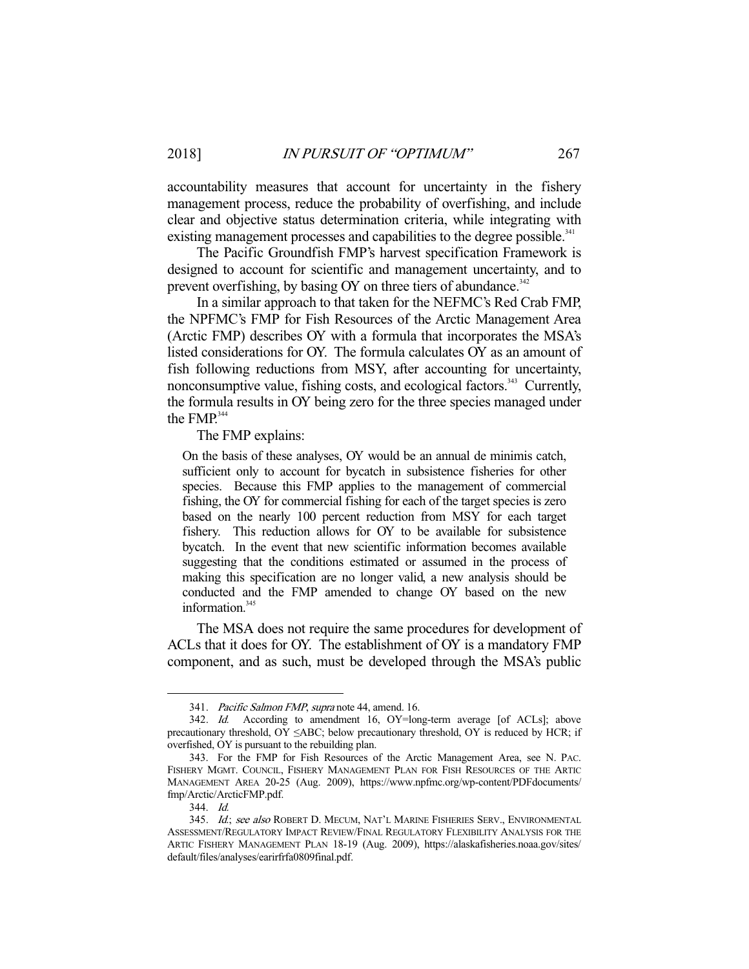accountability measures that account for uncertainty in the fishery management process, reduce the probability of overfishing, and include clear and objective status determination criteria, while integrating with existing management processes and capabilities to the degree possible.<sup>341</sup>

 The Pacific Groundfish FMP's harvest specification Framework is designed to account for scientific and management uncertainty, and to prevent overfishing, by basing OY on three tiers of abundance. $342$ 

 In a similar approach to that taken for the NEFMC's Red Crab FMP, the NPFMC's FMP for Fish Resources of the Arctic Management Area (Arctic FMP) describes OY with a formula that incorporates the MSA's listed considerations for OY. The formula calculates OY as an amount of fish following reductions from MSY, after accounting for uncertainty, nonconsumptive value, fishing costs, and ecological factors.<sup>343</sup> Currently, the formula results in OY being zero for the three species managed under the FMP.<sup>344</sup>

The FMP explains:

On the basis of these analyses, OY would be an annual de minimis catch, sufficient only to account for bycatch in subsistence fisheries for other species. Because this FMP applies to the management of commercial fishing, the OY for commercial fishing for each of the target species is zero based on the nearly 100 percent reduction from MSY for each target fishery. This reduction allows for OY to be available for subsistence bycatch. In the event that new scientific information becomes available suggesting that the conditions estimated or assumed in the process of making this specification are no longer valid, a new analysis should be conducted and the FMP amended to change OY based on the new information.<sup>345</sup>

 The MSA does not require the same procedures for development of ACLs that it does for OY. The establishment of OY is a mandatory FMP component, and as such, must be developed through the MSA's public

<sup>341.</sup> Pacific Salmon FMP, supra note 44, amend. 16.

<sup>342.</sup> Id. According to amendment 16, OY=long-term average [of ACLs]; above precautionary threshold, OY ≤ABC; below precautionary threshold, OY is reduced by HCR; if overfished, OY is pursuant to the rebuilding plan.

 <sup>343.</sup> For the FMP for Fish Resources of the Arctic Management Area, see N. PAC. FISHERY MGMT. COUNCIL, FISHERY MANAGEMENT PLAN FOR FISH RESOURCES OF THE ARTIC MANAGEMENT AREA 20-25 (Aug. 2009), https://www.npfmc.org/wp-content/PDFdocuments/ fmp/Arctic/ArcticFMP.pdf.

 <sup>344.</sup> Id.

<sup>345.</sup> Id.; see also ROBERT D. MECUM, NAT'L MARINE FISHERIES SERV., ENVIRONMENTAL ASSESSMENT/REGULATORY IMPACT REVIEW/FINAL REGULATORY FLEXIBILITY ANALYSIS FOR THE ARTIC FISHERY MANAGEMENT PLAN 18-19 (Aug. 2009), https://alaskafisheries.noaa.gov/sites/ default/files/analyses/earirfrfa0809final.pdf.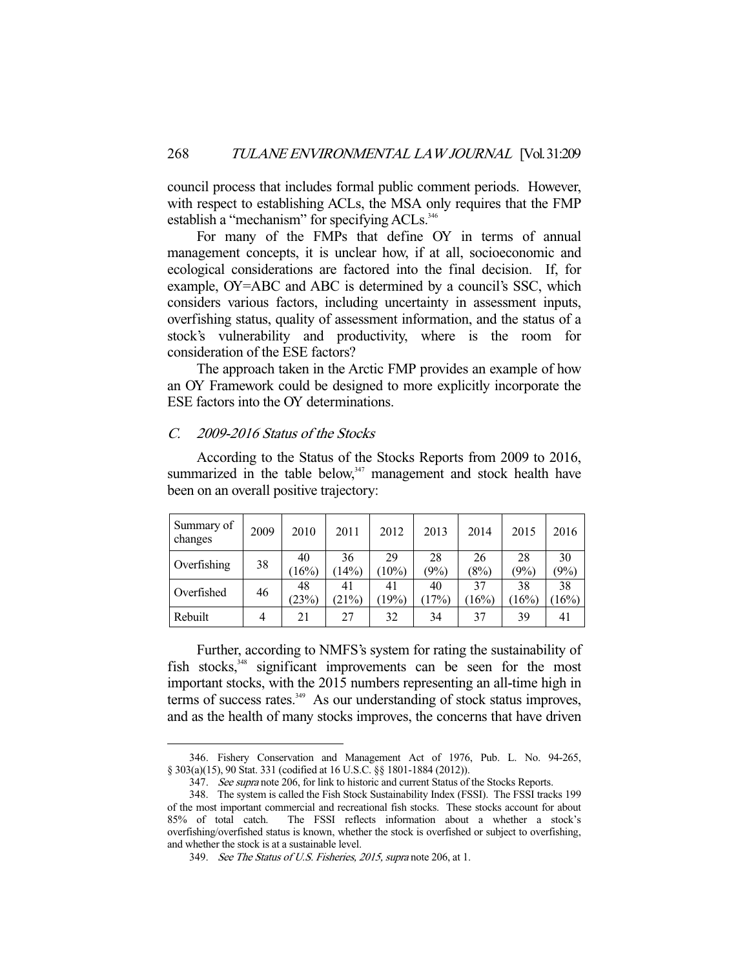council process that includes formal public comment periods. However, with respect to establishing ACLs, the MSA only requires that the FMP establish a "mechanism" for specifying ACLs.<sup>346</sup>

 For many of the FMPs that define OY in terms of annual management concepts, it is unclear how, if at all, socioeconomic and ecological considerations are factored into the final decision. If, for example, OY=ABC and ABC is determined by a council's SSC, which considers various factors, including uncertainty in assessment inputs, overfishing status, quality of assessment information, and the status of a stock's vulnerability and productivity, where is the room for consideration of the ESE factors?

 The approach taken in the Arctic FMP provides an example of how an OY Framework could be designed to more explicitly incorporate the ESE factors into the OY determinations.

# C. 2009-2016 Status of the Stocks

-

 According to the Status of the Stocks Reports from 2009 to 2016, summarized in the table below, $347$  management and stock health have been on an overall positive trajectory:

| Summary of<br>changes | 2009 | 2010        | 2011        | 2012           | 2013        | 2014        | 2015        | 2016          |
|-----------------------|------|-------------|-------------|----------------|-------------|-------------|-------------|---------------|
| Overfishing           | 38   | 40<br>(16%) | 36<br>14%   | 29<br>$(10\%)$ | 28<br>(9%)  | 26<br>(8%)  | 28<br>(9%)  | 30<br>(9%)    |
| Overfished            | 46   | 48<br>(23%) | 41<br>(21%) | 41<br>(19%)    | 40<br>(17%) | 37<br>(16%) | 38<br>(16%) | 38<br>$16\%)$ |
| Rebuilt               | 4    | 21          | 27          | 32             | 34          | 37          | 39          | 41            |

 Further, according to NMFS's system for rating the sustainability of fish stocks,<sup>348</sup> significant improvements can be seen for the most important stocks, with the 2015 numbers representing an all-time high in terms of success rates.<sup>349</sup> As our understanding of stock status improves, and as the health of many stocks improves, the concerns that have driven

 <sup>346.</sup> Fishery Conservation and Management Act of 1976, Pub. L. No. 94-265, § 303(a)(15), 90 Stat. 331 (codified at 16 U.S.C. §§ 1801-1884 (2012)).

<sup>347.</sup> See supra note 206, for link to historic and current Status of the Stocks Reports.

 <sup>348.</sup> The system is called the Fish Stock Sustainability Index (FSSI). The FSSI tracks 199 of the most important commercial and recreational fish stocks. These stocks account for about 85% of total catch. The FSSI reflects information about a whether a stock's overfishing/overfished status is known, whether the stock is overfished or subject to overfishing, and whether the stock is at a sustainable level.

 <sup>349.</sup> See The Status of U.S. Fisheries, 2015, supra note 206, at 1.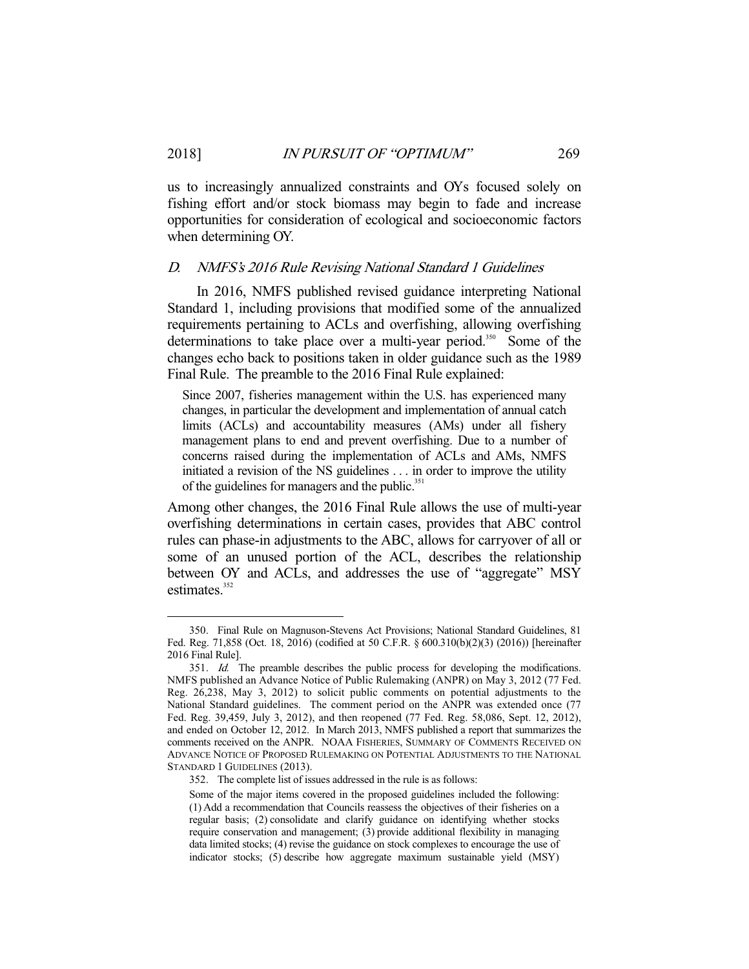us to increasingly annualized constraints and OYs focused solely on fishing effort and/or stock biomass may begin to fade and increase opportunities for consideration of ecological and socioeconomic factors when determining OY.

#### D. NMFS's 2016 Rule Revising National Standard 1 Guidelines

 In 2016, NMFS published revised guidance interpreting National Standard 1, including provisions that modified some of the annualized requirements pertaining to ACLs and overfishing, allowing overfishing determinations to take place over a multi-year period.<sup>350</sup> Some of the changes echo back to positions taken in older guidance such as the 1989 Final Rule. The preamble to the 2016 Final Rule explained:

Since 2007, fisheries management within the U.S. has experienced many changes, in particular the development and implementation of annual catch limits (ACLs) and accountability measures (AMs) under all fishery management plans to end and prevent overfishing. Due to a number of concerns raised during the implementation of ACLs and AMs, NMFS initiated a revision of the NS guidelines . . . in order to improve the utility of the guidelines for managers and the public.<sup>351</sup>

Among other changes, the 2016 Final Rule allows the use of multi-year overfishing determinations in certain cases, provides that ABC control rules can phase-in adjustments to the ABC, allows for carryover of all or some of an unused portion of the ACL, describes the relationship between OY and ACLs, and addresses the use of "aggregate" MSY estimates. $352$ 

 <sup>350.</sup> Final Rule on Magnuson-Stevens Act Provisions; National Standard Guidelines, 81 Fed. Reg. 71,858 (Oct. 18, 2016) (codified at 50 C.F.R. § 600.310(b)(2)(3) (2016)) [hereinafter 2016 Final Rule].

<sup>351.</sup> Id. The preamble describes the public process for developing the modifications. NMFS published an Advance Notice of Public Rulemaking (ANPR) on May 3, 2012 (77 Fed. Reg. 26,238, May 3, 2012) to solicit public comments on potential adjustments to the National Standard guidelines. The comment period on the ANPR was extended once (77 Fed. Reg. 39,459, July 3, 2012), and then reopened (77 Fed. Reg. 58,086, Sept. 12, 2012), and ended on October 12, 2012. In March 2013, NMFS published a report that summarizes the comments received on the ANPR. NOAA FISHERIES, SUMMARY OF COMMENTS RECEIVED ON ADVANCE NOTICE OF PROPOSED RULEMAKING ON POTENTIAL ADJUSTMENTS TO THE NATIONAL STANDARD 1 GUIDELINES (2013).

 <sup>352.</sup> The complete list of issues addressed in the rule is as follows:

Some of the major items covered in the proposed guidelines included the following: (1) Add a recommendation that Councils reassess the objectives of their fisheries on a regular basis; (2) consolidate and clarify guidance on identifying whether stocks require conservation and management; (3) provide additional flexibility in managing data limited stocks; (4) revise the guidance on stock complexes to encourage the use of indicator stocks; (5) describe how aggregate maximum sustainable yield (MSY)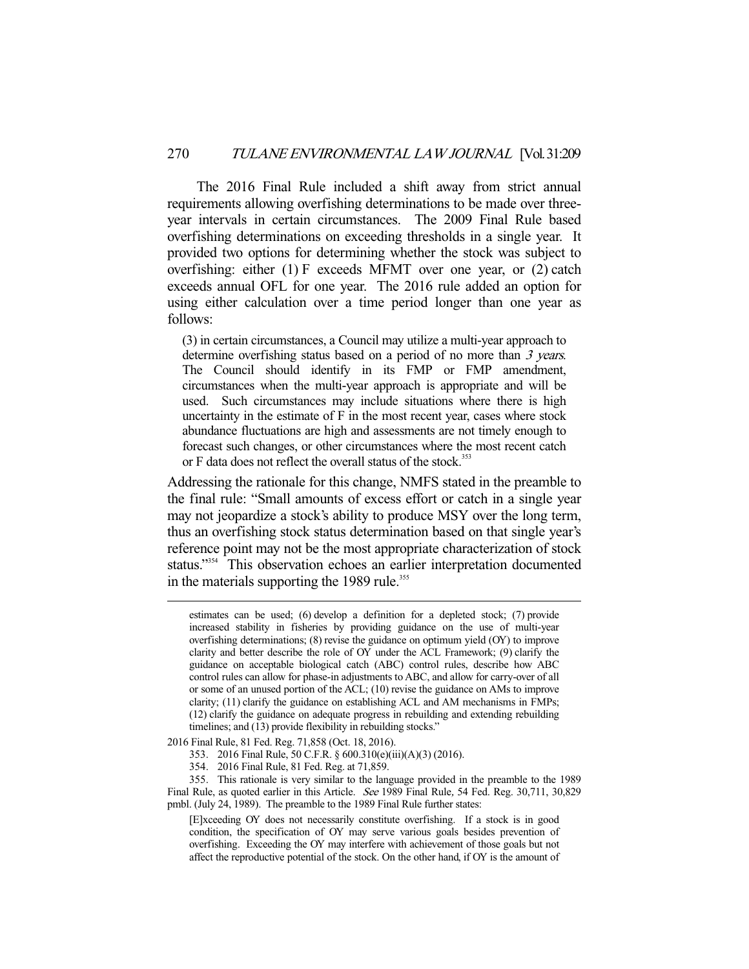The 2016 Final Rule included a shift away from strict annual requirements allowing overfishing determinations to be made over threeyear intervals in certain circumstances. The 2009 Final Rule based overfishing determinations on exceeding thresholds in a single year. It provided two options for determining whether the stock was subject to overfishing: either (1) F exceeds MFMT over one year, or (2) catch exceeds annual OFL for one year. The 2016 rule added an option for using either calculation over a time period longer than one year as follows:

(3) in certain circumstances, a Council may utilize a multi-year approach to determine overfishing status based on a period of no more than 3 years. The Council should identify in its FMP or FMP amendment, circumstances when the multi-year approach is appropriate and will be used. Such circumstances may include situations where there is high uncertainty in the estimate of F in the most recent year, cases where stock abundance fluctuations are high and assessments are not timely enough to forecast such changes, or other circumstances where the most recent catch or F data does not reflect the overall status of the stock.<sup>353</sup>

Addressing the rationale for this change, NMFS stated in the preamble to the final rule: "Small amounts of excess effort or catch in a single year may not jeopardize a stock's ability to produce MSY over the long term, thus an overfishing stock status determination based on that single year's reference point may not be the most appropriate characterization of stock status."<sup>354</sup> This observation echoes an earlier interpretation documented in the materials supporting the 1989 rule.<sup>355</sup>

estimates can be used; (6) develop a definition for a depleted stock; (7) provide increased stability in fisheries by providing guidance on the use of multi-year overfishing determinations; (8) revise the guidance on optimum yield (OY) to improve clarity and better describe the role of OY under the ACL Framework; (9) clarify the guidance on acceptable biological catch (ABC) control rules, describe how ABC control rules can allow for phase-in adjustments to ABC, and allow for carry-over of all or some of an unused portion of the ACL; (10) revise the guidance on AMs to improve clarity; (11) clarify the guidance on establishing ACL and AM mechanisms in FMPs; (12) clarify the guidance on adequate progress in rebuilding and extending rebuilding timelines; and (13) provide flexibility in rebuilding stocks."

<sup>2016</sup> Final Rule, 81 Fed. Reg. 71,858 (Oct. 18, 2016).

 <sup>353. 2016</sup> Final Rule, 50 C.F.R. § 600.310(e)(iii)(A)(3) (2016).

 <sup>354. 2016</sup> Final Rule, 81 Fed. Reg. at 71,859.

 <sup>355.</sup> This rationale is very similar to the language provided in the preamble to the 1989 Final Rule, as quoted earlier in this Article. See 1989 Final Rule, 54 Fed. Reg. 30,711, 30,829 pmbl. (July 24, 1989). The preamble to the 1989 Final Rule further states:

<sup>[</sup>E]xceeding OY does not necessarily constitute overfishing. If a stock is in good condition, the specification of OY may serve various goals besides prevention of overfishing. Exceeding the OY may interfere with achievement of those goals but not affect the reproductive potential of the stock. On the other hand, if OY is the amount of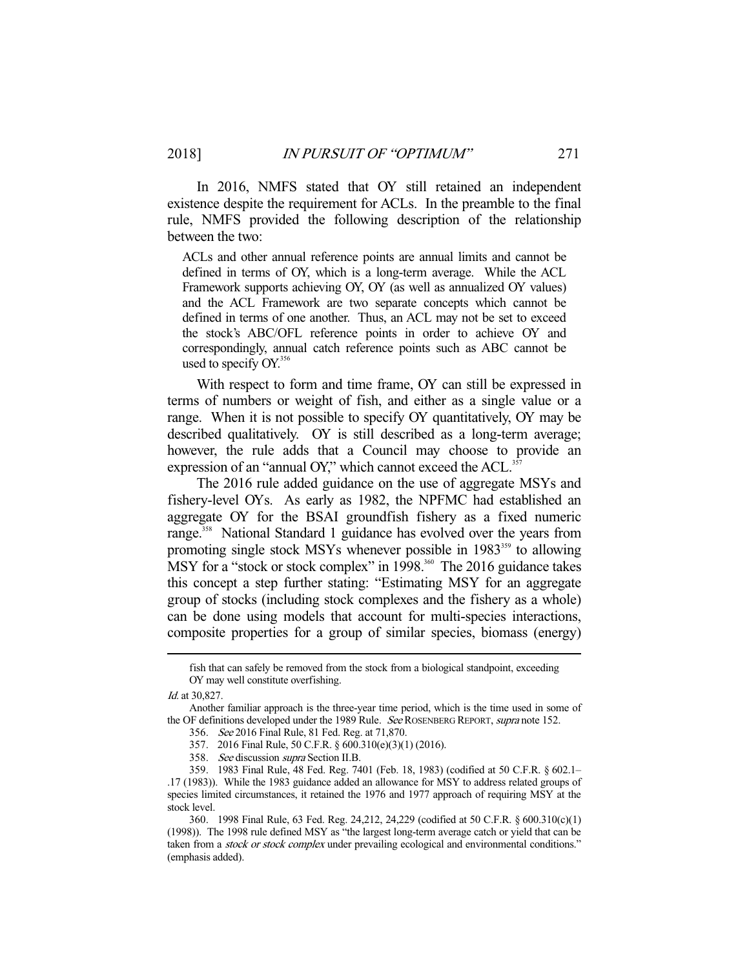In 2016, NMFS stated that OY still retained an independent existence despite the requirement for ACLs. In the preamble to the final rule, NMFS provided the following description of the relationship between the two:

ACLs and other annual reference points are annual limits and cannot be defined in terms of OY, which is a long-term average. While the ACL Framework supports achieving OY, OY (as well as annualized OY values) and the ACL Framework are two separate concepts which cannot be defined in terms of one another. Thus, an ACL may not be set to exceed the stock's ABC/OFL reference points in order to achieve OY and correspondingly, annual catch reference points such as ABC cannot be used to specify OY.<sup>356</sup>

 With respect to form and time frame, OY can still be expressed in terms of numbers or weight of fish, and either as a single value or a range. When it is not possible to specify OY quantitatively, OY may be described qualitatively. OY is still described as a long-term average; however, the rule adds that a Council may choose to provide an expression of an "annual OY," which cannot exceed the ACL.<sup>357</sup>

 The 2016 rule added guidance on the use of aggregate MSYs and fishery-level OYs. As early as 1982, the NPFMC had established an aggregate OY for the BSAI groundfish fishery as a fixed numeric range.<sup>358</sup> National Standard 1 guidance has evolved over the years from promoting single stock MSYs whenever possible in  $1983^{359}$  to allowing MSY for a "stock or stock complex" in  $1998$ <sup>360</sup> The 2016 guidance takes this concept a step further stating: "Estimating MSY for an aggregate group of stocks (including stock complexes and the fishery as a whole) can be done using models that account for multi-species interactions, composite properties for a group of similar species, biomass (energy)

fish that can safely be removed from the stock from a biological standpoint, exceeding OY may well constitute overfishing.

Id. at 30,827.

Another familiar approach is the three-year time period, which is the time used in some of the OF definitions developed under the 1989 Rule. See ROSENBERG REPORT, supra note 152.

 <sup>356.</sup> See 2016 Final Rule, 81 Fed. Reg. at 71,870.

 <sup>357. 2016</sup> Final Rule, 50 C.F.R. § 600.310(e)(3)(1) (2016).

 <sup>358.</sup> See discussion supra Section II.B.

 <sup>359. 1983</sup> Final Rule, 48 Fed. Reg. 7401 (Feb. 18, 1983) (codified at 50 C.F.R. § 602.1– .17 (1983)). While the 1983 guidance added an allowance for MSY to address related groups of species limited circumstances, it retained the 1976 and 1977 approach of requiring MSY at the stock level.

 <sup>360. 1998</sup> Final Rule, 63 Fed. Reg. 24,212, 24,229 (codified at 50 C.F.R. § 600.310(c)(1) (1998)). The 1998 rule defined MSY as "the largest long-term average catch or yield that can be taken from a stock or stock complex under prevailing ecological and environmental conditions." (emphasis added).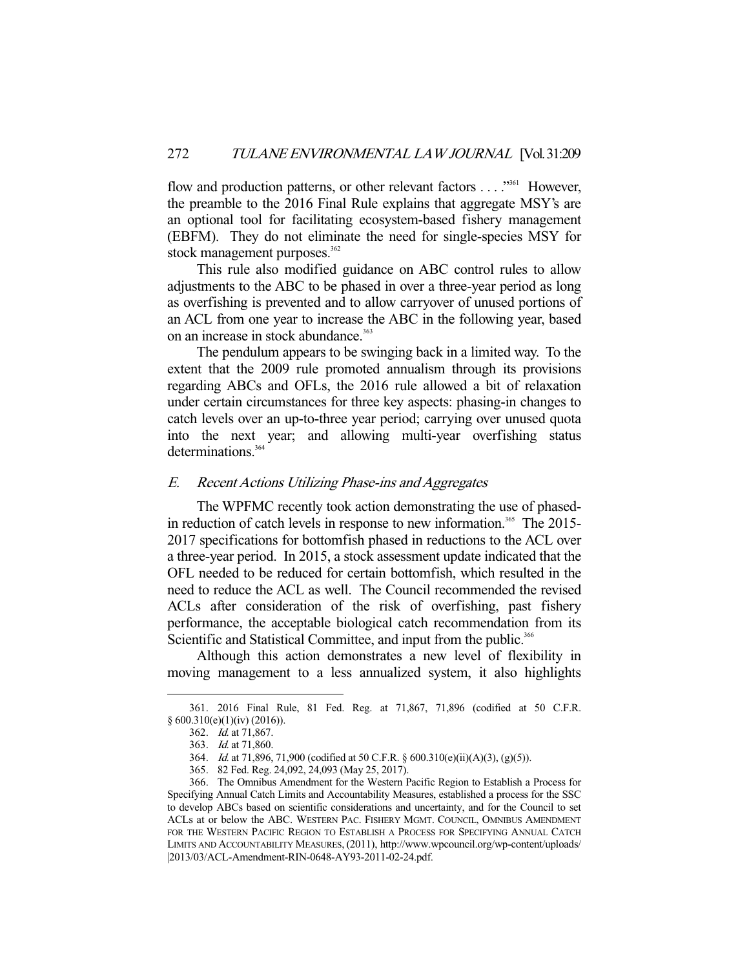flow and production patterns, or other relevant factors . . . . "<sup>361</sup> However, the preamble to the 2016 Final Rule explains that aggregate MSY's are an optional tool for facilitating ecosystem-based fishery management (EBFM). They do not eliminate the need for single-species MSY for stock management purposes. $362$ 

 This rule also modified guidance on ABC control rules to allow adjustments to the ABC to be phased in over a three-year period as long as overfishing is prevented and to allow carryover of unused portions of an ACL from one year to increase the ABC in the following year, based on an increase in stock abundance.<sup>363</sup>

 The pendulum appears to be swinging back in a limited way. To the extent that the 2009 rule promoted annualism through its provisions regarding ABCs and OFLs, the 2016 rule allowed a bit of relaxation under certain circumstances for three key aspects: phasing-in changes to catch levels over an up-to-three year period; carrying over unused quota into the next year; and allowing multi-year overfishing status determinations.<sup>364</sup>

# E. Recent Actions Utilizing Phase-ins and Aggregates

 The WPFMC recently took action demonstrating the use of phasedin reduction of catch levels in response to new information.<sup>365</sup> The 2015-2017 specifications for bottomfish phased in reductions to the ACL over a three-year period. In 2015, a stock assessment update indicated that the OFL needed to be reduced for certain bottomfish, which resulted in the need to reduce the ACL as well. The Council recommended the revised ACLs after consideration of the risk of overfishing, past fishery performance, the acceptable biological catch recommendation from its Scientific and Statistical Committee, and input from the public.<sup>366</sup>

 Although this action demonstrates a new level of flexibility in moving management to a less annualized system, it also highlights

 <sup>361. 2016</sup> Final Rule, 81 Fed. Reg. at 71,867, 71,896 (codified at 50 C.F.R.  $§ 600.310(e)(1)(iv) (2016)).$ 

 <sup>362.</sup> Id. at 71,867.

 <sup>363.</sup> Id. at 71,860.

 <sup>364.</sup> Id. at 71,896, 71,900 (codified at 50 C.F.R. § 600.310(e)(ii)(A)(3), (g)(5)).

 <sup>365. 82</sup> Fed. Reg. 24,092, 24,093 (May 25, 2017).

 <sup>366.</sup> The Omnibus Amendment for the Western Pacific Region to Establish a Process for Specifying Annual Catch Limits and Accountability Measures, established a process for the SSC to develop ABCs based on scientific considerations and uncertainty, and for the Council to set ACLs at or below the ABC. WESTERN PAC. FISHERY MGMT. COUNCIL, OMNIBUS AMENDMENT FOR THE WESTERN PACIFIC REGION TO ESTABLISH A PROCESS FOR SPECIFYING ANNUAL CATCH LIMITS AND ACCOUNTABILITY MEASURES, (2011), http://www.wpcouncil.org/wp-content/uploads/ |2013/03/ACL-Amendment-RIN-0648-AY93-2011-02-24.pdf.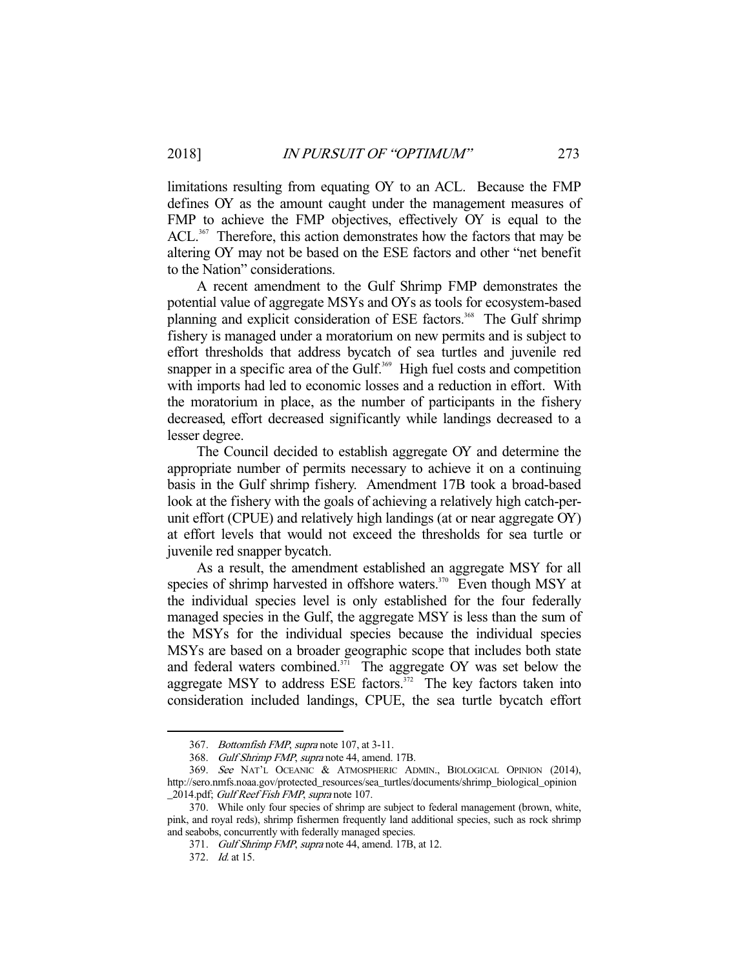limitations resulting from equating OY to an ACL. Because the FMP defines OY as the amount caught under the management measures of FMP to achieve the FMP objectives, effectively OY is equal to the ACL.<sup>367</sup> Therefore, this action demonstrates how the factors that may be altering OY may not be based on the ESE factors and other "net benefit to the Nation" considerations.

 A recent amendment to the Gulf Shrimp FMP demonstrates the potential value of aggregate MSYs and OYs as tools for ecosystem-based planning and explicit consideration of ESE factors.<sup>368</sup> The Gulf shrimp fishery is managed under a moratorium on new permits and is subject to effort thresholds that address bycatch of sea turtles and juvenile red snapper in a specific area of the Gulf.<sup>369</sup> High fuel costs and competition with imports had led to economic losses and a reduction in effort. With the moratorium in place, as the number of participants in the fishery decreased, effort decreased significantly while landings decreased to a lesser degree.

 The Council decided to establish aggregate OY and determine the appropriate number of permits necessary to achieve it on a continuing basis in the Gulf shrimp fishery. Amendment 17B took a broad-based look at the fishery with the goals of achieving a relatively high catch-perunit effort (CPUE) and relatively high landings (at or near aggregate OY) at effort levels that would not exceed the thresholds for sea turtle or juvenile red snapper bycatch.

 As a result, the amendment established an aggregate MSY for all species of shrimp harvested in offshore waters.<sup>370</sup> Even though MSY at the individual species level is only established for the four federally managed species in the Gulf, the aggregate MSY is less than the sum of the MSYs for the individual species because the individual species MSYs are based on a broader geographic scope that includes both state and federal waters combined.<sup>371</sup> The aggregate OY was set below the aggregate MSY to address ESE factors.<sup>372</sup> The key factors taken into consideration included landings, CPUE, the sea turtle bycatch effort

<sup>367.</sup> Bottomfish FMP, supra note 107, at 3-11.

 <sup>368.</sup> Gulf Shrimp FMP, supra note 44, amend. 17B.

 <sup>369.</sup> See NAT'L OCEANIC & ATMOSPHERIC ADMIN., BIOLOGICAL OPINION (2014), http://sero.nmfs.noaa.gov/protected\_resources/sea\_turtles/documents/shrimp\_biological\_opinion 2014.pdf; Gulf Reef Fish FMP, supra note 107.

 <sup>370.</sup> While only four species of shrimp are subject to federal management (brown, white, pink, and royal reds), shrimp fishermen frequently land additional species, such as rock shrimp and seabobs, concurrently with federally managed species.

<sup>371.</sup> Gulf Shrimp FMP, supra note 44, amend. 17B, at 12.

 <sup>372.</sup> Id. at 15.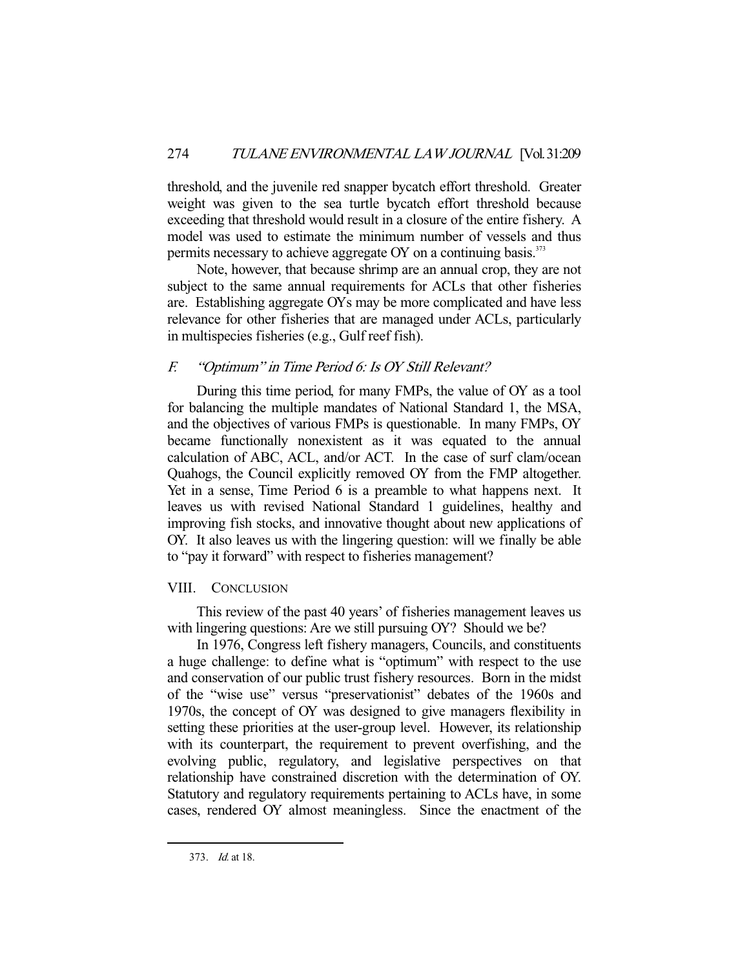threshold, and the juvenile red snapper bycatch effort threshold. Greater weight was given to the sea turtle bycatch effort threshold because exceeding that threshold would result in a closure of the entire fishery. A model was used to estimate the minimum number of vessels and thus permits necessary to achieve aggregate OY on a continuing basis.<sup>373</sup>

 Note, however, that because shrimp are an annual crop, they are not subject to the same annual requirements for ACLs that other fisheries are. Establishing aggregate OYs may be more complicated and have less relevance for other fisheries that are managed under ACLs, particularly in multispecies fisheries (e.g., Gulf reef fish).

# F. "Optimum" in Time Period 6: Is OY Still Relevant?

 During this time period, for many FMPs, the value of OY as a tool for balancing the multiple mandates of National Standard 1, the MSA, and the objectives of various FMPs is questionable. In many FMPs, OY became functionally nonexistent as it was equated to the annual calculation of ABC, ACL, and/or ACT. In the case of surf clam/ocean Quahogs, the Council explicitly removed OY from the FMP altogether. Yet in a sense, Time Period 6 is a preamble to what happens next. It leaves us with revised National Standard 1 guidelines, healthy and improving fish stocks, and innovative thought about new applications of OY. It also leaves us with the lingering question: will we finally be able to "pay it forward" with respect to fisheries management?

# VIII. CONCLUSION

 This review of the past 40 years' of fisheries management leaves us with lingering questions: Are we still pursuing OY? Should we be?

 In 1976, Congress left fishery managers, Councils, and constituents a huge challenge: to define what is "optimum" with respect to the use and conservation of our public trust fishery resources. Born in the midst of the "wise use" versus "preservationist" debates of the 1960s and 1970s, the concept of OY was designed to give managers flexibility in setting these priorities at the user-group level. However, its relationship with its counterpart, the requirement to prevent overfishing, and the evolving public, regulatory, and legislative perspectives on that relationship have constrained discretion with the determination of OY. Statutory and regulatory requirements pertaining to ACLs have, in some cases, rendered OY almost meaningless. Since the enactment of the

 <sup>373.</sup> Id. at 18.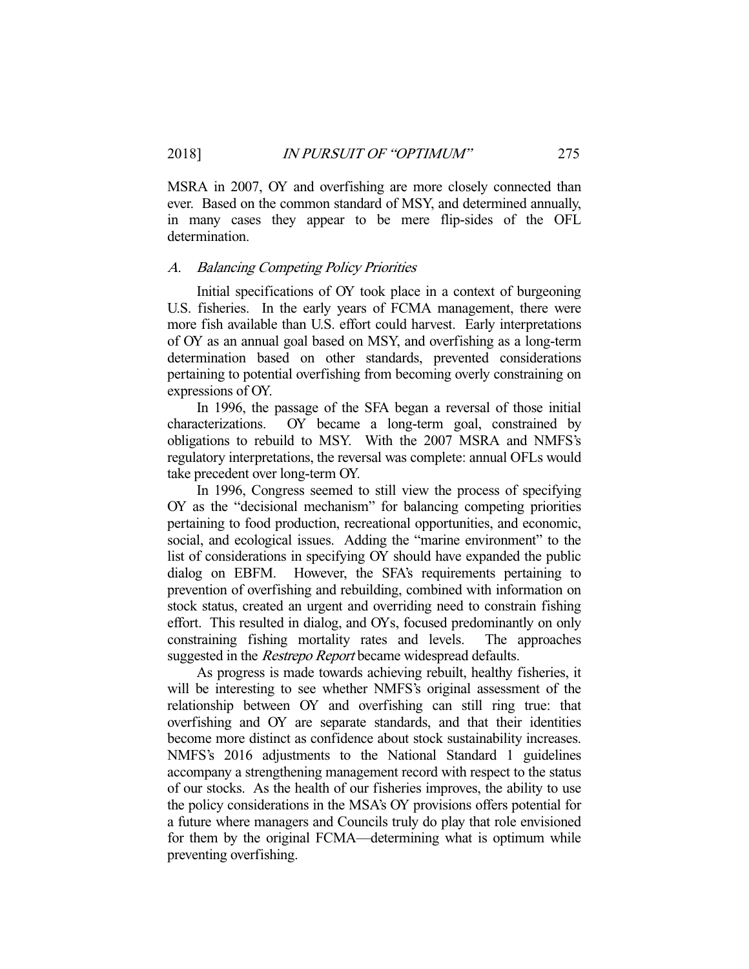MSRA in 2007, OY and overfishing are more closely connected than ever. Based on the common standard of MSY, and determined annually, in many cases they appear to be mere flip-sides of the OFL determination.

#### A. Balancing Competing Policy Priorities

 Initial specifications of OY took place in a context of burgeoning U.S. fisheries. In the early years of FCMA management, there were more fish available than U.S. effort could harvest. Early interpretations of OY as an annual goal based on MSY, and overfishing as a long-term determination based on other standards, prevented considerations pertaining to potential overfishing from becoming overly constraining on expressions of OY.

 In 1996, the passage of the SFA began a reversal of those initial characterizations. OY became a long-term goal, constrained by obligations to rebuild to MSY. With the 2007 MSRA and NMFS's regulatory interpretations, the reversal was complete: annual OFLs would take precedent over long-term OY.

 In 1996, Congress seemed to still view the process of specifying OY as the "decisional mechanism" for balancing competing priorities pertaining to food production, recreational opportunities, and economic, social, and ecological issues. Adding the "marine environment" to the list of considerations in specifying OY should have expanded the public dialog on EBFM. However, the SFA's requirements pertaining to prevention of overfishing and rebuilding, combined with information on stock status, created an urgent and overriding need to constrain fishing effort. This resulted in dialog, and OYs, focused predominantly on only constraining fishing mortality rates and levels. The approaches suggested in the *Restrepo Report* became widespread defaults.

 As progress is made towards achieving rebuilt, healthy fisheries, it will be interesting to see whether NMFS's original assessment of the relationship between OY and overfishing can still ring true: that overfishing and OY are separate standards, and that their identities become more distinct as confidence about stock sustainability increases. NMFS's 2016 adjustments to the National Standard 1 guidelines accompany a strengthening management record with respect to the status of our stocks. As the health of our fisheries improves, the ability to use the policy considerations in the MSA's OY provisions offers potential for a future where managers and Councils truly do play that role envisioned for them by the original FCMA—determining what is optimum while preventing overfishing.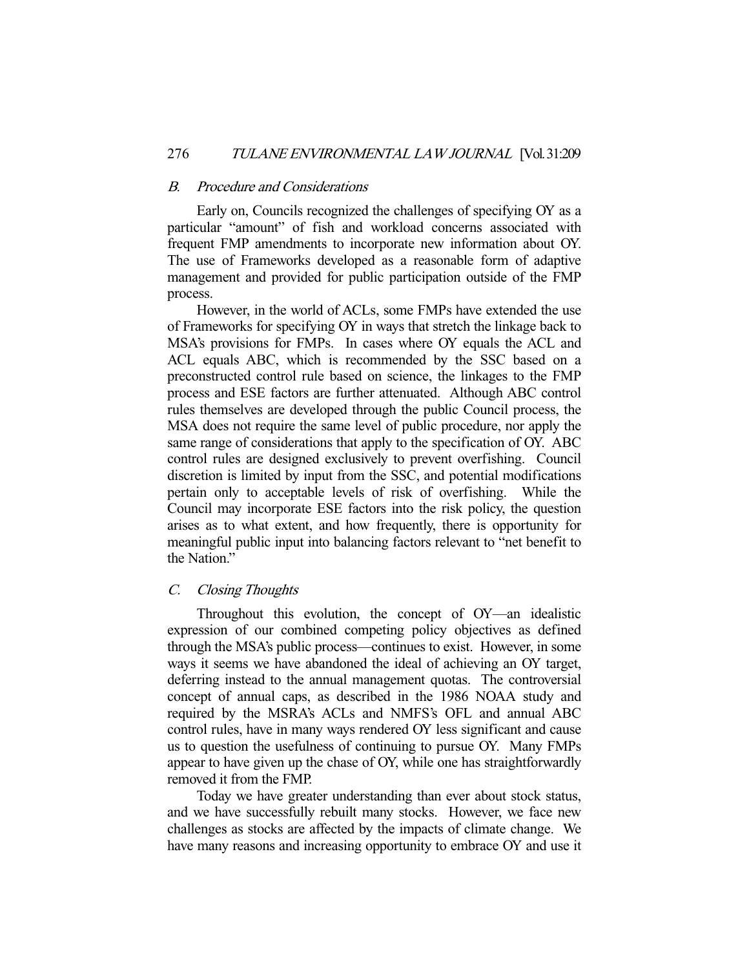#### B. Procedure and Considerations

 Early on, Councils recognized the challenges of specifying OY as a particular "amount" of fish and workload concerns associated with frequent FMP amendments to incorporate new information about OY. The use of Frameworks developed as a reasonable form of adaptive management and provided for public participation outside of the FMP process.

 However, in the world of ACLs, some FMPs have extended the use of Frameworks for specifying OY in ways that stretch the linkage back to MSA's provisions for FMPs. In cases where OY equals the ACL and ACL equals ABC, which is recommended by the SSC based on a preconstructed control rule based on science, the linkages to the FMP process and ESE factors are further attenuated. Although ABC control rules themselves are developed through the public Council process, the MSA does not require the same level of public procedure, nor apply the same range of considerations that apply to the specification of OY. ABC control rules are designed exclusively to prevent overfishing. Council discretion is limited by input from the SSC, and potential modifications pertain only to acceptable levels of risk of overfishing. While the Council may incorporate ESE factors into the risk policy, the question arises as to what extent, and how frequently, there is opportunity for meaningful public input into balancing factors relevant to "net benefit to the Nation."

## C. Closing Thoughts

 Throughout this evolution, the concept of OY—an idealistic expression of our combined competing policy objectives as defined through the MSA's public process—continues to exist. However, in some ways it seems we have abandoned the ideal of achieving an OY target, deferring instead to the annual management quotas. The controversial concept of annual caps, as described in the 1986 NOAA study and required by the MSRA's ACLs and NMFS's OFL and annual ABC control rules, have in many ways rendered OY less significant and cause us to question the usefulness of continuing to pursue OY. Many FMPs appear to have given up the chase of OY, while one has straightforwardly removed it from the FMP.

 Today we have greater understanding than ever about stock status, and we have successfully rebuilt many stocks. However, we face new challenges as stocks are affected by the impacts of climate change. We have many reasons and increasing opportunity to embrace OY and use it